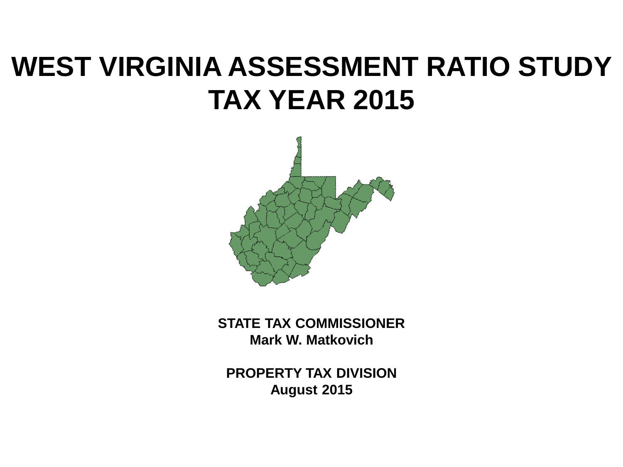# **WEST VIRGINIA ASSESSMENT RATIO STUDY TAX YEAR 2015**



**STATE TAX COMMISSIONER Mark W. Matkovich**

**PROPERTY TAX DIVISION August 2015**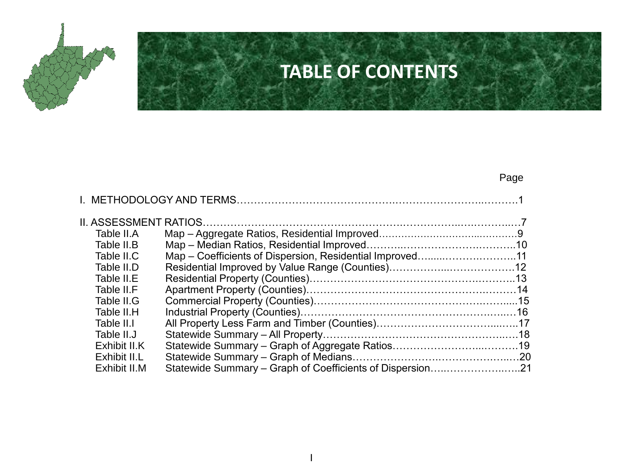

## **TABLE OF CONTENTS**

#### Page

| Table II.A   |                                                           |  |
|--------------|-----------------------------------------------------------|--|
| Table II.B   |                                                           |  |
| Table II.C   | Map – Coefficients of Dispersion, Residential Improved11  |  |
| Table II.D   |                                                           |  |
| Table II.E   |                                                           |  |
| Table II.F   |                                                           |  |
| Table II.G   |                                                           |  |
| Table II.H   |                                                           |  |
| Table II.I   |                                                           |  |
| Table II.J   |                                                           |  |
| Exhibit II.K |                                                           |  |
| Exhibit II.L |                                                           |  |
| Exhibit II.M | Statewide Summary – Graph of Coefficients of Dispersion21 |  |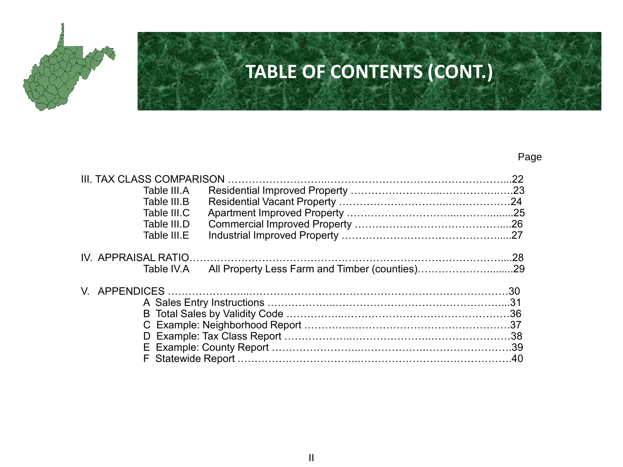

## **TABLE OF CONTENTS (CONT.)**

#### Page

| Table III.A                                                  |  |
|--------------------------------------------------------------|--|
| Table III.B                                                  |  |
| Table III.C                                                  |  |
| Table III.D                                                  |  |
| Table III.E                                                  |  |
|                                                              |  |
| All Property Less Farm and Timber (counties)29<br>Table IV.A |  |
|                                                              |  |
|                                                              |  |
|                                                              |  |
|                                                              |  |
|                                                              |  |
|                                                              |  |
|                                                              |  |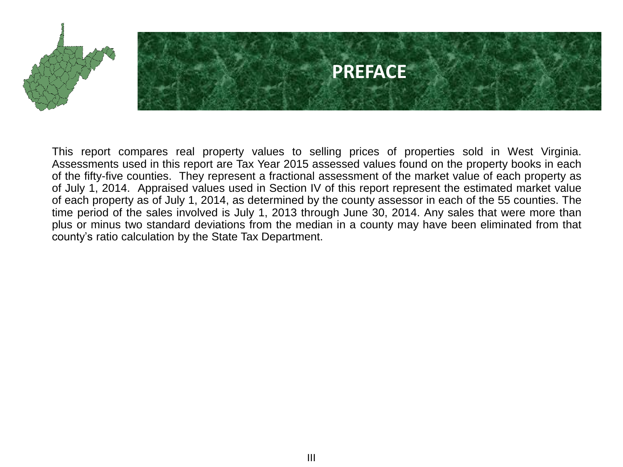

This report compares real property values to selling prices of properties sold in West Virginia. Assessments used in this report are Tax Year 2015 assessed values found on the property books in each of the fifty-five counties. They represent a fractional assessment of the market value of each property as of July 1, 2014. Appraised values used in Section IV of this report represent the estimated market value of each property as of July 1, 2014, as determined by the county assessor in each of the 55 counties. The time period of the sales involved is July 1, 2013 through June 30, 2014. Any sales that were more than plus or minus two standard deviations from the median in a county may have been eliminated from that county's ratio calculation by the State Tax Department.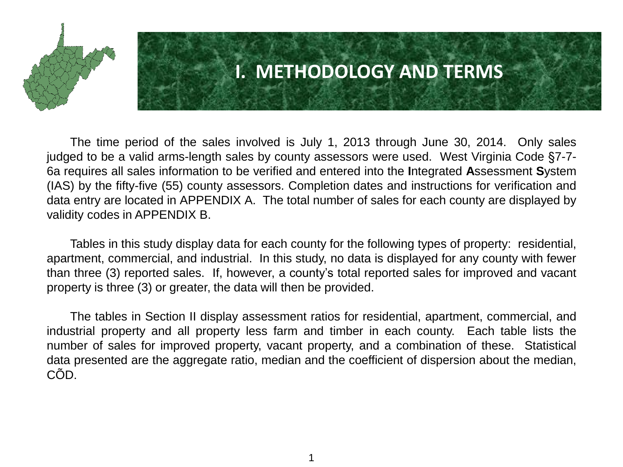

### **I. METHODOLOGY AND TERMS**

The time period of the sales involved is July 1, 2013 through June 30, 2014. Only sales judged to be a valid arms-length sales by county assessors were used. West Virginia Code §7-7- 6a requires all sales information to be verified and entered into the **I**ntegrated **A**ssessment **S**ystem (IAS) by the fifty-five (55) county assessors. Completion dates and instructions for verification and data entry are located in APPENDIX A. The total number of sales for each county are displayed by validity codes in APPENDIX B.

Tables in this study display data for each county for the following types of property: residential, apartment, commercial, and industrial. In this study, no data is displayed for any county with fewer than three (3) reported sales. If, however, a county's total reported sales for improved and vacant property is three (3) or greater, the data will then be provided.

The tables in Section II display assessment ratios for residential, apartment, commercial, and industrial property and all property less farm and timber in each county. Each table lists the number of sales for improved property, vacant property, and a combination of these. Statistical data presented are the aggregate ratio, median and the coefficient of dispersion about the median, CÕD.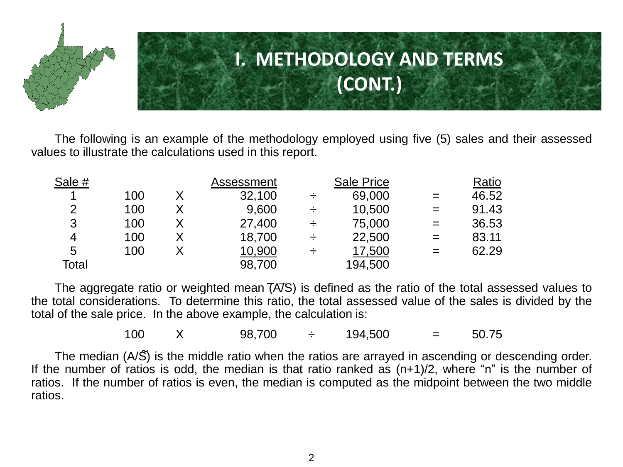

The following is an example of the methodology employed using five (5) sales and their assessed values to illustrate the calculations used in this report.

| Sale # |     | Assessment |   | <b>Sale Price</b> |     | Ratio |
|--------|-----|------------|---|-------------------|-----|-------|
| 1      | 100 | 32,100     |   | 69,000            | $=$ | 46.52 |
| 2      | 100 | 9,600      | ÷ | 10,500            | $=$ | 91.43 |
| 3      | 100 | 27,400     |   | 75,000            | $=$ | 36.53 |
| 4      | 100 | 18,700     | ÷ | 22,500            | $=$ | 83.11 |
| 5      | 100 | 10,900     | ÷ | 17,500            | $=$ | 62.29 |
| Total  |     | 98,700     |   | 194,500           |     |       |

The aggregate ratio or weighted mean  $($ A $7$ S $)$  is defined as the ratio of the total assessed values to the total considerations. To determine this ratio, the total assessed value of the sales is divided by the total of the sale price. In the above example, the calculation is:  $\overline{a}$ .

100  $\ X$  98,700  $\div$  194,500 = 50.75

The median (A/S) is the middle ratio when the ratios are arrayed in ascending or descending order. If the number of ratios is odd, the median is that ratio ranked as  $(n+1)/2$ , where "n" is the number of ratios. If the number of ratios is even, the median is computed as the midpoint between the two middle ratios.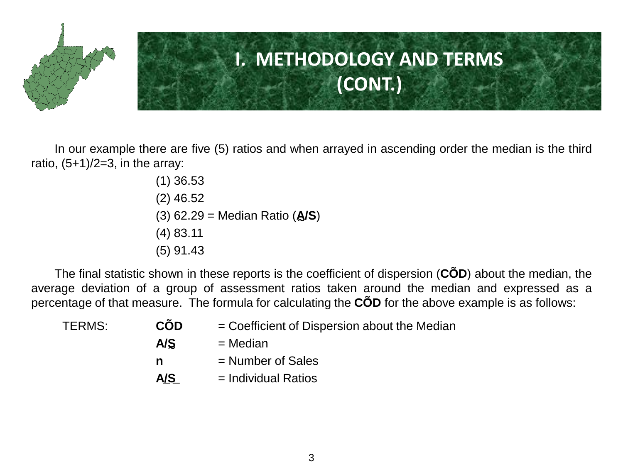

In our example there are five (5) ratios and when arrayed in ascending order the median is the third ratio,  $(5+1)/2=3$ , in the array:

> (1) 36.53 (2) 46.52 (3) 62.29 = Median Ratio (**A/S**) ∼ (4) 83.11 (5) 91.43

The final statistic shown in these reports is the coefficient of dispersion (**CÕD**) about the median, the average deviation of a group of assessment ratios taken around the median and expressed as a percentage of that measure. The formula for calculating the **CÕD** for the above example is as follows:

| <b>CÕD</b> | = Coefficient of Dispersion about the Median |
|------------|----------------------------------------------|
| A/S        | $=$ Median                                   |
| n          | $=$ Number of Sales                          |
| A/S        | $=$ Individual Ratios                        |
|            |                                              |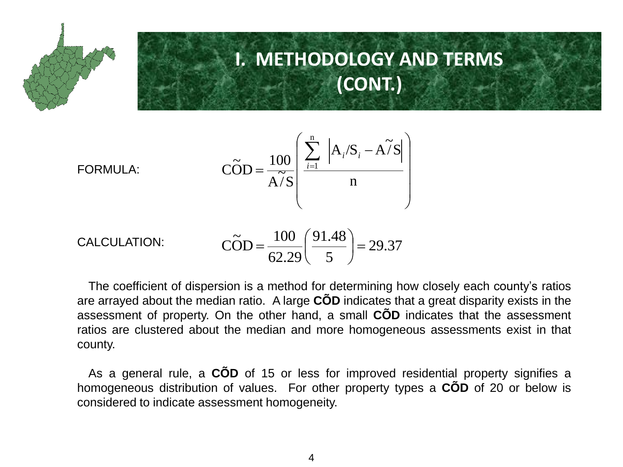

$$
\widehat{\text{COD}} = \frac{100}{\widehat{\text{A7S}}} \left( \frac{\sum_{i=1}^{n} |A_i/S_i - \widehat{\text{A7S}}|}{n} \right)
$$



CALCULATION: 
$$
\widehat{COD} = \frac{100}{62.29} \left( \frac{91.48}{5} \right) = 29.37
$$

The coefficient of dispersion is a method for determining how closely each county's ratios are arrayed about the median ratio. A large **CÕD** indicates that a great disparity exists in the assessment of property. On the other hand, a small **CÕD** indicates that the assessment ratios are clustered about the median and more homogeneous assessments exist in that county.

As a general rule, a **CÕD** of 15 or less for improved residential property signifies a homogeneous distribution of values. For other property types a **CÕD** of 20 or below is considered to indicate assessment homogeneity.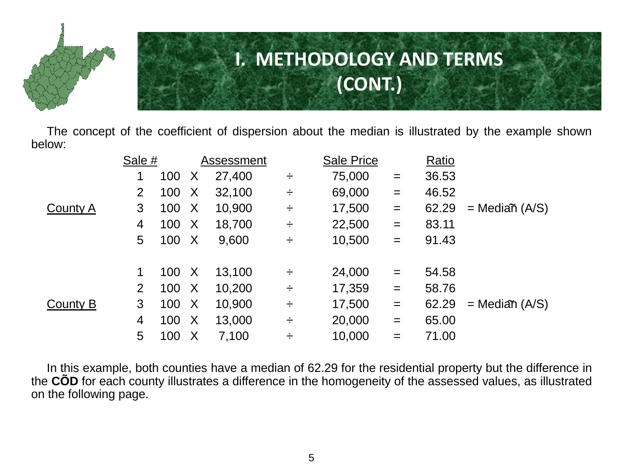

The concept of the coefficient of dispersion about the median is illustrated by the example shown below:

|                 | Sale # |     |              | Assessment |        | <b>Sale Price</b> |     | Ratio |                    |
|-----------------|--------|-----|--------------|------------|--------|-------------------|-----|-------|--------------------|
|                 |        | 100 | X            | 27,400     | ÷      | 75,000            | $=$ | 36.53 |                    |
|                 | 2      | 100 | $\times$     | 32,100     | ÷      | 69,000            | $=$ | 46.52 |                    |
| <b>County A</b> | 3      | 100 | $\mathsf{X}$ | 10,900     | ÷      | 17,500            | $=$ | 62.29 | $=$ Mediañ (A/S)   |
|                 | 4      | 100 | $\mathsf{X}$ | 18,700     | ÷      | 22,500            | $=$ | 83.11 |                    |
|                 | 5      | 100 | $\mathsf{X}$ | 9,600      | ÷      | 10,500            | $=$ | 91.43 |                    |
|                 |        |     |              |            |        |                   |     |       |                    |
|                 | 1      | 100 | $\mathsf{X}$ | 13,100     | ÷      | 24,000            | $=$ | 54.58 |                    |
|                 | 2      | 100 | $\mathsf{X}$ | 10,200     | ÷      | 17,359            | $=$ | 58.76 |                    |
| County B        | 3      | 100 | $\mathsf{X}$ | 10,900     | ÷      | 17,500            | $=$ | 62.29 | $=$ Median $(A/S)$ |
|                 | 4      | 100 | $\mathsf{X}$ | 13,000     | $\div$ | 20,000            | $=$ | 65.00 |                    |
|                 | 5      | 100 | $\times$     | 7,100      | ÷      | 10,000            | $=$ | 71.00 |                    |

In this example, both counties have a median of 62.29 for the residential property but the difference in the **CÕD** for each county illustrates a difference in the homogeneity of the assessed values, as illustrated on the following page.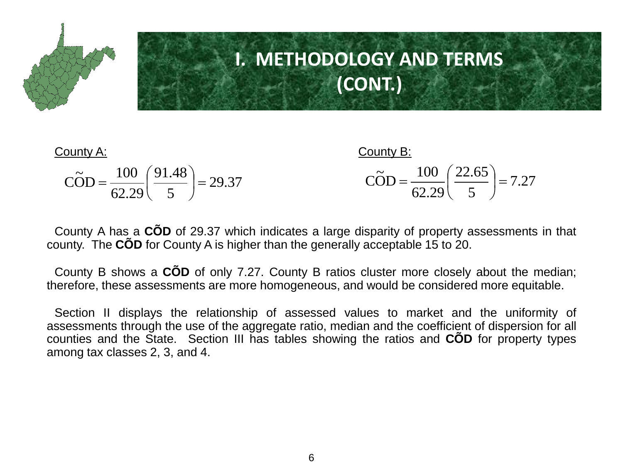

| County A:                                                                           | County B:                                                                   |
|-------------------------------------------------------------------------------------|-----------------------------------------------------------------------------|
| $\widetilde{\text{COD}} = \frac{100}{62.29} \left( \frac{91.48}{5} \right) = 29.37$ | $\widetilde{COD} = \frac{100}{62.29} \left( \frac{22.65}{5} \right) = 7.27$ |

County A has a **CÕD** of 29.37 which indicates a large disparity of property assessments in that county. The **CÕD** for County A is higher than the generally acceptable 15 to 20.

County B shows a **CÕD** of only 7.27. County B ratios cluster more closely about the median; therefore, these assessments are more homogeneous, and would be considered more equitable.

Section II displays the relationship of assessed values to market and the uniformity of assessments through the use of the aggregate ratio, median and the coefficient of dispersion for all counties and the State. Section III has tables showing the ratios and **CÕD** for property types among tax classes 2, 3, and 4.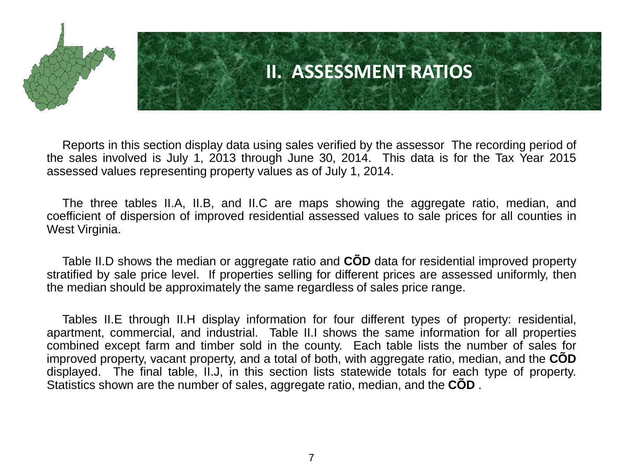

### **II. ASSESSMENT RATIOS**

Reports in this section display data using sales verified by the assessor The recording period of the sales involved is July 1, 2013 through June 30, 2014. This data is for the Tax Year 2015 assessed values representing property values as of July 1, 2014.

The three tables II.A, II.B, and II.C are maps showing the aggregate ratio, median, and coefficient of dispersion of improved residential assessed values to sale prices for all counties in West Virginia.

Table II.D shows the median or aggregate ratio and **CÕD** data for residential improved property stratified by sale price level. If properties selling for different prices are assessed uniformly, then the median should be approximately the same regardless of sales price range.

Tables II.E through II.H display information for four different types of property: residential, apartment, commercial, and industrial. Table II.I shows the same information for all properties combined except farm and timber sold in the county. Each table lists the number of sales for improved property, vacant property, and a total of both, with aggregate ratio, median, and the **CÕD** displayed. The final table, II.J, in this section lists statewide totals for each type of property. Statistics shown are the number of sales, aggregate ratio, median, and the **CÕD** .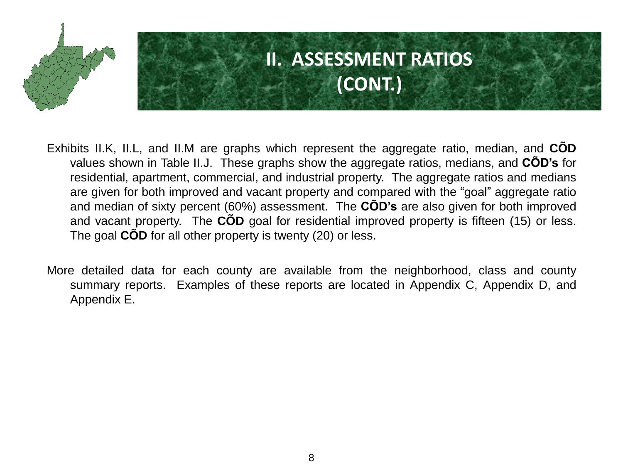

# **II. ASSESSMENT RATIOS (CONT.)**

- Exhibits II.K, II.L, and II.M are graphs which represent the aggregate ratio, median, and **CÕD** values shown in Table II.J. These graphs show the aggregate ratios, medians, and **CÕD's** for residential, apartment, commercial, and industrial property. The aggregate ratios and medians are given for both improved and vacant property and compared with the "goal" aggregate ratio and median of sixty percent (60%) assessment. The **CÕD's** are also given for both improved and vacant property. The **CÕD** goal for residential improved property is fifteen (15) or less. The goal **CÕD** for all other property is twenty (20) or less.
- More detailed data for each county are available from the neighborhood, class and county summary reports. Examples of these reports are located in Appendix C, Appendix D, and Appendix E.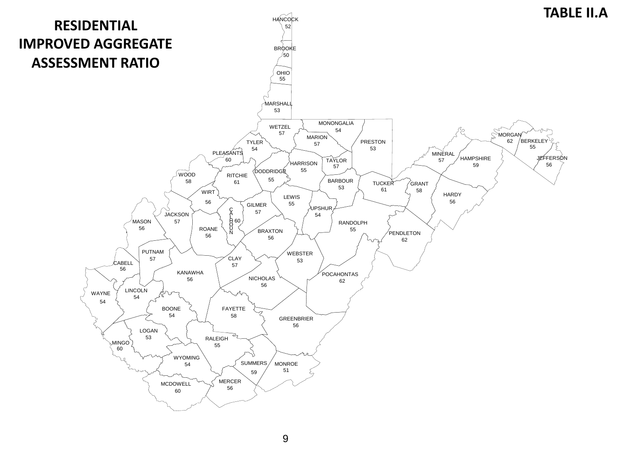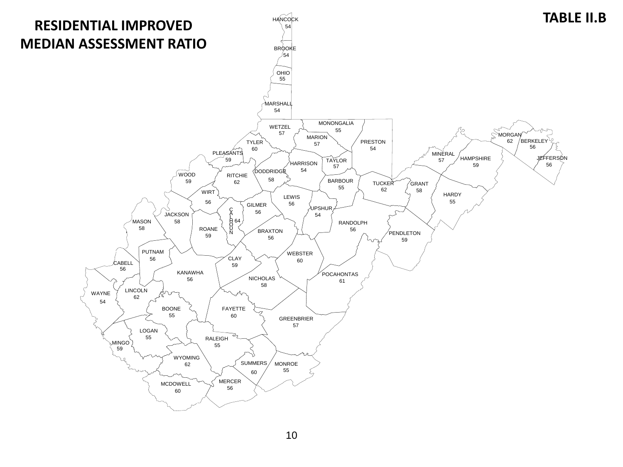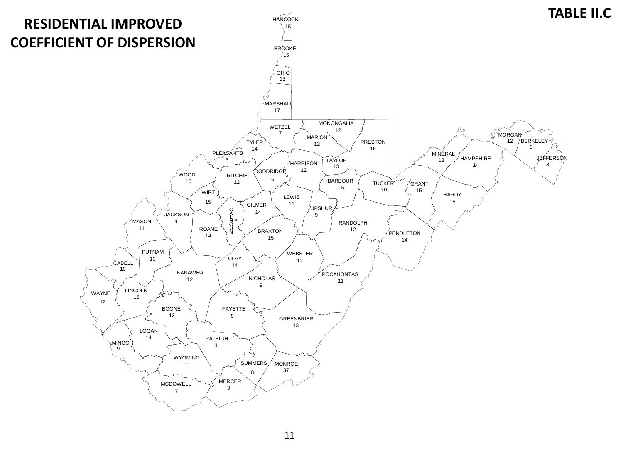

11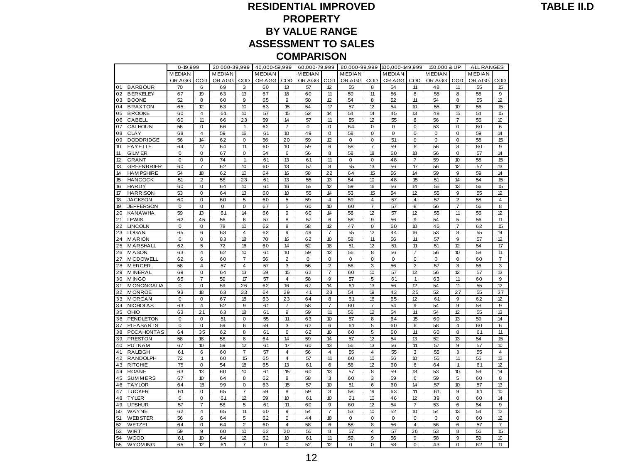#### **RESIDENTIAL IMPROVED PROPERTY BY VALUE RANGE ASSESSMENT TO SALES**

|                                                | <b>COMPARISON</b> |                                   |                   |                      |                   |                       |                   |                         |                   |                         |                   |                       |               |                         |                   |                |
|------------------------------------------------|-------------------|-----------------------------------|-------------------|----------------------|-------------------|-----------------------|-------------------|-------------------------|-------------------|-------------------------|-------------------|-----------------------|---------------|-------------------------|-------------------|----------------|
|                                                | $0 - 19,999$      |                                   | 20,000-39,999     |                      | 40,000-59,999     |                       | 60,000-79,999     |                         | 80,000-99,999     |                         | 100,000-149,999   |                       | 150,000 & UP  |                         | <b>ALL RANGES</b> |                |
|                                                | <b>MEDIAN</b>     |                                   | <b>MEDIAN</b>     |                      | <b>MEDIAN</b>     |                       | <b>MEDIAN</b>     |                         | <b>MEDIAN</b>     |                         | <b>MEDIAN</b>     |                       | <b>MEDIAN</b> |                         | <b>MEDIAN</b>     |                |
|                                                | OR AGG            | COD                               | OR AGG            | COD                  | OR AGG            | COD                   | OR AGG            | COD                     | OR AGG            | COD                     | OR AGG            | COD                   | OR AGG        | COD                     | OR AGG            | COD            |
| <b>BARBOUR</b><br>01                           | 70                | 6                                 | 69                | 3                    | 60                | 13                    | 57                | 12                      | 55                | 8                       | 54                | 11                    | 48            | 11                      | 55                | 15             |
| 02<br><b>BERKELEY</b>                          | 67                | 19                                | 63                | 13                   | 67                | 18                    | 60                | 11                      | 59                | 11                      | 56                | 8                     | 55            | 8                       | 56                | 9              |
| <b>BOONE</b><br>03                             | 52                | 8                                 | 60                | 9                    | 65                | 9                     | 50                | 12                      | 54                | 8                       | 52                | 11                    | 54            | 8                       | 55                | 12             |
| <b>BRAXTON</b><br>04                           | 65                | 12                                | 63                | 10                   | 63                | 15                    | 54                | 17                      | 57                | 12                      | 54                | 10                    | 55            | 10                      | 56                | 15             |
| <b>BROOKE</b><br>05                            | 60                | $\overline{4}$<br>$\overline{11}$ | 61                | 10<br>23             | 57                | 15<br>14              | 52                | 14<br>11                | 54                | 14<br>12                | 45                | 13<br>8               | 48            | 15                      | 54                | 15<br>10       |
| 06<br>CABELL<br>07<br><b>CALHOUN</b>           | 60<br>56          | $\mathbf 0$                       | 66<br>66          | $\mathbf{1}$         | 59<br>62          | $\overline{7}$        | 57<br>$\mathbf 0$ | $\mathbf 0$             | 55<br>64          | 0                       | 55<br>$\mathbf 0$ | 0                     | 56<br>53      | 7<br>0                  | 56<br>60          | 6              |
| 08<br><b>CLAY</b>                              | 68                | 4                                 | 59                | 16                   | 61                | 10 <sup>10</sup>      | 49                | $\mathbf 0$             | 58                | $\mathbf 0$             | 0                 | 0                     | 0             | 0                       | 59                | 14             |
| 09<br><b>DODDRIDGE</b>                         | 56                | 14                                | 62                | $\mathbf 0$          | 56                | 20                    | 59                | 12                      | $\mathbf 0$       | $\pmb{0}$               | 51                | 9                     | $\mathbf 0$   | $\mathbf 0$             | 58                | 15             |
| 10<br><b>FAYETTE</b>                           | 64                | 17                                | 64                | 11                   | 60                | 10                    | 59                | 6                       | 58                | $\overline{7}$          | 59                | 6                     | 56            | 8                       | 60                | 9              |
| 11<br><b>GILM ER</b>                           | $\mathbf 0$       | $\mathbf 0$                       | 67                | $\mathbf 0$          | 54                | 6                     | 56                | 8                       | 58                | 18                      | 60                | 18                    | 56            | $\mathbf 0$             | 57                | 14             |
| 12<br><b>GRANT</b>                             | 0                 | 0                                 | 74                | 1                    | 61                | 13                    | 61                | 11                      | 0                 | 0                       | 48                | $\overline{7}$        | 59            | 10 <sup>10</sup>        | 58                | 15             |
| 13<br><b>GREENBRIER</b>                        | 60                | $\overline{7}$                    | 62                | 10                   | 60                | 13                    | 57                | 8                       | 55                | 13                      | 56                | 17                    | 56            | 12                      | 57                | 13             |
| 14<br><b>HAM PSHIRE</b>                        | 54                | 18                                | 62                | 10                   | 64                | 16                    | 58                | 22                      | 64                | 15                      | 56                | 14                    | 59            | 9                       | 59                | 14             |
| 15<br><b>HANCOCK</b>                           | 51                | $\overline{2}$                    | 58                | 23                   | 61                | 13                    | 55                | 13                      | 54                | 10                      | 48                | 15                    | 51            | 14                      | 54                | 15             |
| 16<br><b>HARDY</b>                             | 60                | 0                                 | 64                | 10                   | 61                | 16                    | 55                | 12                      | 59                | 16                      | 56                | 14                    | 55            | 13                      | 56                | 15             |
| 17<br><b>HARRISON</b>                          | 53                | $\mathbf 0$                       | 64                | 13                   | 60                | 10 <sup>10</sup>      | 55                | 14                      | 53                | 15                      | 54                | 12                    | 55            | 9                       | 55                | 12             |
| 18<br><b>JACKSON</b>                           | 60                | 0                                 | 60                | 5                    | 60                | 5                     | 59                | 4                       | 59                | $\overline{4}$          | 57                | 4                     | 57            | $\overline{\mathbf{c}}$ | 58                | 4              |
| 19<br><b>JEFFERSON</b><br>20<br><b>KANAWHA</b> | $\mathbf 0$<br>59 | $\mathbf 0$<br>13                 | $\mathbf 0$<br>61 | $\mathbf 0$<br>14    | 67<br>66          | 5<br>9                | 60<br>60          | 10<br>14                | 60<br>58          | $\overline{7}$<br>12    | 57<br>57          | 8<br>12               | 56<br>55      | $\overline{7}$<br>11    | 56<br>56          | 8<br>12        |
| 21<br>LEWIS                                    | 62                | 45                                | 56                | $6\overline{6}$      | 57                | 8                     | 57                | 6                       | 58                | 9                       | 56                | 9                     | 54            | 5                       | 56                | 11             |
| 22<br><b>LINCOLN</b>                           | $\mathbf 0$       | $\mathbf 0$                       | 78                | 10                   | 62                | 8                     | 58                | 12                      | 47                | $\mathbf 0$             | 60                | 10                    | 46            | $\overline{7}$          | 62                | 15             |
| 23<br><b>LOGAN</b>                             | 65                | 6                                 | 63                | 4                    | 63                | 9                     | 49                | 7                       | 55                | 12                      | 44                | 16                    | 53            | 8                       | 55                | 14             |
| 24<br><b>MARION</b>                            | $\mathbf 0$       | $\mathbf 0$                       | 83                | 18                   | 70                | 16                    | 62                | 10                      | 58                | 11                      | 56                | 11                    | 57            | 9                       | 57                | 12             |
| 25<br>MARSHALL                                 | 62                | 5                                 | 72                | 16                   | 60                | 14                    | 52                | 18                      | 51                | 12                      | 51                | 11                    | 51            | 12                      | 54                | 17             |
| 26<br><b>MASON</b>                             | 63                | $\overline{4}$                    | 62                | 10                   | 61                | 10 <sup>10</sup>      | 59                | 12                      | 56                | 8                       | 56                | $\overline{7}$        | 56            | 10                      | 58                | 11             |
| <b>MCDOWELL</b><br>27                          | 62                | 6                                 | 60                | $\overline{7}$       | 56                | $\overline{2}$        | $\Omega$          | 0                       | $\Omega$          | $\mathbf 0$             | $\Omega$          | $\mathbf 0$           | $\mathbf 0$   | 0                       | 60                | $\overline{7}$ |
| 28<br><b>MERCER</b>                            | 58                | 4                                 | 57                | $\overline{4}$       | 57                | 3                     | 56                | $\overline{2}$          | 56                | 3                       | 56                | $\overline{2}$        | 57            | 3                       | 56                | 3              |
| 29<br><b>MINERAL</b>                           | 69                | 0                                 | 64                | 13                   | 59                | 15                    | 62                | $\overline{7}$          | 60                | 10                      | 57                | 12                    | 56            | 12                      | 57                | 13             |
| 30<br><b>MINGO</b>                             | 65                | $\overline{7}$                    | 59                | 17                   | 57                | 4                     | 58                | 9                       | 57                | 5                       | 61                | $\mathbf{1}$          | 63            | 11                      | 60                | 9              |
| <b>MONONGALIA</b><br>31<br>32<br><b>MONROE</b> | $\mathbf 0$<br>93 | 0<br>18                           | 59<br>63          | 26<br>33             | 62<br>64          | 16<br>29              | 67<br>41          | 14<br>23                | 61<br>54          | 13<br>19                | 56<br>43          | 12<br>25              | 54<br>52      | 11<br>27                | 55<br>55          | 12<br>37       |
| 33<br><b>MORGAN</b>                            | 0                 | $\mathbf 0$                       | 67                | 18                   | 63                | 23                    | 64                | 8                       | 61                | 16                      | 65                | 12                    | 61            | 9                       | 62                | 12             |
| 34<br><b>NICHOLAS</b>                          | 63                | $\overline{4}$                    | 62                | 9                    | 61                | 7                     | 58                | $\overline{7}$          | 60                | $\overline{7}$          | 54                | 9                     | 54            | 9                       | 58                | 9              |
| OHIO<br>35                                     | 63                | 21                                | 63                | 18                   | 61                | 9                     | 59                | 11                      | 56                | 12                      | 54                | 11                    | 54            | 12                      | 55                | 13             |
| 36<br><b>PENDLETON</b>                         | $\mathsf 0$       | 0                                 | 51                | $\mathbf 0$          | 55                | 11                    | 63                | 10                      | 57                | 8                       | 64                | 15                    | 60            | 13                      | 59                | 14             |
| 37<br><b>PLEASANTS</b>                         | $\mathbf 0$       | $\mathsf 0$                       | 59                | 6                    | 59                | 3                     | 62                | 6                       | 61                | 5                       | 60                | 6                     | 58            | 4                       | 60                | 6              |
| 38<br><b>POCAHONTAS</b>                        | 64                | 35                                | 62                | 8                    | 61                | 6                     | 62                | 10 <sup>10</sup>        | 60                | 5                       | 60                | 11                    | 60            | 8                       | 61                | 11             |
| 39<br><b>PRESTON</b>                           | 58                | 18                                | 58                | 8                    | 64                | 14                    | 59                | 14                      | 57                | 12                      | 54                | 13                    | 52            | 13                      | 54                | 15             |
| <b>PUTNAM</b><br>40                            | 67                | 10                                | 59                | 12                   | 61                | 17                    | 60                | 13                      | 56                | 13                      | 56                | 11                    | 57            | 9                       | 57                | 10             |
| 41<br><b>RALEIGH</b>                           | 61                | 6                                 | 60                | $\overline{7}$       | 57                | 4                     | 56                | $\overline{\mathbf{4}}$ | 55                | $\overline{\mathbf{4}}$ | 55                | 3                     | 55            | 3                       | 55                | 4              |
| 42<br><b>RANDOLPH</b><br>43                    | 72<br>75          | $\overline{1}$<br>$\mathbf 0$     | 60<br>54          | 15<br>18             | 65                | 4<br>13               | 57                | 11                      | 60                | 10<br>12                | 56                | 10 <sup>10</sup><br>6 | 55            | 11                      | 56                | 12<br>12       |
| <b>RITCHIE</b><br><b>ROANE</b><br>44           | 63                | 13                                | 60                | 10                   | 65<br>61          | 15                    | 61<br>60          | 6<br>13                 | 56<br>57          | 8                       | 60<br>59          | 18                    | 64<br>53      | 1<br>10 <sup>10</sup>   | 61<br>59          | 14             |
| 45<br><b>SUMMERS</b>                           | 67                | 10                                | 64                | 8                    | 62                | 8                     | 58                | 3                       | 60                | 3                       | 59                | 6                     | 59            | 5                       | 60                | 8              |
| <b>TAYLOR</b><br>46                            | 64                | 15                                | 99                | $\mathbf 0$          | 63                | 15                    | 57                | 10                      | 51                | 6                       | 60                | 14                    | 57            | 10                      | 57                | 13             |
| 47<br><b>TUCKER</b>                            | 61                | 0                                 | 65                | $\overline{7}$       | 59                | 8                     | 59                | 3                       | 58                | 19                      | 63                | 11                    | 61            | 9                       | 61                | 10             |
| <b>TYLER</b><br>48                             | $\mathbf 0$       | 0                                 | 61                | 12                   | 59                | 10                    | 61                | 10                      | 61                | 10                      | 46                | 12                    | 39            | 0                       | 60                | 14             |
| <b>UPSHUR</b><br>49                            | 57                | $\overline{7}$                    | 58                | 5                    | 61                | 11                    | 60                | 9                       | 60                | 12                      | 54                | 7                     | 53            | 6                       | 54                | 9              |
| 50<br>WAYNE                                    | 62                | 4                                 | 65                | 11                   | 60                | 9                     | 54                | $\overline{7}$          | 53                | 10                      | 52                | 10                    | 54            | 13                      | 54                | 12             |
| 51<br><b>WEBSTER</b>                           | 56                | 6                                 | 64                | $\mathbf 5$          | 62                | 0                     | 44                | 18                      | $\mathbf 0$       | $\mathbf 0$             | $\mathbf 0$       | $\mathbf 0$           | $\mathbf 0$   | $\mathbf 0$             | 60                | 12             |
| 52<br>WETZEL                                   | 64                | $\mathbf 0$                       | 64                | $\overline{2}$       | 60                | $\overline{4}$        | 58                | 6                       | 58                | 8                       | 56                | $\overline{4}$        | 56            | 6                       | 57                | $\overline{7}$ |
| 53<br><b>WIRT</b>                              | 59                | 9                                 | 60                | 10                   | 63                | 20                    | 55                | 8                       | 57                | $\overline{\mathbf{4}}$ | 57                | 26                    | 53            | 8                       | 56                | 15             |
| 54<br><b>WOOD</b><br>55                        | 61                | 10<br>12                          | 64                | 12<br>$\overline{7}$ | 62<br>$\mathbf 0$ | 10 <sup>10</sup><br>0 | 61<br>52          | 11<br>12                | 59<br>$\mathbf 0$ | 9<br>0                  | 56<br>58          | 9<br>0                | 58<br>43      | 9<br>0                  | 59                | 10<br>11       |
| <b>WYOM ING</b>                                | 65                |                                   | 61                |                      |                   |                       |                   |                         |                   |                         |                   |                       |               |                         | 62                |                |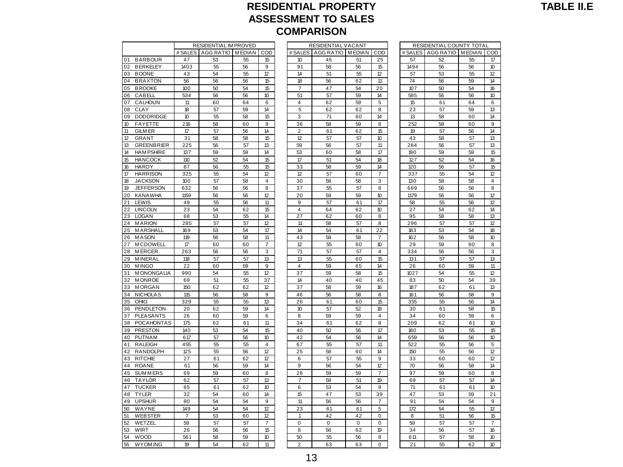### **RESIDENTIAL PROPERTY ASSESSMENT TO SALES**  ESIDENTIAL IM PROVED<br> **COMPARISON**<br>
RESIDENTIAL IM PROVED RESIDENTIAL VACANT RESIDENTIAL COUNTY TOTAL<br>
RESIDENTIAL IM PROVED RESIDENTIAL VACANT RESIDENTIAL COUNTY TOTAL

|          |                                |                | RESIDENTIAL IM PROVED |               |          |                      |         | RESIDENTIAL VACANT |             |                |          | RESIDENTIAL COUNTY TOTAL |          |                |
|----------|--------------------------------|----------------|-----------------------|---------------|----------|----------------------|---------|--------------------|-------------|----------------|----------|--------------------------|----------|----------------|
|          |                                | # SALES        | AGG RATIO             | <b>MEDIAN</b> | COD      |                      | # SALES | AGG RATIO MEDIAN   |             | COD            | # SALES  | AGG RATIO MEDIAN         |          | CO             |
| 01       | <b>BARBOUR</b>                 | 47             | 53                    | 55            | 15       | 10                   |         | 45                 | 51          | 25             | 57       | 52                       | 55       | 17             |
| 02       | <b>BERKELEY</b>                | 1403           | 55                    | 56            | 9        | 91                   |         | 58                 | 56          | 15             | 1494     | 56                       | 56       | 10             |
| 03       | <b>BOONE</b>                   | 43             | 54                    | 55            | 12       | 14                   |         | 51                 | 55          | 12             | 57       | 53                       | 55       | 12             |
| 04       | <b>BRAXTON</b>                 | 56             | 56                    | 56            | 15       | 18                   |         | 56                 | 62          | 11             | 74       | 56                       | 59       | 14             |
| 05       | <b>BROOKE</b>                  | 100            | 50                    | 54            | 15       | $\overline{7}$       |         | 47                 | 54          | 20             | 107      | 50                       | 54       | 16             |
| 06       | CABELL                         | 534            | 56                    | 56            | 10       | 51                   |         | 57                 | 59          | 14             | 585      | 56                       | 56       | 10             |
| 07       | CALHOUN                        | 11             | 60                    | 64            | 6        | $\overline{4}$       |         | 62                 | 59          | 5              | 15       | 61                       | 64       | 6              |
| 08       | <b>CLAY</b>                    | 18             | 57                    | 59            | 14       | 5                    |         | 62                 | 62          | 8              | 23       | 57                       | 59       | 13             |
| 09       | <b>DODDRIDGE</b>               | 10             | 55                    | 58            | 15       | 3                    |         | 71                 | 60          | 14             | 13       | 58                       | 60       | 14             |
| $10$     | <b>FAYETTE</b>                 | 216            | 58                    | 60            | 9        | 36                   |         | 58                 | 59          | 8              | 252      | 58                       | 60       | 9              |
| 11       | <b>GILM ER</b>                 | 17             | 57                    | 56            | 14       | 2                    |         | 61                 | 62          | 15             | 19       | 57                       | 56       | 14             |
| 12       | <b>GRANT</b>                   | 31             | 58                    | 58            | 15       | 12                   |         | 57                 | 57          | 10             | 43       | 58                       | 57       | 13             |
| 13       | <b>GREENBRIER</b>              | 225            | 56                    | 57            | 13       | 59                   |         | 56                 | 57          | 11             | 284      | 56                       | 57       | 13             |
| 14       | <b>HAM PSHIRE</b>              | 137            | 59                    | 59            | 14       | 53                   |         | 60                 | 58          | 17             | 190      | 59                       | 59       | 15             |
| 15       | <b>HANCOCK</b>                 | 110            | 52                    | 54            | 15       | 17                   |         | 51                 | 54          | 18             | 127      | 52                       | 54       | 16             |
| 16       | <b>HARDY</b>                   | 87             | 56                    | 55            | 15       | 33                   |         | 58                 | 59          | 14             | 120      | 56                       | 57       | 15             |
| 17       | <b>HARRISON</b>                | 325            | 55                    | 54            | 12       | 12                   |         | 57                 | 60          | $\overline{7}$ | 337      | 55                       | 54       | 12             |
| 18       | <b>JACKSON</b>                 | 100            | 57                    | 58            | 4        | 30                   |         | 58                 | 58          | 3              | 130      | 58                       | 58       | 4              |
| 19       | <b>JEFFERSON</b>               | 632            | 56                    | 56            | 8        | 37                   |         | 55                 | 57          | 8              | 669      | 56                       | 56       | 8              |
| 20       | <b>KANAWHA</b>                 | 1159           | 56                    | 56            | 12       | 20                   |         | 59                 | 59          | 10             | 1179     | 56                       | 56       | 12             |
| 21       | LEWIS                          | 49             | 55                    | 56            | 11       | 9                    |         | 57                 | 61          | 17             | 58       | 55                       | 56       | 12             |
| 22<br>23 | <b>LINCOLN</b><br><b>LOGAN</b> | 23<br>68       | 54<br>53              | 62<br>55      | 15<br>14 | $\overline{4}$<br>27 |         | 64<br>62           | 62<br>60    | 10<br>8        | 27<br>95 | 54<br>58                 | 62<br>58 | 14<br>13       |
| 24       | <b>MARION</b>                  | 285            | 57                    | 57            | 12       |                      | 11      | 58                 | 57          | 8              | 296      | 57                       | 57       | 12             |
| 25       | MARSHALL                       | 169            | 53                    | 54            | 17       | 14                   |         | 54                 | 61          | 22             | 183      | 53                       | 54       | 18             |
| 26       | <b>MASON</b>                   | 119            | 56                    | 58            | 11       | 43                   |         | 58                 | 58          | $\overline{7}$ | 162      | 56                       | 58       | 10             |
| 27       | <b>MCDOWELL</b>                | 17             | 60                    | 60            | 7        | 12                   |         | 55                 | 60          | 10             | 29       | 59                       | 60       | 8              |
| 28       | <b>MERCER</b>                  | 263            | 56                    | 56            | 3        | 71                   |         | 57                 | 57          | 4              | 334      | 56                       | 56       | 3              |
| 29       | <b>MINERAL</b>                 | 118            | 57                    | 57            | 13       | 13                   |         | 55                 | 60          | 15             | 131      | 57                       | 57       | 13             |
| 30       | <b>MINGO</b>                   | 22             | 60                    | 59            | 9        | $\overline{4}$       |         | 59                 | 65          | 14             | 26       | 60                       | 59       | 11             |
| 31       | <b>MONONGALIA</b>              | 990            | 54                    | 55            | 12       | 37                   |         | 59                 | 58          | 15             | 1027     | 54                       | 55       | 12             |
| 32       | <b>MONROE</b>                  | 69             | 51                    | 55            | 37       | 14                   |         | 40                 | 40          | 45             | 83       | 50                       | 54       | 39             |
| 33       | <b>MORGAN</b>                  | 150            | 62                    | 62            | 12       | 37                   |         | 58                 | 59          | 16             | 187      | 62                       | 61       | 13             |
| 34       | <b>NICHOLAS</b>                | 115            | 56                    | 58            | 9        | 46                   |         | 56                 | 58          | 8              | 161      | 56                       | 58       | 9              |
| 35       | OHIO                           | 329            | 55                    | 55            | 13       | 26                   |         | 61                 | 60          | 15             | 355      | 55                       | 56       | 14             |
| 36       | PENDLETON                      | 20             | 62                    | 59            | 14       | 10                   |         | 57                 | 52          | 18             | 30       | 61                       | 58       | 15             |
| 37       | <b>PLEASANTS</b>               | 26             | 60                    | 59            | 6        | 8                    |         | 59                 | 59          | 4              | 34       | 60                       | 59       | 6              |
| 38       | <b>POCAHONTAS</b>              | 175            | 62                    | 61            | 11       | 34                   |         | 61                 | 62          | 8              | 209      | 62                       | 61       | 10             |
| 39       | <b>PRESTON</b>                 | 140            | 53                    | 54            | 15       | 40                   |         | 50                 | 56          | 17             | 180      | 53                       | 55       | 15             |
| 40       | <b>PUTNAM</b>                  | 617            | 57                    | 56            | 10       | 42                   |         | 54                 | 56          | 14             | 659      | 56                       | 56       | 10             |
| 41       | <b>RALEIGH</b>                 | 455            | 55                    | 55            | 4        | 67                   |         | 55                 | 57          | 11             | 522      | 55                       | 56       | 5              |
| 42       | RANDOLPH                       | 125            | 55                    | 56            | 12       | 25                   |         | 58                 | 60          | 14             | 150      | 55                       | 56       | 12             |
| 43       | <b>RITCHIE</b>                 | 27             | 61                    | 62            | 12       | 6                    |         | 57                 | 55          | 9              | 33       | 60                       | 60       | 12             |
| 44       | <b>ROANE</b>                   | 61             | 56                    | 59            | 14       | 9                    |         | 56                 | 54          | 12             | 70       | 56                       | 58       | 14             |
| 45       | <b>SUMMERS</b>                 | 69             | 59                    | 60            | 8        | 28                   |         | 59                 | 59          | $\overline{7}$ | 97       | 59                       | 60       | 8              |
| 46       | <b>TAYLOR</b>                  | 62             | 57                    | 57            | 13       | $\overline{7}$       |         | 58                 | 51          | 19             | 69       | 57                       | 57       | 14             |
| 47       | <b>TUCKER</b>                  | 65             | 61                    | 62            | 10       | 6                    |         | 53                 | 54          | 9              | 71       | 61                       | 61       | 10             |
| 48       | <b>TYLER</b>                   | 32             | 54                    | 60            | 14       | 15                   |         | 47                 | 53          | 39             | 47       | 53                       | 59       | 21             |
| 49       | <b>UPSHUR</b>                  | 80             | 54                    | 54            | 9        | 11                   |         | 56                 | 56          | $\overline{7}$ | 91       | 54                       | 54       | 9              |
| 50       | WAYNE                          | 149            | 54                    | 54            | 12       | 23                   |         | 61                 | 61          | 5              | 172      | 54                       | 55       | 12             |
| 51       | <b>WEBSTER</b>                 | $\overline{7}$ | 53                    | 60            | 12       | $\mathbf{1}$         |         | 42                 | 42          | $\mathbf 0$    | 8        | 51                       | 56       | 15             |
| 52       | WETZEL                         | 59             | 57                    | 57            | 7        | $\mathbf 0$          |         | $\mathbf 0$        | $\mathbf 0$ | $\mathbf 0$    | 59       | 57                       | 57       | $\overline{7}$ |
| 53       | WIRT                           | 26             | 56                    | 56            | 15       | 8                    |         | 56                 | 62          | 19             | 34       | 56                       | 57       | 16             |
| 54       | <b>WOOD</b>                    | 561            | 58                    | 59            | 10       | 50                   |         | 55                 | 56          | 8              | 611      | 57                       | 58       | 10             |
| 55       | <b>WYOMING</b>                 | 19             | 54                    | 62            | 11       | $\overline{2}$       |         | 63                 | 63          | 0              | 21       | 55                       | 62       | 10             |

|            |                       |               |          |                  | <b>COMPARISON</b>  |          |                      |            |                          |               |                      |
|------------|-----------------------|---------------|----------|------------------|--------------------|----------|----------------------|------------|--------------------------|---------------|----------------------|
|            | RESIDENTIAL IM PROVED |               |          |                  | RESIDENTIAL VACANT |          |                      |            | RESIDENTIAL COUNTY TOTAL |               |                      |
| # SALES    | <b>AGG RATIO</b>      | <b>MEDIAN</b> | COD      | # SALES          | AGG RATIO MEDIAN   |          | COD                  | # SALES    | <b>AGG RATIO</b>         | <b>MEDIAN</b> | COD                  |
| 47         | 53                    | 55            | 15       | 10               | 45                 | 51       | 25                   | 57         | 52                       | 55            | 17                   |
| 1403       | 55                    | 56            | 9        | 91               | 58                 | 56       | 15                   | 1494       | 56                       | 56            | 10                   |
| 43         | 54                    | 55            | 12       | 14               | 51                 | 55       | 12                   | 57         | 53                       | 55            | 12                   |
| 56         | 56                    | 56            | 15       | 18               | 56                 | 62       | 11                   | 74         | 56                       | 59            | 14                   |
| 100        | 50                    | 54            | 15       | 7                | 47                 | 54       | 20                   | 107        | 50                       | 54            | 16                   |
| 534        | 56                    | 56            | 10       | 51               | 57                 | 59       | 14                   | 585        | 56                       | 56            | 10                   |
| 11         | 60                    | 64            | 6        | 4                | 62                 | 59       | 5                    | 15         | 61                       | 64            | 6                    |
| 18         | 57                    | 59            | 14       | 5                | 62                 | 62       | 8                    | 23         | 57                       | 59            | 13                   |
| 10         | 55                    | 58            | 15       | 3                | 71                 | 60       | 14                   | 13         | 58                       | 60            | 14                   |
| 216        | 58                    | 60            | 9        | 36               | 58                 | 59       | 8                    | 252        | 58                       | 60            | 9                    |
| 17         | 57                    | 56            | 14       | $\overline{2}$   | 61                 | 62       | 15                   | 19         | 57                       | 56            | 14                   |
| 31         | 58                    | 58            | 15       | 12               | 57                 | 57       | 10                   | 43         | 58                       | 57            | 13                   |
| 225        | 56                    | 57            | 13       | 59               | 56                 | 57       | 11                   | 284        | 56                       | 57            | 13                   |
| 137        | 59                    | 59            | 14       | 53               | 60                 | 58       | 17                   | 190        | 59                       | 59            | 15                   |
| 110        | 52                    | 54            | 15       | 17               | 51                 | 54       | 18                   | 127        | 52                       | 54            | 16                   |
| 87         | 56                    | 55            | 15       | 33               | 58                 | 59       | 14                   | 120        | 56                       | 57            | 15                   |
| 325        | 55                    | 54            | 12       | 12               | 57                 | 60       | 7                    | 337        | 55                       | 54            | 12                   |
| 100        | 57                    | 58            | 4        | 30               | 58                 | 58       | 3                    | 130        | 58                       | 58            | $\overline{4}$       |
| 632        | 56                    | 56            | 8        | 37               | 55                 | 57       | 8                    | 669        | 56                       | 56            | 8<br>12              |
| 1159<br>49 | 56<br>55              | 56<br>56      | 12<br>11 | 20<br>9          | 59<br>57           | 59<br>61 | 10<br>17             | 1179<br>58 | 56<br>55                 | 56<br>56      | 12                   |
| 23         | 54                    | 62            | 15       | $\overline{4}$   | 64                 | 62       | 10                   | 27         | 54                       | 62            | 14                   |
| 68         | 53                    | 55            | 14       | $\overline{27}$  | 62                 | 60       | 8                    | 95         | 58                       | 58            | 13                   |
| 285        | 57                    | 57            | 12       | 11               | 58                 | 57       | 8                    | 296        | 57                       | 57            | 12                   |
| 169        | 53                    | 54            | 17       | 14               | 54                 | 61       | 22                   | 183        | 53                       | 54            | 18                   |
| 119        | 56                    | 58            | 11       | 43               | 58                 | 58       | 7                    | 162        | 56                       | 58            | 10                   |
| 17         | 60                    | 60            | 7        | 12               | 55                 | 60       | 10                   | 29         | 59                       | 60            | 8                    |
| 263        | 56                    | 56            | 3        | 71               | 57                 | 57       | 4                    | 334        | 56                       | 56            | 3                    |
| 118        | 57                    | 57            | 13       | 13               | 55                 | 60       | 15                   | 131        | 57                       | 57            | 13                   |
| 22         | 60                    | 59            | 9        | 4                | 59                 | 65       | 14                   | 26         | 60                       | 59            | 11                   |
| 990        | 54                    | 55            | 12       | 37               | 59                 | 58       | 15                   | 1027       | 54                       | 55            | 12                   |
| 69         | 51                    | 55            | 37       | 14               | 40                 | 40       | 45                   | 83         | 50                       | 54            | 39                   |
| 150        | 62                    | 62            | 12       | 37               | 58                 | 59       | 16                   | 187        | 62                       | 61            | 13                   |
| 115        | 56                    | 58            | 9        | 46               | 56                 | 58       | 8                    | 161        | 56                       | 58            | 9                    |
| 329        | 55                    | 55            | 13       | 26               | 61                 | 60       | 15                   | 355        | 55                       | 56            | 14                   |
| 20         | 62                    | 59            | 14       | 10               | 57                 | 52       | 18                   | 30         | 61                       | 58            | 15                   |
| 26         | 60                    | 59            | 6        | 8                | 59                 | 59       | 4                    | 34         | 60                       | 59            | 6                    |
| 175        | 62                    | 61            | 11       | 34               | 61                 | 62       | 8                    | 209        | 62                       | 61            | 10                   |
| 140        | 53                    | 54            | 15       | 40               | 50                 | 56       | 17                   | 180        | 53                       | 55            | 15                   |
| 617        | 57                    | 56            | 10       | 42               | 54                 | 56       | 14                   | 659        | 56                       | 56            | 10                   |
| 455        | 55                    | 55            | 4        | 67               | 55                 | 57       | 11                   | 522        | 55                       | 56            | 5                    |
| 125        | 55                    | 56            | 12       | 25               | 58                 | 60       | 14                   | 150        | 55                       | 56            | 12                   |
| 27         | 61                    | 62            | 12       | 6                | 57                 | 55       | 9                    | 33         | 60                       | 60            | 12                   |
| 61         | 56                    | 59            | 14       | 9                | 56                 | 54       | 12                   | 70         | 56                       | 58            | 14                   |
| 69         | 59                    | 60            | 8        | 28               | 59                 | 59       | $\overline{7}$       | 97         | 59                       | 60            | 8                    |
| 62         | 57                    | 57            | 13       | $\overline{7}$   | 58                 | 51       | 19                   | 69         | 57                       | 57            | 14                   |
| 65         | 61                    | 62            | 10       | 6                | 53                 | 54       | 9                    | 71         | 61                       | 61            | 10                   |
| 32<br>80   | 54<br>54              | 60<br>54      | 14<br>9  | 15<br>11         | 47<br>56           | 53       | 39<br>$\overline{7}$ | 47<br>91   | 53<br>54                 | 59<br>54      | 21<br>9              |
| 149        | 54                    | 54            | 12       | 23               |                    | 56       | 5                    |            | 54                       | 55            |                      |
| 7          |                       |               |          |                  | 61                 | 61       |                      | 172        |                          |               | 12                   |
| 59         | 53                    | 60            | 12<br>7  | 1<br>$\mathbf 0$ | 42<br>$\mathbf 0$  | 42<br>0  | 0<br>0               | 8<br>59    | 51                       | 56            | 15<br>$\overline{7}$ |
|            | 57                    | 57            | 15       |                  |                    |          |                      |            | 57                       | 57            |                      |
| 26<br>561  | 56<br>58              | 56<br>59      | 10       | 8<br>50          | 56<br>55           | 62<br>56 | 19<br>8              | 34<br>611  | 56<br>57                 | 57<br>58      | 16<br>10             |
| 19         | 54                    | 62            | 11       | $\overline{2}$   | 63                 | 63       | 0                    | 21         | 55                       | 62            | 10                   |
|            |                       |               |          |                  |                    |          |                      |            |                          |               |                      |

|        | RESIDENTIAL COUNTY TOTAL |               |                 |
|--------|--------------------------|---------------|-----------------|
|        |                          |               |                 |
| #SALES | AGG RATIO                | <b>MEDIAN</b> | COD             |
| 57     | 52                       | 55            | 17              |
| 1494   | 56                       | 56            | 10              |
| 57     | 53                       | 55            | 12              |
| 74     | 56                       | 59            | 14              |
| 107    | 50                       | 54            | 16              |
| 585    | 56                       | 56            | 10              |
| 15     | 61                       | 64            | 6               |
| 23     | 57                       | 59            | 13              |
| 13     | 58                       | 60            | 14              |
| 252    | 58                       | 60            | 9               |
| 19     | 57                       | 56            | 14              |
| 43     | 58                       | 57            | 13              |
| 284    | 56                       | 57            | 13              |
| 190    | 59                       | 59            | 15              |
| 127    | 52                       | 54            | 16              |
| 120    | 56                       | 57            | 15              |
|        |                          |               | 12              |
| 337    | 55                       | 54            |                 |
| 130    | 58                       | 58            | 4               |
| 669    | 56                       | 56            | 8               |
| 1179   | 56                       | 56            | 12              |
| 58     | 55                       | 56            | 12              |
| 27     | 54                       | 62            | 14              |
| 95     | 58                       | 58            | 13              |
| 296    | 57                       | 57            | 12              |
| 183    | 53                       | 54            | 18              |
| 162    | 56                       | 58            | 10              |
| 29     | 59                       | 60            | 8               |
| 334    | 56                       | 56            | 3               |
| 131    | 57                       | 57            | 13              |
| 26     | 60                       | 59            | 11              |
| 1027   | 54                       | 55            | 12              |
| 83     | 50                       | 54            | 39              |
| 187    | 62                       | 61            | 13              |
| 161    | 56                       | 58            | 9               |
| 355    | 55                       | 56            | 14              |
| 30     | 61                       | 58            | 15              |
| 34     |                          | 59            |                 |
|        | 60                       |               | 6               |
| 209    | 62                       | 61            | 10              |
| 180    | 53                       | 55            | 15              |
| 659    | 56                       | 56            | 10              |
| 522    | 55                       | 56            | 5               |
| 150    | 55                       | 56            | 12              |
| 33     | 60                       | 60            | 12              |
| 70     | 56                       | 58            | 14              |
| 97     | 59                       | 60            | 8               |
| 69     | 57                       | 57            | 14              |
| 71     | 61                       | 61            | 10              |
| 47     | 53                       | 59            | $\overline{2}1$ |
| 91     | 54                       | 54            | 9               |
| 172    | 54                       | 55            | 12              |
| 8      | 51                       | 56            | 15              |
| 59     | 57                       | 57            | 7               |
| 34     |                          |               |                 |
|        | 56                       | 57            | 16              |
| 611    | 57                       | 58            | 10              |
| 21     | 55                       | 62            | 10              |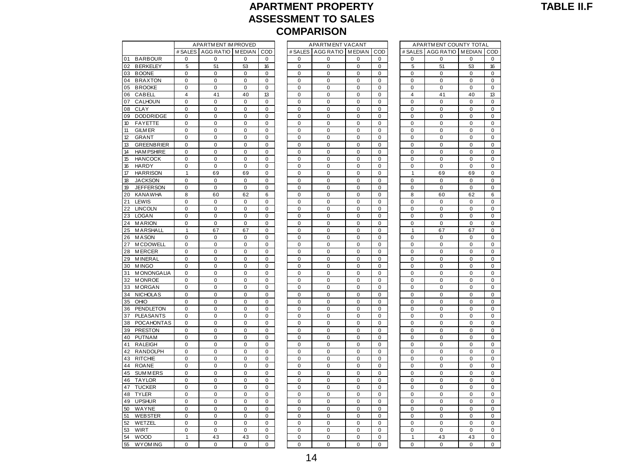### **APARTMENT PROPERTY ASSESSMENT TO SALES COMPARISON**<br>
APARTM ENT IM PROVED<br>
A COMPARISON<br>
A COMPARTM ENT VACANT<br>
A COMPARTM ENTREPROPEDING PATION APARTMENT COUNTY TOTAL

|          |                               |                  | APARTMENT IM PROVED        |             |             |                  | APARTMENT VACANT         |             |                            |                            | APARTMENT COUNTY TOTAL     |                |                            |
|----------|-------------------------------|------------------|----------------------------|-------------|-------------|------------------|--------------------------|-------------|----------------------------|----------------------------|----------------------------|----------------|----------------------------|
|          |                               | # SALES          | AGG RATIO MEDIAN           |             | COD         | # SALES          | AGG RATIO MEDIAN         |             | COD                        |                            | # SALES AGG RATIO MEDIAN   |                | CO                         |
| 01       | <b>BARBOUR</b>                | 0                | $\mathbf 0$                | $\mathbf 0$ | $\mathbf 0$ | $\mathbf 0$      | $\mathbf 0$              | 0           | $\mathbf 0$                | 0                          | $\mathbf 0$                | 0              | 0                          |
| 02       | <b>BERKELEY</b>               | 5                | 51                         | 53          | 16          | $\mathbf 0$      | $\Omega$                 | $\mathbf 0$ | $\Omega$                   | 5                          | 51                         | 53             | 16                         |
| 03       | <b>BOONE</b>                  | $\pmb{0}$        | $\mathbf 0$                | 0           | 0           | 0                | $\mathbf 0$              | $\mathbf 0$ | $\mathbf 0$                | $\mathbf 0$                | 0                          | 0              | $\mathbf 0$                |
| 04       | <b>BRAXTON</b>                | 0                | $\pmb{0}$                  | 0           | $\pmb{0}$   | $\pmb{0}$        | $\pmb{0}$                | $\mathbf 0$ | $\mathbf 0$                | $\mathbf 0$                | $\pmb{0}$                  | 0              | 0                          |
| 05       | <b>BROOKE</b>                 | 0                | 0                          | 0           | 0           | 0                | $\pmb{0}$                | 0           | $\mathbf 0$                | 0                          | $\pmb{0}$                  | 0              | 0                          |
| 06       | CABELL                        | 4                | 41                         | 40          | 13          | 0                | $\mathbf 0$              | $\mathbf 0$ | $\mathbf 0$                | $\overline{4}$             | 41                         | 40             | 13                         |
| 07       | CALHOUN                       | $\Omega$         | $\Omega$                   | 0           | $\Omega$    | 0                | $\Omega$                 | $\Omega$    | $\Omega$                   | $\mathbf 0$                | $\pmb{0}$                  | 0              | 0                          |
| 08       | <b>CLAY</b>                   | 0                | $\mathbf 0$                | $\mathbf 0$ | $\mathbf 0$ | $\mathbf 0$      | $\mathbf 0$              | $\mathbf 0$ | $\mathbf 0$                | $\mathbf 0$                | 0                          | 0              | $\mathbf 0$                |
| 09       | <b>DODDRIDGE</b>              | $\Omega$         | $\Omega$                   | $\Omega$    | $\mathbf 0$ | $\Omega$         | $\Omega$                 | $\Omega$    | $\Omega$                   | $\Omega$                   | $\mathbf 0$                | 0              | $\Omega$                   |
| 10       | <b>FAYETTE</b>                | $\mathbf 0$      | $\mathbf 0$                | $\mathbf 0$ | $\mathbf 0$ | $\mathbf 0$      | $\mathbf 0$              | $\mathbf 0$ | $\mathbf 0$                | $\mathbf 0$                | $\mathbf 0$                | $\mathbf 0$    | $\mathbf 0$                |
| 11       | <b>GILM ER</b>                | 0                | $\mathbf 0$                | 0           | $\mathbf 0$ | $\pmb{0}$        | $\pmb{0}$                | $\mathbf 0$ | $\mathbf 0$                | $\mathbf 0$                | $\mathbf 0$                | 0              | 0                          |
| 12       | <b>GRANT</b>                  | 0                | $\pmb{0}$                  | 0           | $\pmb{0}$   | $\mathbf 0$      | $\pmb{0}$                | $\mathbf 0$ | $\mathbf 0$                | $\mathbf 0$                | $\pmb{0}$                  | 0              | 0                          |
| 13       | <b>GREENBRIER</b>             | 0                | $\mathbf 0$                | $\mathbf 0$ | $\mathbf 0$ | $\mathbf 0$      | $\mathbf 0$              | $\mathbf 0$ | $\mathbf 0$                | $\mathbf 0$                | $\mathbf 0$                | 0              | $\mathbf 0$                |
| 14       | <b>HAM PSHIRE</b>             | 0                | $\mathbf 0$                | $\mathbf 0$ | 0           | 0                | $\mathbf 0$              | $\mathbf 0$ | $\mathbf 0$                | $\mathbf 0$                | $\mathbf 0$                | 0              | $\mathbf 0$                |
| 15       | <b>HANCOCK</b>                | 0                | $\mathbf 0$                | $\mathbf 0$ | $\mathbf 0$ | $\mathbf 0$      | $\mathbf 0$              | $\mathbf 0$ | $\mathbf 0$                | $\mathbf 0$                | $\mathbf 0$                | 0              | $\mathbf 0$                |
| 16       | <b>HARDY</b>                  | 0                | $\mathbf 0$                | $\mathbf 0$ | $\mathbf 0$ | $\mathbf 0$      | $\mathbf 0$              | $\mathbf 0$ | $\mathbf 0$                | $\mathbf 0$                | $\mathbf 0$                | 0              | 0                          |
| 17       | <b>HARRISON</b>               | $\mathbf{1}$     | 69                         | 69          | $\mathbf 0$ | $\mathbf 0$      | $\mathbf 0$              | $\mathbf 0$ | $\mathbf 0$                | $\mathbf{1}$               | 69                         | 69             | $\mathbf 0$                |
| 18       | <b>JACKSON</b>                | $\Omega$         | 0                          | 0           | $\Omega$    | 0                | $\mathbf 0$              | 0           | $\Omega$                   | 0                          | 0                          | 0              | 0                          |
| 19       | <b>JEFFERSON</b>              | 0                | $\pmb{0}$                  | $\pmb{0}$   | $\pmb{0}$   | $\mathbf 0$      | $\pmb{0}$                | $\mathbf 0$ | $\mathbf 0$                | $\mathbf 0$                | $\pmb{0}$                  | 0              | 0                          |
| 20       | <b>KANAWHA</b>                | 8                | 60                         | 62          | 6           | 0                | 0                        | 0           | 0                          | 8                          | 60                         | 62             | 6                          |
| 21       | LEWIS                         | 0                | $\mathbf 0$                | $\mathbf 0$ | 0           | 0                | $\mathbf 0$              | $\mathbf 0$ | $\mathbf 0$                | $\mathbf 0$                | $\mathbf 0$                | 0              | $\mathbf 0$                |
| 22       | <b>LINCOLN</b>                | 0                | $\mathbf 0$                | $\mathbf 0$ | $\mathbf 0$ | $\mathbf 0$      | $\mathbf 0$              | $\mathbf 0$ | $\mathbf 0$                | $\mathbf 0$                | $\mathbf 0$                | 0              | $\mathbf 0$                |
| 23       | <b>LOGAN</b>                  | 0                | $\mathbf 0$                | 0           | $\mathbf 0$ | $\mathbf 0$      | $\mathbf 0$              | 0           | $\mathbf 0$                | 0                          | $\mathbf 0$                | 0              | 0                          |
| 24       | <b>MARION</b>                 | $\mathbf 0$      | $\mathbf 0$                | $\mathbf 0$ | $\mathbf 0$ | $\mathbf 0$      | $\Omega$                 | $\Omega$    | $\Omega$                   | $\mathbf 0$                | $\mathbf 0$                | $\mathbf 0$    | $\mathbf 0$                |
| 25       | MARSHALL                      | $\mathbf{1}$     | 67                         | 67          | $\mathbf 0$ | $\mathbf 0$      | $\mathbf 0$              | $\mathbf 0$ | $\Omega$                   | $\mathbf{1}$               | 67                         | 67             | $\mathbf 0$                |
| 26       | <b>MASON</b>                  | 0                | $\pmb{0}$                  | $\pmb{0}$   | $\pmb{0}$   | $\mathbf 0$      | $\mathbf 0$              | $\mathbf 0$ | $\mathbf 0$                | $\mathbf 0$                | $\pmb{0}$                  | 0              | 0                          |
| 27       | <b>MCDOWELL</b>               | 0                | 0                          | 0           | 0           | 0                | 0                        | 0           | 0                          | 0                          | 0                          | 0              | 0                          |
| 28       | <b>MERCER</b>                 | $\mathbf 0$      | $\mathbf 0$                | $\mathbf 0$ | 0           | 0                | $\mathbf 0$              | $\mathbf 0$ | $\mathbf 0$                | $\mathbf 0$                | $\mathbf 0$                | 0              | $\mathbf 0$                |
| 29       | <b>MINERAL</b>                | 0                | 0                          | 0           | 0           | 0                | $\mathbf 0$              | 0           | $\mathbf 0$                | $\mathbf 0$                | $\pmb{0}$                  | 0              | 0                          |
| 30       | <b>MINGO</b>                  | 0                | $\mathbf 0$                | 0           | $\mathbf 0$ | $\mathbf 0$      | $\mathbf 0$              | $\mathbf 0$ | $\mathbf 0$                | $\mathbf 0$                | $\mathbf 0$                | 0              | $\mathbf 0$                |
| 31       | <b>MONONGALIA</b>             | $\mathbf 0$      | $\Omega$                   | $\Omega$    | $\mathbf 0$ | $\Omega$         | $\Omega$                 | $\Omega$    | $\Omega$                   | $\Omega$                   | $\mathbf 0$                | $\mathbf 0$    | 0                          |
| 32       | <b>MONROE</b>                 | $\Omega$         | $\mathbf 0$                | $\mathbf 0$ | $\Omega$    | $\mathbf 0$      | $\mathbf 0$              | $\mathbf 0$ | $\Omega$                   | $\mathbf 0$                | $\mathbf 0$                | 0              | $\mathbf 0$                |
| 33       | <b>MORGAN</b>                 | $\mathbf 0$      | $\pmb{0}$                  | $\pmb{0}$   | $\pmb{0}$   | $\mathbf 0$      | $\mathbf 0$              | $\mathbf 0$ | $\mathbf 0$                | $\mathbf 0$                | $\pmb{0}$                  | 0              | $\mathbf 0$                |
| 34       | <b>NICHOLAS</b>               | 0                | 0                          | 0           | 0           | 0                | $\mathbf 0$              | 0           | 0                          | 0                          | 0                          | 0              | 0                          |
| 35       | OHIO                          | $\mathbf 0$<br>0 | $\mathbf 0$<br>$\mathbf 0$ | $\mathbf 0$ | 0           | 0                | $\mathbf 0$<br>$\pmb{0}$ | $\mathbf 0$ | $\mathbf 0$<br>$\mathbf 0$ | $\mathbf 0$<br>$\mathbf 0$ | $\mathbf 0$<br>$\mathbf 0$ | 0<br>0         | $\mathbf 0$<br>$\mathbf 0$ |
| 36<br>37 | PENDLETON<br><b>PLEASANTS</b> | 0                | $\mathbf 0$                | 0<br>0      | 0<br>0      | 0<br>$\mathbf 0$ | $\mathbf 0$              | 0<br>0      | $\mathbf 0$                | $\mathbf 0$                | $\mathbf 0$                | 0              | $\mathbf 0$                |
| 38       | <b>POCAHONTAS</b>             | $\mathbf 0$      | $\mathbf 0$                | $\mathbf 0$ | $\mathbf 0$ | $\mathbf 0$      | $\mathbf 0$              | $\mathbf 0$ | $\mathbf 0$                | $\mathbf 0$                | $\mathbf 0$                | 0              | $\mathbf 0$                |
| 39       | <b>PRESTON</b>                | $\mathbf 0$      | $\mathbf 0$                | $\mathbf 0$ | $\Omega$    | $\mathbf 0$      | $\mathbf 0$              | $\mathbf 0$ | $\Omega$                   | $\Omega$                   | $\mathbf 0$                | 0              | $\mathbf 0$                |
| 40       | <b>PUTNAM</b>                 | 0                | 0                          | 0           | 0           | 0                | $\mathbf 0$              | 0           | $\mathbf 0$                | $\mathbf 0$                | $\pmb{0}$                  | 0              | $\mathbf 0$                |
| 41       | <b>RALEIGH</b>                | 0                | $\pmb{0}$                  | 0           | 0           | $\pmb{0}$        | $\pmb{0}$                | 0           | 0                          | 0                          | $\pmb{0}$                  | 0              | 0                          |
| 42       | <b>RANDOLPH</b>               | 0                | $\mathbf 0$                | $\mathbf 0$ | 0           | 0                | $\mathbf 0$              | 0           | $\mathbf 0$                | $\mathbf 0$                | $\mathbf 0$                | 0              | $\mathbf 0$                |
| 43       | <b>RITCHIE</b>                | 0                | $\mathbf 0$                | $\mathbf 0$ | $\mathbf 0$ | $\mathbf 0$      | $\mathbf 0$              | $\mathbf 0$ | $\mathbf 0$                | $\mathbf 0$                | $\mathbf 0$                | 0              | $\mathbf 0$                |
| 44       | <b>ROANE</b>                  | $\overline{0}$   | $\mathbf 0$                | 0           | 0           | $\overline{0}$   | $\mathbf 0$              | $\mathbf 0$ | $\Omega$                   | $\mathbf 0$                | $\mathbf 0$                | $\overline{0}$ | 0                          |
| 45       | <b>SUMMERS</b>                | 0                | $\mathbf 0$                | $\mathbf 0$ | 0           | $\mathbf 0$      | $\mathbf 0$              | $\mathbf 0$ | $\mathbf 0$                | $\mathbf 0$                | 0                          | 0              | $\mathbf 0$                |
| 46       | <b>TAYLOR</b>                 | $\Omega$         | $\Omega$                   | $\Omega$    | $\Omega$    | $\Omega$         | $\Omega$                 | $\Omega$    | $\Omega$                   | $\Omega$                   | $\mathbf 0$                | 0              | $\Omega$                   |
| 47       | <b>TUCKER</b>                 | $\mathbf 0$      | $\pmb{0}$                  | $\mathbf 0$ | $\pmb{0}$   | $\mathbf 0$      | $\mathbf 0$              | $\mathbf 0$ | $\mathbf 0$                | $\mathbf 0$                | $\pmb{0}$                  | 0              | $\mathbf 0$                |
| 48       | <b>TYLER</b>                  | 0                | $\pmb{0}$                  | $\pmb{0}$   | $\pmb{0}$   | $\pmb{0}$        | $\pmb{0}$                | 0           | $\mathbf 0$                | $\mathbf 0$                | $\pmb{0}$                  | 0              | 0                          |
| 49       | <b>UPSHUR</b>                 | 0                | 0                          | 0           | 0           | 0                | $\mathbf 0$              | 0           | $\mathbf 0$                | $\mathbf 0$                | 0                          | 0              | 0                          |
| 50       | WAYNE                         | 0                | $\mathbf 0$                | $\mathbf 0$ | $\mathbf 0$ | $\mathbf 0$      | $\mathbf 0$              | $\mathbf 0$ | $\mathbf 0$                | $\mathbf 0$                | $\mathbf 0$                | 0              | 0                          |
| 51       | <b>WEBSTER</b>                | 0                | 0                          | 0           | 0           | 0                | $\pmb{0}$                | $\mathbf 0$ | $\Omega$                   | 0                          | $\pmb{0}$                  | 0              | $\Omega$                   |
| 52       | WETZEL                        | $\mathbf 0$      | $\mathbf 0$                | $\mathbf 0$ | $\mathbf 0$ | $\mathbf 0$      | $\mathbf 0$              | $\mathbf 0$ | $\mathbf 0$                | $\mathbf 0$                | 0                          | 0              | $\mathbf 0$                |
|          |                               | $\Omega$         | $\Omega$                   | $\Omega$    | $\Omega$    | $\Omega$         | $\Omega$                 | $\Omega$    | $\Omega$                   | $\Omega$                   | $\Omega$                   | $\Omega$       | $\Omega$                   |
|          | WIRT                          |                  |                            |             |             |                  |                          |             |                            |                            |                            |                |                            |
| 53<br>54 | <b>WOOD</b>                   | 1                | 43                         | 43          | $\mathbf 0$ | $\mathbf 0$      | $\mathbf 0$              | $\mathbf 0$ | $\mathbf 0$                | $\mathbf{1}$               | 43                         | 43             | $\mathbf 0$                |

|                         |                        |                |             |                          | <b>COMPARISON</b>            |                        |                  |                            |                               |                            |                            |
|-------------------------|------------------------|----------------|-------------|--------------------------|------------------------------|------------------------|------------------|----------------------------|-------------------------------|----------------------------|----------------------------|
|                         | APARTMENT IM PROVED    |                |             |                          | <b>APARTMENT VACANT</b>      |                        |                  |                            | APARTMENT COUNTY TOTAL        |                            |                            |
|                         | # SALES   AGG RATIO    | <b>MEDIAN</b>  | COD         |                          | # SALES   AGG RATIO   MEDIAN |                        | COD              | # SALES                    | AGG RATIO                     | <b>MEDIAN</b>              | COD                        |
| 0                       | $\mathbf 0$            | 0              | $\mathbf 0$ | 0                        | $\mathbf 0$                  | 0                      | 0                | 0                          | 0                             | $\mathbf 0$                | $\mathbf 0$                |
| 5                       | 51                     | 53             | 16          | 0                        | $\mathbf 0$                  | 0                      | 0                | 5                          | 51                            | 53                         | 16                         |
| 0                       | 0                      | 0              | 0           | 0                        | $\mathbf 0$                  | 0                      | $\mathbf 0$      | $\mathbf 0$                | 0                             | $\mathbf 0$                | 0                          |
| $\mathbf 0$             | $\mathbf 0$            | $\overline{0}$ | $\pmb{0}$   | $\mathbf 0$              | $\mathbf 0$                  | $\mathbf 0$            | $\mathbf 0$      | $\mathbf 0$                | $\mathbf 0$                   | $\mathbf 0$                | $\pmb{0}$                  |
| $\pmb{0}$               | $\mathbf 0$            | 0              | 0           | $\mathbf 0$              | $\mathbf 0$                  | $\mathbf 0$            | $\mathbf 0$      | $\mathbf 0$                | 0                             | $\mathbf 0$                | $\mathbf 0$                |
| $\overline{\mathbf{4}}$ | 41                     | 40             | 13          | $\mathbf 0$              | $\pmb{0}$                    | $\pmb{0}$              | $\mathbf 0$      | $\overline{4}$             | 41                            | 40                         | 13                         |
| 0                       | $\mathbf 0$            | 0              | 0           | $\pmb{0}$                | $\pmb{0}$                    | $\pmb{0}$              | $\mathbf 0$      | $\mathbf 0$                | $\pmb{0}$                     | $\pmb{0}$                  | $\mathbf 0$                |
| 0                       | $\pmb{0}$              | 0              | 0           | $\mathbf 0$              | $\mathbf 0$                  | $\mathbf 0$            | $\mathbf 0$      | $\mathbf 0$                | 0                             | $\mathbf 0$                | $\pmb{0}$                  |
| 0                       | 0                      | 0              | 0           | 0                        | 0                            | 0                      | 0                | 0                          | 0                             | 0                          | 0                          |
| 0                       | 0                      | 0              | 0           | 0                        | 0                            | 0                      | 0                | $\mathbf 0$                | 0                             | 0                          | $\pmb{0}$                  |
| 0<br>0                  | 0<br>$\pmb{0}$         | 0<br>0         | 0<br>0      | 0<br>$\mathbf 0$         | 0<br>$\mathbf 0$             | 0<br>$\mathbf 0$       | 0<br>$\mathbf 0$ | $\mathbf 0$<br>$\mathbf 0$ | $\mathbf 0$<br>$\overline{0}$ | $\mathbf 0$<br>$\mathbf 0$ | $\mathbf 0$<br>$\mathbf 0$ |
| 0                       | 0                      | 0              | 0           | 0                        | $\mathbf 0$                  | 0                      | 0                | 0                          | 0                             | $\mathbf 0$                | $\mathbf 0$                |
| 0                       | $\mathbf 0$            | 0              | 0           | $\mathbf 0$              | $\mathbf 0$                  | $\mathbf 0$            | $\mathbf 0$      | $\mathbf 0$                | 0                             | $\mathbf 0$                | $\mathbf 0$                |
| 0                       | 0                      | 0              | 0           | 0                        | $\mathbf 0$                  | 0                      | $\mathbf 0$      | $\mathbf 0$                | $\mathbf 0$                   | $\mathbf 0$                | 0                          |
| 0                       | 0                      | 0              | 0           | 0                        | $\mathbf 0$                  | 0                      | 0                | $\mathbf 0$                | $\mathbf 0$                   | $\mathbf 0$                | 0                          |
| $\mathbf{1}$            | 69                     | 69             | 0           | $\mathbf 0$              | $\mathbf 0$                  | $\mathbf 0$            | $\mathbf 0$      | $\mathbf{1}$               | 69                            | 69                         | $\mathbf 0$                |
| $\mathbf 0$             | $\pmb{0}$              | 0              | 0           | $\mathbf 0$              | $\mathbf 0$                  | $\mathbf 0$            | $\mathbf 0$      | $\mathbf 0$                | $\mathbf 0$                   | $\mathbf 0$                | $\mathbf 0$                |
| 0                       | $\pmb{0}$              | $\pmb{0}$      | 0           | $\mathbf 0$              | $\mathbf 0$                  | $\mathbf 0$            | $\mathbf 0$      | $\mathbf 0$                | $\mathbf 0$                   | $\mathbf 0$                | $\mathbf 0$                |
| 8                       | 60                     | 62             | 6           | $\pmb{0}$                | $\pmb{0}$                    | $\pmb{0}$              | $\pmb{0}$        | 8                          | 60                            | 62                         | 6                          |
| $\pmb{0}$               | $\pmb{0}$              | 0              | $\pmb{0}$   | $\mathbf 0$              | $\mathbf 0$                  | $\pmb{0}$              | $\mathbf 0$      | $\mathbf 0$                | $\mathbf 0$                   | $\mathbf 0$                | $\pmb{0}$                  |
| 0                       | 0                      | 0              | 0           | 0                        | 0                            | 0                      | 0                | $\pmb{0}$                  | 0                             | 0                          | 0                          |
| 0                       | 0                      | 0              | 0           | 0                        | 0                            | 0                      | 0                | $\mathbf 0$                | 0                             | $\mathbf 0$                | $\pmb{0}$                  |
| 0                       | $\pmb{0}$              | 0              | 0           | 0                        | 0                            | 0                      | 0                | 0                          | $\mathbf 0$                   | $\mathbf 0$                | $\mathbf 0$                |
| $\mathbf{1}$            | 67                     | 67             | 0           | $\mathbf 0$              | $\mathbf 0$                  | $\mathbf 0$            | $\mathbf 0$      | 1                          | 67                            | 67                         | $\mathbf 0$                |
| 0                       | 0                      | 0              | 0           | 0                        | 0                            | 0                      | 0                | $\mathbf 0$                | 0                             | $\mathbf 0$                | $\mathbf 0$                |
| 0                       | $\mathbf 0$            | 0              | 0           | $\mathbf 0$              | $\mathbf 0$                  | $\mathbf 0$            | $\mathbf 0$      | $\mathbf 0$                | $\overline{0}$                | $\mathbf 0$                | $\mathbf 0$                |
| 0                       | 0                      | 0              | 0           | $\mathbf 0$              | $\mathbf 0$                  | 0                      | 0                | 0                          | 0                             | $\mathbf 0$                | 0                          |
| $\mathbf 0$             | $\mathbf 0$            | 0              | $\mathbf 0$ | $\mathbf 0$              | $\mathbf 0$                  | $\mathbf 0$            | $\mathbf 0$      | $\mathbf 0$                | 0                             | $\mathbf 0$                | 0                          |
| $\mathbf 0$             | $\mathbf 0$            | $\overline{0}$ | $\mathbf 0$ | $\mathbf 0$              | $\mathbf 0$                  | $\mathbf 0$            | $\mathbf 0$      | $\mathbf 0$                | $\mathbf 0$                   | $\mathbf 0$                | $\pmb{0}$                  |
| $\pmb{0}$               | $\pmb{0}$              | 0              | 0           | $\mathbf 0$              | $\mathbf 0$                  | $\mathbf 0$            | $\mathbf 0$      | $\mathbf 0$                | $\mathbf 0$                   | $\mathbf 0$                | $\mathbf 0$                |
| $\pmb{0}$<br>0          | $\pmb{0}$<br>$\pmb{0}$ | $\pmb{0}$<br>0 | 0<br>0      | $\mathbf 0$<br>$\pmb{0}$ | $\mathbf 0$<br>$\pmb{0}$     | $\pmb{0}$<br>$\pmb{0}$ | 0<br>$\mathbf 0$ | $\mathbf 0$<br>$\mathbf 0$ | $\mathbf 0$<br>0              | $\mathbf 0$<br>$\mathbf 0$ | $\pmb{0}$<br>$\pmb{0}$     |
| 0                       | $\pmb{0}$              | 0              | 0           | $\mathbf 0$              | $\mathbf 0$                  | $\mathbf 0$            | $\mathbf 0$      | $\mathbf 0$                | 0                             | $\mathbf 0$                | $\pmb{0}$                  |
| 0                       | 0                      | 0              | 0           | 0                        | 0                            | 0                      | 0                | 0                          | 0                             | 0                          | 0                          |
| $\pmb{0}$               | $\pmb{0}$              | 0              | $\pmb{0}$   | $\pmb{0}$                | 0                            | $\pmb{0}$              | 0                | $\mathbf 0$                | 0                             | $\mathbf 0$                | $\pmb{0}$                  |
| 0                       | 0                      | 0              | 0           | 0                        | 0                            | $\mathbf 0$            | 0                | $\mathbf 0$                | $\mathbf 0$                   | $\mathbf 0$                | $\mathbf 0$                |
| 0                       | $\pmb{0}$              | $\mathbf 0$    | 0           | $\mathbf 0$              | $\mathbf 0$                  | 0                      | $\mathbf 0$      | $\mathbf 0$                | $\overline{0}$                | 0                          | $\mathbf 0$                |
| $\mathbf 0$             | 0                      | 0              | 0           | 0                        | $\mathbf 0$                  | 0                      | 0                | 0                          | 0                             | $\mathbf 0$                | $\mathbf 0$                |
| 0                       | $\mathbf 0$            | 0              | 0           | $\mathbf 0$              | $\mathbf 0$                  | $\mathbf 0$            | $\mathbf 0$      | $\mathbf 0$                | 0                             | $\mathbf 0$                | $\mathbf 0$                |
| 0                       | $\mathbf 0$            | 0              | 0           | 0                        | $\mathbf 0$                  | 0                      | $\mathbf 0$      | $\mathbf 0$                | 0                             | $\mathbf 0$                | 0                          |
| 0                       | 0                      | 0              | 0           | $\mathbf 0$              | $\mathbf 0$                  | 0                      | 0                | $\mathbf 0$                | 0                             | $\mathbf 0$                | 0                          |
| $\pmb{0}$               | $\pmb{0}$              | $\mathbf 0$    | 0           | $\mathbf 0$              | $\pmb{0}$                    | $\pmb{0}$              | $\mathbf 0$      | $\mathbf 0$                | $\mathbf 0$                   | $\mathbf 0$                | $\pmb{0}$                  |
| $\mathbf 0$             | $\mathbf 0$            | $\overline{0}$ | 0           | $\mathbf 0$              | $\mathbf 0$                  | $\mathbf 0$            | $\mathbf 0$      | $\mathbf 0$                | $\mathbf 0$                   | $\mathbf 0$                | $\mathbf 0$                |
| 0                       | $\pmb{0}$              | 0              | 0           | $\mathbf 0$              | $\mathbf 0$                  | $\pmb{0}$              | $\mathbf 0$      | $\mathbf 0$                | 0                             | $\mathbf 0$                | $\pmb{0}$                  |
| 0                       | $\pmb{0}$              | 0              | 0           | $\pmb{0}$                | $\pmb{0}$                    | $\pmb{0}$              | $\pmb{0}$        | 0                          | 0                             | $\pmb{0}$                  | $\mathbf 0$                |
| $\pmb{0}$               | $\pmb{0}$              | 0              | $\pmb{0}$   | $\mathbf 0$              | $\mathbf 0$                  | $\pmb{0}$              | $\mathbf 0$      | $\pmb{0}$                  | 0                             | $\mathbf 0$                | $\pmb{0}$                  |
| 0                       | 0                      | 0              | 0           | 0                        | 0                            | 0                      | 0                | $\mathbf 0$                | 0                             | 0                          | 0                          |
| 0                       | 0                      | 0              | 0           | 0                        | 0                            | 0                      | 0                | $\mathbf 0$                | $\overline{0}$                | $\mathbf 0$                | $\mathbf 0$                |
| $\pmb{0}$               | $\pmb{0}$              | 0              | 0           | 0                        | 0                            | 0                      | 0                | $\mathbf 0$                | $\mathbf 0$                   | $\mathbf 0$                | $\mathbf 0$                |
| 0                       | $\pmb{0}$              | 0              | 0           | $\mathbf 0$              | $\mathbf 0$                  | $\mathbf 0$            | $\mathbf 0$      | $\mathbf 0$                | 0                             | $\mathbf 0$                | $\mathbf 0$                |
| 0                       | 0                      | 0              | 0           | 0                        | 0                            | $\mathbf 0$            | 0                | $\mathbf 0$                | 0                             | 0                          | $\mathbf 0$                |
| 0                       | $\mathbf 0$            | 0              | 0           | $\mathbf 0$              | $\mathbf 0$                  | 0                      | $\mathbf 0$      | $\mathbf 0$                | $\overline{0}$                | $\overline{0}$             | $\mathbf 0$                |
| $\mathbf{1}$            | 43                     | 43             | 0           | $\mathbf 0$              | 0                            | 0                      | 0                | $\mathbf{1}$               | 43                            | 43                         | 0                          |
| 0                       | 0                      | 0              | 0           | $\mathbf 0$              | 0                            | $\mathbf 0$            | 0                | 0                          | 0                             | 0                          | 0                          |

|          | APARTMENT COUNTY TOTAL |                |              |
|----------|------------------------|----------------|--------------|
| #SALES   | AGG RATIO              | <b>MEDIAN</b>  | COD          |
| 0        | 0                      | 0              | 0            |
|          | 51                     | 53             | 16           |
| 5        |                        |                |              |
| 0        | 0                      | 0              | 0            |
| 0        | $\overline{0}$         | 0              | 0            |
| 0        | 0                      | 0              | 0            |
| 4        | 41                     | 40             | 13           |
| 0        | 0                      | 0              | $\mathbf{0}$ |
| 0        | 0                      | 0              | 0            |
| 0        | 0                      | 0              | 0            |
| 0        | 0                      | 0              | 0            |
| 0        | 0                      | 0              | 0            |
| 0        | 0                      | 0              | 0            |
|          |                        |                |              |
| 0        | 0                      | 0              | 0            |
| 0        | 0                      | 0              | 0            |
| 0        | 0                      | 0              | 0            |
| 0        | 0                      | 0              | 0            |
| 1        | 69                     | 69             | 0            |
| 0        | 0                      | $\overline{0}$ | 0            |
| 0        | 0                      | 0              | 0            |
| 8        | 60                     | 62             | 6            |
| 0        | 0                      | 0              | 0            |
|          |                        |                |              |
| 0        | 0                      | 0              | 0            |
| 0        | 0                      | 0              | 0            |
| 0        | $\mathbf{0}$           | 0              | 0            |
| 1        | 67                     | 67             | 0            |
| 0        | 0                      | 0              | 0            |
| 0        | 0                      | 0              | 0            |
| 0        | 0                      | 0              | 0            |
| 0        | 0                      | O              | 0            |
| 0        | 0                      | 0              | 0            |
|          |                        |                |              |
| 0        | 0                      | 0              | 0            |
| 0        | 0                      | 0              | 0            |
| 0        | 0                      | 0              | 0            |
| 0        | O                      | 0              | O            |
| 0        | 0                      | 0              | 0            |
| 0        | 0                      | 0              | 0            |
| 0        | 0                      | 0              | 0            |
| 0        | 0                      | 0              | 0            |
| 0        | O                      | O              | O            |
|          | 0                      |                |              |
| 0        |                        | 0              | 0            |
| 0        | 0                      | 0              | 0            |
| 0        | 0                      | 0              | 0            |
| 0        | 0                      | $\mathbf{0}$   | 0            |
| 0        | O                      | 0              | O            |
| 0        | 0                      | 0              | 0            |
| 0        | 0                      | 0              | 0            |
| 0        | $\overline{0}$         | 0              | 0            |
| 0        | 0                      | 0              | 0            |
|          |                        |                |              |
| 0        | O                      | o              | O            |
| 0        | 0                      | 0              | 0            |
| 0        | 0                      | 0              | 0            |
| 0        | 0                      | 0              | 0            |
| 0        | 0                      | 0              | 0            |
| 1        | 43                     | 43             | 0            |
| $\Omega$ | O                      | $\Omega$       | O            |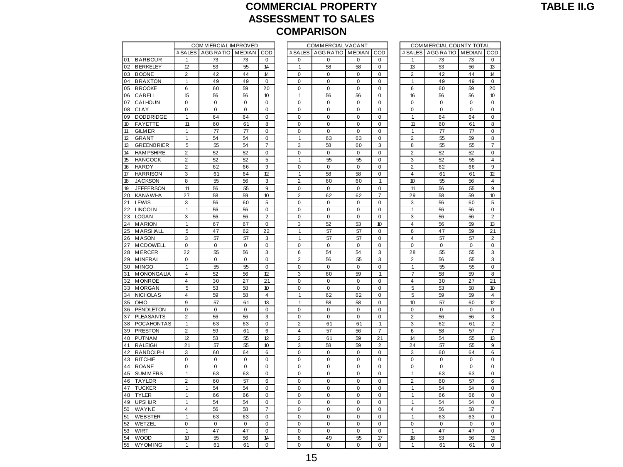#### **COMMERCIAL PROPERTY ASSESSMENT TO SALES COMPARISON** COMMERCIAL IMPROVED<br>COMMERCIAL IMPROVED COMMERCIAL VACANT COMMERCIAL COUNTY TOTAL<br>ES LAGG PATIO IMEDIAN LOOD ES LAGG PATIO IMPROVED FRANCE PATIO IMPROVED

|          |                                 |                   | COM MERCIAL IM PROVED    |                   |                  |                     | COM MERCIAL VACANT       |             |                |                         | COMMERCIAL COUNTY TOTAL     |             |                |
|----------|---------------------------------|-------------------|--------------------------|-------------------|------------------|---------------------|--------------------------|-------------|----------------|-------------------------|-----------------------------|-------------|----------------|
|          |                                 |                   | # SALES AGG RATIO MEDIAN |                   | COD              |                     | # SALES AGG RATIO MEDIAN |             | COD            |                         | # SALES AGG RATIO MEDIAN CO |             |                |
| 01       | <b>BARBOUR</b>                  | 1                 | 73                       | 73                | $\mathbf 0$      | $\mathbf 0$         | $\mathbf 0$              | $\mathbf 0$ | $\mathbf 0$    | 1                       | 73                          | 73          | $\mathbf 0$    |
| 02       | <b>BERKELEY</b>                 | 12                | 53                       | 55                | 14               | $\mathbf{1}$        | 58                       | 58          | $\Omega$       | 13                      | 53                          | 56          | 13             |
|          | 03 BOONE                        | $\overline{2}$    | 42                       | 44                | 14               | $\mathbf 0$         | $\mathbf 0$              | $\mathbf 0$ | $\mathbf 0$    | $\overline{c}$          | 42                          | 44          | 14             |
| 04       | <b>BRAXTON</b>                  | 1                 | 49                       | 49                | $\mathbf 0$      | 0                   | $\mathbf 0$              | $\mathbf 0$ | 0              | $\mathbf{1}$            | 49                          | 49          | $\mathbf 0$    |
| 05       | <b>BROOKE</b>                   | 6                 | 60                       | 59                | 20               | $\mathbf 0$         | $\pmb{0}$                | $\mathbf 0$ | 0              | 6                       | 60                          | 59          | 20             |
| 06       | CABELL                          | 15                | 56                       | 56                | 10               | 1                   | 56                       | 56          | $\mathbf 0$    | 16                      | 56                          | 56          | 10             |
| 07       | CALHOUN                         | $\mathbf 0$       | $\mathbf 0$              | $\pmb{0}$         | $\mathbf 0$      | $\mathbf 0$         | $\mathbf 0$              | $\mathbf 0$ | 0              | 0                       | $\mathbf 0$                 | $\mathbf 0$ | 0              |
| 08       | CLAY                            | $\mathbf 0$       | $\mathbf 0$              | $\mathbf 0$       | $\mathbf 0$      | $\mathbf 0$         | $\mathbf 0$              | $\mathbf 0$ | $\mathbf 0$    | 0                       | $\mathbf 0$                 | $\mathbf 0$ | $\mathbf 0$    |
| 09       | <b>DODDRIDGE</b>                | $\mathbf{1}$      | 64                       | 64                | $\mathbf 0$      | $\mathbf 0$         | $\mathbf 0$              | $\mathbf 0$ | $\mathbf 0$    | $\mathbf{1}$            | 64                          | 64          | 0              |
| 10       | <b>FAYETTE</b>                  | 11                | 60                       | 61                | 8                | $\Omega$            | $\mathbf 0$              | $\mathbf 0$ | $\mathbf 0$    | 11                      | 60                          | 61          | 8              |
| 11       | <b>GILM ER</b>                  | 1                 | 77                       | 77                | $\Omega$         | 0                   | $\mathbf 0$              | $\mathbf 0$ | $\Omega$       | $\mathbf{1}$            | 77                          | 77          | 0              |
| 12       | <b>GRANT</b>                    | $\mathbf{1}$      | 54                       | 54                | $\pmb{0}$        | $\mathbf{1}$        | 63                       | 63          | 0              | $\overline{2}$          | 55                          | 59          | 8              |
| 13       | <b>GREENBRIER</b>               | 5                 | 55                       | 54                | 7                | 3                   | 58                       | 60          | 3              | 8                       | 55                          | 55          | 7              |
| 14       | <b>HAM PSHIRE</b>               | $\overline{2}$    | 52                       | 52                | $\mathbf 0$      | $\mathbf 0$         | $\mathbf 0$              | $\mathbf 0$ | $\mathbf 0$    | $\overline{2}$          | 52                          | 52          | $\pmb{0}$      |
| 15       | <b>HANCOCK</b>                  | $\overline{2}$    | 52                       | 52                | 5                | 1                   | 55                       | 55          | $\mathbf 0$    | 3                       | 52                          | 55          | $\overline{4}$ |
| 16       | <b>HARDY</b>                    | $\overline{2}$    | 62                       | 66                | 9                | $\mathbf 0$         | $\mathbf 0$              | $\mathbf 0$ | 0              | $\overline{2}$          | 62                          | 66          | 9              |
| 17       | <b>HARRISON</b>                 | 3                 | 61                       | 64                | 12               | $\mathbf{1}$        | 58                       | 58          | $\Omega$       | $\overline{\mathbf{4}}$ | 61                          | 61          | 12             |
| 18       | <b>JACKSON</b>                  | 8                 | 55                       | 56                | 3                | $\overline{2}$      | 60                       | 60          | $\mathbf{1}$   | 10                      | 55                          | 56          | $\overline{4}$ |
| 19       | <b>JEFFERSON</b>                | 11                | 56                       | 55                | 9                | $\mathbf 0$         | $\mathbf 0$              | $\mathbf 0$ | $\mathbf 0$    | 11                      | 56                          | 55          | 9              |
| 20       | <b>KANAWHA</b>                  | 27                | 58                       | 59                | 10               | $\overline{2}$      | 62                       | 62          | 7              | 29                      | 58                          | 59          | 10             |
| 21       | LEWIS                           | 3                 | 56                       | 60                | 5                | $\mathbf 0$         | $\mathbf 0$              | $\mathbf 0$ | $\mathbf 0$    | 3                       | 56                          | 60          | 5              |
| 22       | <b>LINCOLN</b>                  | $\mathbf{1}$      | 56                       | 56                | 0                | 0                   | $\mathbf 0$              | $\mathbf 0$ | $\mathbf 0$    | 1                       | 56                          | 56          | $\pmb{0}$      |
| 23       | <b>LOGAN</b>                    | $\overline{3}$    | 56                       | 56                | $\overline{2}$   | $\mathbf 0$         | $\mathbf 0$              | $\mathbf 0$ | 0              | 3                       | 56                          | 56          | $\overline{2}$ |
| 24       | <b>MARION</b>                   | $\mathbf{1}$      | 67                       | 67                | $\mathbf 0$      | 3                   | 52                       | 53          | 10             | $\overline{4}$          | 56<br>47                    | 59          | 13             |
| 25       | <b>MARSHALL</b>                 | 5                 | 47                       | 62                | 22               | 1                   | 57                       | 57          | $\Omega$       | 6                       |                             | 59          | 21             |
| 26       | <b>MASON</b>                    | 3                 | 57                       | 57                | 3                | 1                   | 57                       | 57          | 0              | 4                       | 57                          | 57          | $\overline{2}$ |
| 27       | <b>MCDOWELL</b>                 | 0                 | $\pmb{0}$                | $\pmb{0}$         | $\pmb{0}$        | $\mathbf 0$         | $\mathbf 0$              | $\mathbf 0$ | 0              | 0                       | 0                           | 0           | 0              |
| 28<br>29 | <b>MERCER</b><br><b>MINERAL</b> | 22<br>$\mathbf 0$ | 55<br>$\mathbf 0$        | 56<br>$\mathbf 0$ | 3<br>$\pmb{0}$   | 6<br>$\overline{2}$ | 54<br>56                 | 54<br>55    | 3<br>3         | 28<br>$\overline{c}$    | 55<br>56                    | 55<br>55    | 3<br>3         |
| 30       | <b>MINGO</b>                    | $\mathbf{1}$      | 55                       | 55                | 0                | 0                   | $\mathbf 0$              | $\mathbf 0$ | 0              | $\mathbf{1}$            | 55                          | 55          | 0              |
| 31       | <b>MONONGALIA</b>               | $\overline{4}$    | 52                       | 56                | 12               | 3                   | 60                       | 59          | $\mathbf{1}$   | 7                       | 58                          | 59          | 8              |
| 32       | <b>MONROE</b>                   | $\overline{4}$    | 30                       | 27                | 21               | $\Omega$            | $\Omega$                 | $\Omega$    | $\Omega$       | 4                       | 30                          | 27          | 21             |
| 33       | <b>MORGAN</b>                   | $\overline{5}$    | 53                       | 58                | 10               | $\mathbf 0$         | $\mathbf 0$              | $\mathbf 0$ | $\mathbf 0$    | 5                       | 53                          | 58          | 10             |
| 34       | <b>NICHOLAS</b>                 | $\overline{4}$    | 59                       | 58                | 4                | 1                   | 62                       | 62          | 0              | 5                       | 59                          | 59          | $\overline{4}$ |
| 35       | OHIO                            | 9                 | 57                       | 61                | 13               | 1                   | 58                       | 58          | 0              | 10                      | 57                          | 60          | 12             |
| 36       | PENDLETON                       | $\mathbf 0$       | $\mathbf 0$              | $\mathbf 0$       | $\mathbf 0$      | $\mathbf 0$         | $\mathbf 0$              | $\mathbf 0$ | $\mathbf 0$    | 0                       | $\mathbf 0$                 | $\mathbf 0$ | $\mathbf 0$    |
| 37       | <b>PLEASANTS</b>                | $\overline{2}$    | 56                       | 56                | 3                | $\mathbf 0$         | $\mathbf 0$              | $\mathbf 0$ | 0              | $\overline{2}$          | 56                          | 56          | 3              |
| 38       | <b>POCAHONTAS</b>               | $\mathbf{1}$      | 63                       | 63                | $\mathbf 0$      | $\overline{2}$      | 61                       | 61          | $\mathbf{1}$   | 3                       | 62                          | 61          | $\overline{2}$ |
| 39       | <b>PRESTON</b>                  | $\overline{2}$    | 59                       | 61                | 6                | $\overline{4}$      | 57                       | 56          | $\overline{7}$ | 6                       | 58                          | 57          | $\overline{7}$ |
| 40       | PUTNAM                          | 12                | 53                       | 55                | 12               | $\overline{2}$      | 61                       | 59          | 21             | 14                      | 54                          | 55          | 13             |
| 41       | <b>RALEIGH</b>                  | 21                | 57                       | 55                | 10 <sup>10</sup> | 3                   | 58                       | 59          | $\overline{2}$ | 24                      | 57                          | 55          | 9              |
| 42       | <b>RANDOLPH</b>                 | 3                 | 60                       | 64                | 6                | $\mathbf 0$         | $\mathbf 0$              | $\mathbf 0$ | $\mathbf 0$    | 3                       | 60                          | 64          | 6              |
| 43       | <b>RITCHIE</b>                  | 0                 | 0                        | 0                 | 0                | 0                   | 0                        | 0           | 0              | 0                       | 0                           | 0           | 0              |
| 44       | <b>ROANE</b>                    | $\mathbf 0$       | $\mathbf 0$              | $\mathbf 0$       | $\mathbf 0$      | $\mathbf 0$         | $\mathbf 0$              | $\mathbf 0$ | 0              | 0                       | $\mathbf 0$                 | $\mathbf 0$ | 0              |
| 45       | <b>SUMMERS</b>                  | $\mathbf{1}$      | 63                       | 63                | 0                | 0                   | $\mathbf 0$              | $\mathbf 0$ | $\mathbf 0$    | 1                       | 63                          | 63          | 0              |
| 46       | <b>TAYLOR</b>                   | $\overline{2}$    | 60                       | 57                | 6                | $\mathbf 0$         | $\mathbf 0$              | $\mathbf 0$ | 0              | $\overline{2}$          | 60                          | 57          | 6              |
| 47       | <b>TUCKER</b>                   | $\mathbf{1}$      | 54                       | 54                | 0                | $\Omega$            | $\Omega$                 | $\Omega$    | $\Omega$       | $\mathbf{1}$            | 54                          | 54          | 0              |
| 48       | <b>TYLER</b>                    | $\mathbf{1}$      | 66                       | 66                | $\mathbf 0$      | $\mathbf 0$         | $\mathbf 0$              | $\mathbf 0$ | $\Omega$       | $\mathbf{1}$            | 66                          | 66          | $\mathbf{0}$   |
| 49       | <b>UPSHUR</b>                   | $\mathbf{1}$      | 54                       | 54                | $\mathbf 0$      | $\mathbf 0$         | $\mathbf 0$              | $\mathbf 0$ | $\mathbf 0$    | $\mathbf{1}$            | 54                          | 54          | 0              |
| 50       | WAYNE                           | 4                 | 56                       | 58                | 7                | 0                   | 0                        | 0           | 0              | 4                       | 56                          | 58          | $\overline{7}$ |
| 51       | <b>WEBSTER</b>                  | $\overline{1}$    | 63                       | 63                | $\mathbf 0$      | $\mathbf 0$         | $\mathbf 0$              | $\mathbf 0$ | 0              | $\overline{1}$          | 63                          | 63          | $\mathbf 0$    |
| 52       | WETZEL                          | $\mathbf 0$       | $\pmb{0}$                | $\pmb{0}$         | $\pmb{0}$        | $\mathbf 0$         | $\mathbf 0$              | $\mathbf 0$ | $\mathbf 0$    | 0                       | $\mathbf 0$                 | 0           | $\pmb{0}$      |
| 53       | <b>WIRT</b>                     | 1                 | 47                       | 47                | $\mathbf 0$      | $\mathbf 0$         | $\mathbf 0$              | $\mathbf 0$ | 0              | $\mathbf{1}$            | 47                          | 47          | $\mathbf{0}$   |
| 54       | <b>WOOD</b>                     | 10                | 55                       | 56                | 14               | 8                   | 49                       | 55          | 17             | 18                      | 53                          | 56          | 15             |
| 55       | <b>WYOMING</b>                  | $\mathbf{1}$      | 61                       | 61                | $\Omega$         | $\Omega$            | $\Omega$                 | $\Omega$    | $\Omega$       | $\mathbf{1}$            | 61                          | 61          | $\mathbf 0$    |

|                                  |                       |               |                               |                                  | <b>COMPARISON</b>   |                 |                      |                     |                         |               |                                  |
|----------------------------------|-----------------------|---------------|-------------------------------|----------------------------------|---------------------|-----------------|----------------------|---------------------|-------------------------|---------------|----------------------------------|
|                                  | COM MERCIAL IM PROVED |               |                               |                                  | COMMERCIAL VACANT   |                 |                      |                     | COMMERCIAL COUNTY TOTAL |               |                                  |
| # SALES                          | AGG RATIO             | <b>MEDIAN</b> | COD                           |                                  | # SALES   AGG RATIO | <b>MEDIAN</b>   | COD                  | # SALES             | AGG RATIO               | <b>MEDIAN</b> | COD                              |
| 1                                | 73                    | 73            | 0                             | 0                                | 0                   | 0               | 0                    | 1                   | 73                      | 73            | 0                                |
| 12                               | 53                    | 55            | 14                            | 1                                | 58                  | 58              | $\mathbf 0$          | 13                  | 53                      | 56            | 13                               |
| 2                                | 42                    | 44            | 14                            | $\mathbf 0$                      | $\mathbf 0$         | $\mathbf 0$     | $\mathbf 0$          | $\overline{2}$      | 42                      | 44            | 14                               |
| $\mathbf{1}$                     | 49                    | 49            | $\mathbf 0$                   | $\mathbf 0$                      | $\mathbf 0$         | $\mathbf 0$     | $\mathbf 0$          | $\mathbf{1}$        | 49                      | 49            | 0                                |
| 6                                | 60                    | 59            | 20                            | $\mathbf 0$                      | $\mathbf 0$         | $\mathbf 0$     | $\mathbf 0$          | 6                   | 60                      | 59            | 20                               |
| 15                               | 56                    | 56            | 10                            | 1                                | 56                  | 56              | $\mathbf 0$          | 16                  | 56                      | 56            | 10                               |
| 0                                | $\mathbf 0$           | 0             | 0                             | $\mathbf 0$                      | $\mathbf 0$         | $\mathbf 0$     | $\Omega$             | $\Omega$            | $\mathbf 0$             | $\mathbf 0$   | $\mathbf 0$                      |
| 0                                | 0                     | 0             | 0                             | $\mathbf 0$                      | $\mathbf 0$         | $\mathbf 0$     | $\mathbf 0$          | $\mathbf 0$         | $\mathbf 0$             | $\mathbf 0$   | $\mathbf 0$                      |
| 1                                | 64                    | 64            | 0                             | 0                                | 0                   | 0               | 0                    | $\mathbf{1}$        | 64                      | 64            | $\overline{\text{o}}$            |
| 11                               | 60                    | 61            | 8                             | $\pmb{0}$                        | $\pmb{0}$           | $\pmb{0}$       | $\pmb{0}$            | 11                  | 60                      | 61            | 8                                |
| 1                                | 77                    | 77            | 0                             | 0                                | 0                   | 0               | 0                    | 1                   | 77                      | 77            | 0                                |
| 1                                | 54                    | 54            | 0                             | 1                                | 63                  | 63              | 0                    | $\overline{2}$      | 55                      | 59            | 8                                |
| 5                                | 55                    | 54            | 7                             | 3                                | 58                  | 60              | 3                    | 8                   | 55                      | 55            | 7                                |
| $\overline{2}$<br>$\overline{2}$ | 52<br>52              | 52<br>52      | $\mathbf 0$<br>$\overline{5}$ | 0                                | 0<br>55             | 0<br>55         | 0                    | $\overline{2}$<br>3 | 52<br>52                | 52            | $\overline{0}$<br>$\overline{4}$ |
| $\overline{2}$                   | 62                    |               | 9                             | 1<br>$\mathbf 0$                 | $\mathbf 0$         | 0               | $\mathbf 0$<br>0     | $\overline{2}$      |                         | 55            | $\overline{9}$                   |
| 3                                | 61                    | 66<br>64      | 12                            | 1                                | 58                  | 58              | 0                    | 4                   | 62<br>61                | 66<br>61      | 12                               |
| 8                                | 55                    | 56            | 3                             | $\overline{2}$                   | 60                  | 60              | 1                    | 10                  | 55                      | 56            | $\overline{4}$                   |
| 11                               | 56                    | 55            | 9                             | $\mathbf 0$                      | $\mathbf 0$         | $\mathbf 0$     | $\mathbf 0$          | 11                  | 56                      | 55            | 9                                |
| 27                               | 58                    | 59            | 10                            | $\overline{2}$                   | 62                  | 62              | $\overline{7}$       | 29                  | 58                      | 59            | 10                               |
| 3                                | 56                    | 60            | 5                             | 0                                | 0                   | 0               | 0                    | 3                   | 56                      | 60            | 5                                |
| $\mathbf{1}$                     | 56                    | 56            | $\mathbf 0$                   | $\mathbf 0$                      | $\mathbf 0$         | $\mathbf 0$     | $\Omega$             | $\mathbf{1}$        | 56                      | 56            | $\mathbf 0$                      |
| 3                                | 56                    | 56            | $\overline{2}$                | $\mathbf 0$                      | $\mathbf 0$         | $\mathbf 0$     | $\Omega$             | 3                   | 56                      | 56            | $\overline{2}$                   |
| 1                                | 67                    | 67            | 0                             | 3                                | 52                  | 53              | 10                   | $\overline{4}$      | 56                      | 59            | 13                               |
| 5                                | 47                    | 62            | 22                            | 1                                | 57                  | 57              | 0                    | 6                   | 47                      | 59            | 21                               |
| 3                                | 57                    | 57            | 3                             | 1                                | 57                  | 57              | 0                    | 4                   | 57                      | 57            | $\mathbf 2$                      |
| 0                                | $\pmb{0}$             | $\mathbf 0$   | 0                             | $\mathbf 0$                      | 0                   | 0               | 0                    | $\mathbf 0$         | 0                       | $\mathbf 0$   | $\mathbf 0$                      |
| 22                               | 55                    | 56            | 3                             | 6                                | 54                  | 54              | 3                    | 28                  | 55                      | 55            | 3                                |
| 0                                | 0                     | 0             | 0                             | $\overline{2}$                   | 56                  | 55              | 3                    | $\overline{2}$      | 56                      | 55            | 3                                |
| $\mathbf{1}$                     | 55                    | 55            | 0                             | 0                                | $\mathbf 0$         | 0               | $\pmb{0}$            | 1                   | 55                      | 55            | $\overline{0}$                   |
| 4                                | 52                    | 56            | 12                            | 3                                | 60                  | 59              | $\mathbf{1}$         | $\overline{7}$      | 58                      | 59            | $\overline{8}$                   |
| 4                                | 30                    | 27            | 21                            | 0                                | 0                   | 0               | 0                    | $\overline{4}$      | 30                      | 27            | 21                               |
| 5                                | 53                    | 58            | 10                            | 0                                | 0                   | 0               | 0                    | 5                   | 53                      | 58            | 10                               |
| 4                                | 59                    | 58            | $\overline{\mathbf{4}}$       | 1                                | 62                  | 62              | $\mathbf 0$          | 5                   | 59                      | 59            | $\overline{4}$                   |
| 9                                | 57                    | 61            | 13                            | 1                                | 58                  | 58              | 0                    | 10                  | 57                      | 60            | 12                               |
| 0                                | $\mathbf 0$           | 0             | $\mathbf 0$                   | $\mathbf 0$                      | $\mathbf 0$         | $\mathbf 0$     | $\mathbf 0$          | $\mathbf 0$         | $\mathbf 0$             | $\mathbf 0$   | 0                                |
| $\overline{2}$                   | 56                    | 56            | 3                             | $\mathbf 0$                      | $\mathbf 0$         | $\mathbf 0$     | 0                    | $\overline{2}$      | 56                      | 56            | 3                                |
| $\mathbf{1}$                     | 63                    | 63            | 0                             | $\overline{2}$                   | 61                  | 61              | $\mathbf{1}$         | 3                   | 62                      | 61            | $\overline{\mathbf{c}}$          |
| $\overline{2}$<br>12             | 59                    | 61<br>55      | 6<br>12                       | $\overline{4}$<br>$\overline{2}$ | 57                  | 56              | $\overline{7}$<br>21 | 6<br>14             | 58<br>54                | 57<br>55      | $\overline{7}$                   |
| 21                               | 53<br>57              | 55            | 10                            |                                  | 61<br>58            | 59              | $\overline{2}$       | 24                  |                         |               | 13<br>9                          |
| 3                                | 60                    | 64            | 6                             | 3<br>$\pmb{0}$                   | $\pmb{0}$           | 59<br>$\pmb{0}$ | $\pmb{0}$            | 3                   | 57<br>60                | 55<br>64      | 6                                |
| 0                                | 0                     | 0             | 0                             | 0                                | 0                   | 0               | 0                    | 0                   | 0                       | 0             | $\mathbf 0$                      |
| 0                                | 0                     | $\mathbf 0$   | $\mathbf 0$                   | $\mathbf 0$                      | 0                   | 0               | 0                    | $\mathbf 0$         | $\mathbf 0$             | 0             | $\pmb{0}$                        |
| 1                                | 63                    | 63            | 0                             | 0                                | 0                   | 0               | 0                    | 1                   | 63                      | 63            | $\pmb{0}$                        |
| $\overline{2}$                   | 60                    | 57            | 6                             | $\mathbf 0$                      | 0                   | 0               | 0                    | $\overline{2}$      | 60                      | 57            | 6                                |
| $\mathbf{1}$                     | 54                    | 54            | 0                             | $\mathbf 0$                      | 0                   | 0               | 0                    | $\mathbf{1}$        | 54                      | 54            | $\mathbf 0$                      |
| 1                                | 66                    | 66            | 0                             | $\mathbf 0$                      | 0                   | 0               | 0                    | 1                   | 66                      | 66            | $\overline{0}$                   |
| 1                                | 54                    | 54            | 0                             | 0                                | 0                   | 0               | 0                    | $\mathbf{1}$        | 54                      | 54            | $\mathbf 0$                      |
| 4                                | 56                    | 58            | $\overline{7}$                | $\mathbf 0$                      | $\mathbf 0$         | 0               | $\mathbf 0$          | 4                   | 56                      | 58            | $\overline{7}$                   |
| 1                                | 63                    | 63            | 0                             | $\mathbf 0$                      | $\mathbf 0$         | $\mathbf 0$     | $\mathbf 0$          | $\mathbf{1}$        | 63                      | 63            | $\mathbf 0$                      |
| 0                                | $\mathbf 0$           | 0             | 0                             | $\mathbf 0$                      | $\mathbf 0$         | $\mathbf 0$     | 0                    | 0                   | $\mathbf 0$             | $\mathbf 0$   | 0                                |
| 1                                | 47                    | 47            | 0                             | $\mathbf 0$                      | $\mathbf 0$         | $\mathbf 0$     | $\mathbf 0$          | $\mathbf{1}$        | 47                      | 47            | 0                                |
| 10                               | 55                    | 56            | 14                            | 8                                | 49                  | 55              | 17                   | 18                  | 53                      | 56            | 15                               |
| $\mathbf{1}$                     | 61                    | 61            | $\mathbf 0$                   | $\Omega$                         | $\mathbf 0$         | $\Omega$        | $\Omega$             | $\mathbf{1}$        | 61                      | 61            | $\mathbf 0$                      |
|                                  |                       |               |                               |                                  |                     |                 |                      |                     |                         |               |                                  |

|                | COMMERCIAL COUNTY TOTAL |               |                |
|----------------|-------------------------|---------------|----------------|
| # SALES        | AGG RATIO               | <b>MEDIAN</b> | COD            |
| 1              | 73                      | 73            | 0              |
| 13             | 53                      | 56            | 13             |
| 2              | 42                      | 44            | 14             |
| $\overline{1}$ | 49                      | 49            | 0              |
| 6              | 60                      | 59            | 20             |
| 16             | 56                      | 56            | 10             |
| 0              | $\overline{0}$          | 0             | $\overline{0}$ |
|                |                         |               |                |
| 0              | 0                       | 0             | 0              |
| 1              | 64                      | 64            | 0              |
| 11             | 60                      | 61            | 8              |
| 1              | $\overline{77}$         | 77            | 0              |
| $\overline{2}$ | 55                      | 59            | 8              |
| 8              | 55                      | 55            | 7              |
| $\overline{c}$ | 52                      | 52            | 0              |
| 3              | 52                      | 55            | 4              |
| $\overline{2}$ | 62                      | 66            | 9              |
| 4              | 61                      | 61            | 12             |
| 10             | 55                      | 56            | 4              |
| 11             |                         | 55            | 9              |
|                | 56                      |               |                |
| 29             | 58                      | 59            | 10             |
| 3              | 56                      | 60            | 5              |
| 1              | 56                      | 56            | 0              |
| 3              | 56                      | 56            | $\overline{c}$ |
| 4              | 56                      | 59            | 13             |
| 6              | 47                      | 59            | 21             |
| 4              | 57                      | 57            | $\overline{2}$ |
| 0              | 0                       | 0             | 0              |
| 28             | 55                      | 55            | 3              |
| $\overline{c}$ | 56                      | 55            | 3              |
| 1              | 55                      | 55            | 0              |
| 7              | 58                      | 59            | 8              |
| 4              |                         |               |                |
|                | 30                      | 27            | 21             |
| 5              | 53                      | 58            | 10             |
| 5              | 59                      | 59            | 4              |
| 10             | 57                      | 60            | 12             |
| 0              | 0                       | 0             | 0              |
| $\overline{c}$ | 56                      | 56            | 3              |
| 3              | 62                      | 61            | $\overline{c}$ |
| 6              | 58                      | 57            | 7              |
| 14             | 54                      | 55            | 13             |
| 24             | 57                      | 55            | 9              |
| 3              | 60                      | 64            | 6              |
| 0              | 0                       | 0             | 0              |
| 0              | 0                       | 0             | 0              |
|                |                         |               | Ō              |
|                |                         |               |                |
| 1              | 63                      | 63            |                |
| $\overline{c}$ | 60                      | 57            | 6              |
| 1              | 54                      | 54            | 0              |
| $\overline{1}$ | 66                      | 66            | 0              |
| 1              | 54                      | 54            | 0              |
| 4              | 56                      | 58            | 7              |
| 1              |                         |               | 0              |
|                | 63                      | 63            |                |
| 0              | 0                       | 0             | 0              |
| 1<br>18        | 47<br>53                | 47<br>56      | O<br>15        |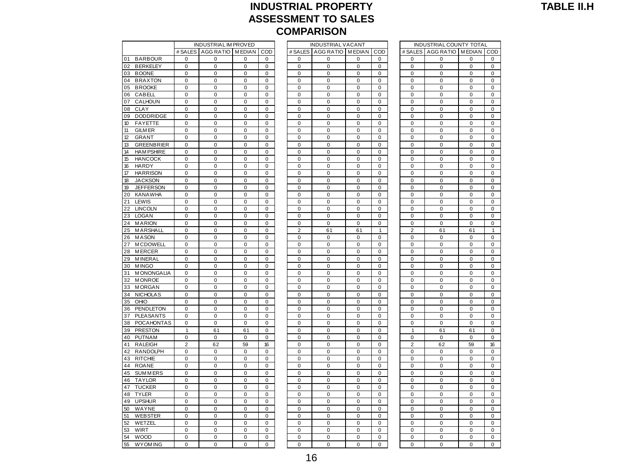### **INDUSTRIAL PROPERTY ASSESSMENT TO SALES COMPARISON<br>
COMPARISON<br>
INDUSTRIAL IM PROVED INDUSTRIAL VACANT INDUSTRIAL COUNTY TOTAL<br>
INDUSTRIAL IMPONED INDUSTRIAL CONTY TOTAL<br>
INDUSTRIAL CONTROLLED INDUSTRIAL COUNTY TOTAL<br>
INDUSTRIAL CONTROLLED INDUSTRIAL COUNTY TOT**

|                               |                            | <b>INDUSTRIAL IM PROVED</b> |                  |                            |                            | <b>INDUSTRIAL VACANT</b>   |                            |                            |                            | INDUSTRIAL COUNTY TOTAL    |                |                            |
|-------------------------------|----------------------------|-----------------------------|------------------|----------------------------|----------------------------|----------------------------|----------------------------|----------------------------|----------------------------|----------------------------|----------------|----------------------------|
|                               | # SALES                    | AGG RATIO MEDIAN            |                  | COD                        | # SALES                    | AGG RATIO MEDIAN           |                            | COD                        |                            | # SALES AGG RATIO MEDIAN   |                | CO                         |
| 01<br><b>BARBOUR</b>          | 0                          | 0                           | 0                | $\mathbf 0$                | $\mathbf 0$                | $\mathbf 0$                | $\mathbf 0$                | $\mathbf 0$                | $\mathbf 0$                | $\mathbf 0$                | 0              | 0                          |
| <b>BERKELEY</b><br>02         | $\Omega$                   | $\Omega$                    | $\Omega$         | $\mathbf 0$                | $\mathbf 0$                | $\mathbf 0$                | $\mathbf 0$                | $\Omega$                   | $\Omega$                   | $\mathbf 0$                | 0              | $\Omega$                   |
| 03<br><b>BOONE</b>            | $\mathbf 0$                | $\mathbf 0$                 | $\pmb{0}$        | $\mathbf 0$                | $\mathbf 0$                | $\mathbf 0$                | $\mathbf 0$                | $\mathbf 0$                | $\mathbf 0$                | $\pmb{0}$                  | $\pmb{0}$      | $\mathbf 0$                |
| <b>BRAXTON</b><br>04          | 0                          | $\pmb{0}$                   | 0                | $\mathbf 0$                | $\pmb{0}$                  | $\pmb{0}$                  | 0                          | $\mathbf 0$                | 0                          | $\mathbf 0$                | 0              | 0                          |
| 05<br><b>BROOKE</b>           | 0                          | $\pmb{0}$                   | 0                | 0                          | 0                          | 0                          | 0                          | $\mathbf 0$                | 0                          | $\pmb{0}$                  | 0              | 0                          |
| 06<br>CABELL                  | $\mathbf 0$                | $\mathbf 0$                 | 0                | $\mathbf 0$                | $\mathbf 0$                | $\mathbf 0$                | $\mathbf 0$                | $\mathbf 0$                | $\mathbf 0$                | $\pmb{0}$                  | 0              | 0                          |
| 07<br>CALHOUN                 | $\Omega$                   | $\Omega$                    | $\Omega$         | $\Omega$                   | 0                          | 0                          | $\Omega$                   | $\Omega$                   | $\mathbf 0$                | $\pmb{0}$                  | 0              | 0                          |
| 08<br><b>CLAY</b>             | $\mathbf 0$                | $\mathbf 0$                 | $\mathbf 0$      | $\mathbf 0$                | $\mathbf 0$                | $\mathbf 0$                | $\mathbf 0$                | $\mathbf 0$                | $\mathbf 0$                | $\pmb{0}$                  | 0              | $\mathbf 0$                |
| 09<br><b>DODDRIDGE</b>        | $\Omega$                   | $\Omega$                    | $\Omega$         | $\Omega$                   | $\Omega$                   | $\Omega$                   | $\mathbf 0$                | $\Omega$                   | $\Omega$                   | $\mathbf 0$                | 0              | $\Omega$                   |
| 10<br><b>FAYETTE</b>          | $\mathbf 0$                | $\mathbf 0$                 | $\mathbf 0$      | $\mathbf 0$                | $\mathbf 0$                | $\mathbf 0$                | $\mathbf 0$                | $\mathbf 0$                | $\mathbf 0$                | $\mathbf 0$                | $\mathbf 0$    | $\mathbf 0$                |
| 11<br><b>GILM ER</b>          | 0                          | $\pmb{0}$                   | $\pmb{0}$        | $\mathbf 0$                | $\pmb{0}$                  | $\pmb{0}$                  | $\mathbf 0$                | $\mathbf 0$                | $\mathbf 0$                | $\mathbf 0$                | 0              | 0                          |
| 12<br><b>GRANT</b>            | 0                          | $\pmb{0}$                   | 0                | $\pmb{0}$                  | $\mathbf 0$                | $\mathbf 0$                | $\mathbf 0$                | $\mathbf 0$                | $\pmb{0}$                  | $\pmb{0}$                  | 0              | 0                          |
| 13<br><b>GREENBRIER</b>       | $\mathbf 0$                | $\mathbf 0$                 | $\mathbf 0$      | $\mathbf 0$                | $\mathbf 0$                | $\mathbf 0$                | $\mathbf 0$                | $\mathbf 0$                | $\mathbf 0$                | $\mathbf 0$                | 0              | 0                          |
| 14<br><b>HAM PSHIRE</b>       | $\mathbf 0$                | 0                           | 0                | $\mathbf 0$                | $\mathbf 0$                | $\mathbf 0$                | $\mathbf 0$                | $\mathbf 0$                | $\mathbf 0$                | $\mathbf 0$                | 0              | $\mathbf 0$                |
| 15<br><b>HANCOCK</b>          | $\mathbf 0$                | $\mathbf 0$                 | $\mathbf 0$      | $\mathbf 0$                | $\mathbf 0$                | $\mathbf 0$                | $\mathbf 0$                | $\mathbf 0$                | $\mathbf 0$                | $\mathbf 0$                | 0              | $\mathbf 0$                |
| 16<br><b>HARDY</b>            | 0                          | $\mathbf 0$                 | 0                | $\mathbf 0$                | $\mathbf 0$                | $\mathbf 0$                | $\mathbf 0$                | $\mathbf 0$                | $\mathbf 0$                | $\mathbf 0$                | 0              | 0                          |
| 17<br><b>HARRISON</b>         | $\mathbf 0$                | $\mathbf 0$                 | $\mathbf 0$      | $\mathbf 0$                | $\mathbf 0$                | $\mathbf 0$                | $\mathbf 0$                | $\mathbf 0$                | $\mathbf 0$                | $\mathbf 0$                | $\mathbf 0$    | $\mathbf 0$                |
| 18<br><b>JACKSON</b>          | $\Omega$                   | 0                           | 0                | $\Omega$                   | 0                          | 0                          | 0                          | $\Omega$                   | $\mathbf 0$                | $\pmb{0}$                  | 0              | 0                          |
| 19<br><b>JEFFERSON</b>        | 0                          | $\pmb{0}$                   | $\pmb{0}$        | $\pmb{0}$                  | $\mathbf 0$                | $\mathbf 0$                | $\mathbf 0$                | $\pmb{0}$                  | $\mathbf 0$                | $\pmb{0}$                  | 0              | 0                          |
| 20<br><b>KANAWHA</b>          | 0                          | $\mathbf 0$                 | 0                | 0                          | 0                          | 0                          | 0                          | 0                          | 0                          | $\mathbf 0$                | 0              | 0                          |
| 21<br>LEWIS<br><b>LINCOLN</b> | $\mathbf 0$<br>$\mathbf 0$ | 0<br>$\mathbf 0$            | 0<br>$\mathbf 0$ | $\mathbf 0$<br>$\mathbf 0$ | $\mathbf 0$<br>$\mathbf 0$ | $\mathbf 0$<br>$\mathbf 0$ | $\mathbf 0$<br>$\mathbf 0$ | $\mathbf 0$<br>$\mathbf 0$ | $\mathbf 0$<br>$\mathbf 0$ | $\mathbf 0$<br>$\mathbf 0$ | 0<br>0         | $\mathbf 0$<br>$\mathbf 0$ |
| 22<br>23<br><b>LOGAN</b>      | 0                          | $\mathbf 0$                 | 0                | $\mathbf 0$                | $\mathbf 0$                | $\mathbf 0$                | $\mathbf 0$                | $\mathbf 0$                | $\mathbf 0$                | $\mathbf 0$                | 0              | 0                          |
| 24<br><b>MARION</b>           | $\Omega$                   | $\Omega$                    | $\Omega$         | $\mathbf 0$                | $\mathbf 0$                | $\Omega$                   | $\Omega$                   | $\mathbf 0$                | $\mathbf 0$                | $\mathbf 0$                | $\mathbf 0$    | $\mathbf 0$                |
| <b>MARSHALL</b><br>25         | $\mathbf 0$                | $\mathbf 0$                 | 0                | $\mathbf 0$                | $\overline{2}$             | 61                         | 61                         | $\mathbf{1}$               | $\overline{2}$             | 61                         | 61             | $\mathbf{1}$               |
| 26<br><b>MASON</b>            | $\pmb{0}$                  | $\pmb{0}$                   | $\pmb{0}$        | $\pmb{0}$                  | $\mathbf 0$                | $\mathbf 0$                | $\mathbf 0$                | $\pmb{0}$                  | $\mathbf 0$                | $\pmb{0}$                  | 0              | $\mathbf 0$                |
| <b>MCDOWELL</b><br>27         | 0                          | 0                           | 0                | 0                          | 0                          | 0                          | 0                          | 0                          | 0                          | 0                          | 0              | 0                          |
| 28<br><b>MERCER</b>           | $\mathbf 0$                | $\mathbf 0$                 | $\mathbf 0$      | $\mathbf 0$                | $\mathbf 0$                | $\mathbf 0$                | $\mathbf 0$                | $\mathbf 0$                | $\mathbf 0$                | $\mathbf 0$                | 0              | $\mathbf 0$                |
| 29<br><b>MINERAL</b>          | 0                          | $\pmb{0}$                   | 0                | $\pmb{0}$                  | 0                          | 0                          | 0                          | $\pmb{0}$                  | $\mathbf 0$                | $\pmb{0}$                  | 0              | 0                          |
| 30<br><b>MINGO</b>            | 0                          | $\mathbf 0$                 | 0                | $\mathbf 0$                | $\mathbf 0$                | $\mathbf 0$                | $\mathbf 0$                | $\mathbf 0$                | $\mathbf 0$                | $\mathbf 0$                | 0              | $\mathbf 0$                |
| 31<br><b>MONONGALIA</b>       | $\Omega$                   | $\Omega$                    | $\Omega$         | $\mathbf 0$                | $\Omega$                   | $\Omega$                   | $\Omega$                   | $\Omega$                   | $\Omega$                   | $\mathbf 0$                | $\mathbf 0$    | 0                          |
| <b>MONROE</b><br>32           | $\mathbf 0$                | $\mathbf 0$                 | $\mathbf 0$      | $\Omega$                   | $\mathbf 0$                | $\mathbf 0$                | $\mathbf 0$                | $\Omega$                   | $\mathbf 0$                | $\mathbf 0$                | 0              | $\mathbf 0$                |
| 33<br><b>MORGAN</b>           | $\pmb{0}$                  | $\pmb{0}$                   | $\pmb{0}$        | $\pmb{0}$                  | $\mathbf 0$                | $\mathbf 0$                | $\mathbf 0$                | $\pmb{0}$                  | $\mathbf 0$                | $\pmb{0}$                  | 0              | $\mathbf 0$                |
| <b>NICHOLAS</b><br>34         | 0                          | 0                           | 0                | 0                          | 0                          | 0                          | 0                          | 0                          | 0                          | $\pmb{0}$                  | 0              | 0                          |
| 35<br>OHIO                    | $\mathbf 0$                | $\mathbf 0$                 | $\mathbf 0$      | $\mathbf 0$                | $\mathbf 0$                | $\mathbf 0$                | $\mathbf 0$                | $\mathbf 0$                | $\mathbf 0$                | $\mathbf 0$                | 0              | $\mathbf 0$                |
| PENDLETON<br>36               | $\pmb{0}$                  | $\mathbf 0$                 | $\pmb{0}$        | $\pmb{0}$                  | 0                          | 0                          | 0                          | $\mathbf 0$                | $\mathbf 0$                | $\mathbf 0$                | 0              | $\mathbf 0$                |
| 37<br><b>PLEASANTS</b>        | 0                          | 0                           | 0                | $\mathbf 0$                | $\mathbf 0$                | $\mathbf 0$                | $\mathbf 0$                | $\mathbf 0$                | $\mathbf 0$                | $\mathbf 0$                | 0              | $\mathbf 0$                |
| 38<br><b>POCAHONTAS</b>       | $\mathbf 0$                | $\mathbf 0$                 | $\mathbf 0$      | $\mathbf 0$                | $\mathbf 0$                | $\mathbf 0$                | $\mathbf 0$                | $\mathbf 0$                | $\mathbf 0$                | $\mathbf 0$                | $\mathbf 0$    | $\mathbf 0$                |
| 39<br><b>PRESTON</b>          | $\mathbf{1}$               | 61                          | 61               | $\Omega$                   | $\mathbf 0$                | $\mathbf 0$                | $\mathbf 0$                | $\Omega$                   | $\mathbf{1}$               | 61                         | 61             | $\mathbf 0$                |
| PUTNAM<br>40                  | $\pmb{0}$                  | $\mathbf 0$                 | $\mathbf 0$      | 0                          | $\mathbf 0$                | $\mathbf 0$                | $\mathbf 0$                | $\mathbf 0$                | $\mathbf 0$                | 0                          | 0              | $\mathbf 0$                |
| 41<br><b>RALEIGH</b>          | $\overline{2}$             | 62                          | 59               | 16                         | $\pmb{0}$                  | $\pmb{0}$                  | 0                          | $\mathbf 0$                | $\overline{c}$             | 62                         | 59             | 16                         |
| 42<br><b>RANDOLPH</b>         | $\mathbf 0$                | $\mathbf 0$                 | $\mathbf 0$      | $\mathbf 0$                | $\mathbf 0$                | $\mathbf 0$                | $\mathbf 0$                | $\mathbf 0$                | 0                          | $\mathbf 0$                | 0              | $\mathbf 0$                |
| 43<br><b>RITCHIE</b>          | $\mathbf 0$                | $\mathbf 0$                 | $\mathbf 0$      | $\mathbf 0$                | $\mathbf 0$                | $\mathbf 0$                | $\mathbf 0$                | $\mathbf 0$                | $\mathbf 0$                | $\mathbf 0$                | 0              | $\mathbf 0$                |
| 44<br><b>ROANE</b>            | 0                          | $\overline{0}$              | $\Omega$         | $\mathbf 0$                | $\mathbf 0$                | $\mathbf 0$                | $\mathbf 0$                | $\mathbf 0$                | $\mathbf 0$                | $\mathbf 0$                | $\overline{0}$ | 0                          |
| 45<br><b>SUMMERS</b>          | $\mathbf 0$                | $\mathbf 0$                 | $\mathbf 0$      | $\mathbf 0$                | $\mathbf 0$                | $\mathbf 0$                | $\mathbf 0$                | $\mathbf 0$                | $\mathbf 0$                | 0                          | 0              | $\mathbf 0$                |
| <b>TAYLOR</b><br>46           | $\Omega$                   | $\Omega$                    | $\Omega$         | $\Omega$                   | $\mathbf 0$                | $\mathbf 0$                | $\mathbf 0$                | $\Omega$                   | $\Omega$                   | $\mathbf 0$                | 0              | $\Omega$                   |
| 47<br><b>TUCKER</b>           | $\pmb{0}$                  | $\mathbf 0$                 | $\pmb{0}$        | $\mathbf 0$                | $\mathbf 0$                | $\mathbf 0$                | $\mathbf 0$                | $\mathbf 0$                | $\mathbf 0$                | $\pmb{0}$                  | 0              | $\mathbf 0$                |
| 48<br><b>TYLER</b>            | 0                          | 0                           | 0                | $\pmb{0}$                  | $\pmb{0}$                  | $\pmb{0}$                  | $\mathbf 0$                | $\mathbf 0$                | $\pmb{0}$                  | $\pmb{0}$                  | 0              | 0                          |
| <b>UPSHUR</b><br>49           | 0                          | $\pmb{0}$                   | 0                | $\mathbf 0$                | 0                          | 0                          | 0                          | $\mathbf 0$                | 0                          | $\pmb{0}$                  | 0              | 0                          |
| 50<br>WAYNE                   | $\mathbf 0$                | $\mathbf 0$                 | $\mathbf 0$      | $\mathbf 0$                | $\mathbf 0$                | $\mathbf 0$                | $\mathbf 0$                | $\mathbf 0$                | $\mathbf 0$                | $\mathbf 0$                | 0              | 0                          |
| 51<br><b>WEBSTER</b>          | 0                          | 0                           | $\Omega$         | 0                          | $\mathbf 0$                | $\mathbf 0$                | $\mathbf 0$                | $\mathbf 0$                | 0                          | $\pmb{0}$                  | 0              | $\Omega$                   |
| 52<br>WETZEL                  | $\mathbf 0$                | 0                           | $\mathbf 0$      | $\mathbf 0$                | $\mathbf 0$                | $\mathbf 0$                | $\mathbf 0$                | $\mathbf 0$                | $\mathbf 0$                | 0                          | 0              | $\mathbf 0$                |
| 53<br>WIRT                    | $\Omega$                   | $\Omega$                    | $\Omega$         | $\Omega$                   | $\Omega$                   | $\Omega$                   | $\Omega$                   | $\Omega$                   | $\Omega$                   | $\Omega$                   | $\Omega$       | $\Omega$                   |
| 54<br><b>WOOD</b>             | $\mathbf 0$                | $\mathbf 0$                 | $\mathbf 0$      | $\mathbf 0$                | $\mathbf 0$                | $\mathbf 0$                | $\mathbf 0$                | $\mathbf 0$                | $\mathbf 0$                | $\mathbf 0$                | 0              | $\mathbf 0$                |
| 55<br><b>WYOM ING</b>         | $\Omega$                   | 0                           | 0                | $\Omega$                   | $\Omega$                   | 0                          | $\mathbf 0$                | $\Omega$                   | 0                          | $\overline{0}$             | 0              | 0                          |

|                |                             |                  |             |                          | <b>COMPARISON</b>            |                  |                  |                            |                         |                            |                          |
|----------------|-----------------------------|------------------|-------------|--------------------------|------------------------------|------------------|------------------|----------------------------|-------------------------|----------------------------|--------------------------|
|                | <b>INDUSTRIAL IM PROVED</b> |                  |             |                          | <b>INDUSTRIAL VACANT</b>     |                  |                  |                            | INDUSTRIAL COUNTY TOTAL |                            |                          |
| # SALES        | <b>AGG RATIO</b>            | <b>MEDIAN</b>    | COD         |                          | # SALES   AGG RATIO   MEDIAN |                  | COD              | # SALES                    | AGG RATIO               | <b>MEDIAN</b>              | COD                      |
| $\mathbf 0$    | $\mathbf 0$                 | 0                | $\mathbf 0$ | 0                        | $\mathbf 0$                  | 0                | 0                | $\mathbf 0$                | 0                       | $\mathbf 0$                | $\mathbf 0$              |
| 0              | 0                           | 0                | 0           | 0                        | $\mathbf 0$                  | $\mathbf 0$      | $\mathbf 0$      | 0                          | $\mathbf 0$             | $\mathbf 0$                | $\pmb{0}$                |
| 0              | 0                           | 0                | 0           | 0                        | $\mathbf 0$                  | 0                | $\mathbf 0$      | $\mathbf 0$                | 0                       | $\mathbf 0$                | 0                        |
| $\pmb{0}$      | $\mathbf 0$                 | $\mathbf 0$      | $\mathbf 0$ | $\mathbf 0$              | $\mathbf 0$                  | $\mathbf 0$      | $\mathbf 0$      | $\mathbf 0$                | $\mathbf 0$             | $\mathbf 0$                | $\pmb{0}$                |
| $\mathbf 0$    | $\mathbf 0$                 | 0                | 0           | $\mathbf 0$              | $\mathbf 0$                  | $\mathbf 0$      | $\mathbf 0$      | $\Omega$                   | 0                       | $\mathbf 0$                | $\mathbf 0$              |
| $\pmb{0}$      | $\pmb{0}$                   | $\pmb{0}$        | $\mathbf 0$ | $\mathbf 0$              | $\mathbf 0$                  | $\mathbf 0$      | $\mathbf 0$      | $\mathbf 0$                | $\mathbf 0$             | $\mathbf 0$                | $\mathbf 0$              |
| 0              | 0                           | 0                | 0           | 0                        | $\mathbf 0$                  | 0                | 0                | $\mathbf 0$                | 0                       | 0                          | $\mathbf 0$              |
| 0              | $\pmb{0}$                   | 0                | 0           | $\mathbf 0$              | $\mathbf 0$                  | $\mathbf 0$      | $\mathbf 0$      | $\mathbf 0$                | 0                       | $\mathbf 0$                | $\mathbf 0$              |
| 0              | 0                           | 0                | 0           | 0                        | 0                            | 0                | 0                | 0                          | 0                       | 0                          | $\mathbf 0$              |
| 0              | 0                           | 0                | 0           | 0                        | 0                            | 0                | 0                | $\mathbf 0$<br>$\mathbf 0$ | 0                       | 0                          | $\pmb{0}$<br>$\pmb{0}$   |
| 0<br>0         | $\mathbf 0$<br>$\pmb{0}$    | 0<br>0           | 0<br>0      | 0<br>$\mathbf 0$         | 0<br>$\mathbf 0$             | $\pmb{0}$<br>0   | 0<br>0           | $\mathbf 0$                | 0<br>$\overline{0}$     | $\mathbf 0$<br>$\mathbf 0$ | $\mathbf 0$              |
| $\pmb{0}$      | 0                           | 0                | 0           | 0                        | 0                            | $\mathbf 0$      | 0                | 0                          | 0                       | $\mathbf 0$                | $\mathbf 0$              |
| 0              | 0                           | 0                | 0           | 0                        | 0                            | 0                | 0                | $\mathbf 0$                | 0                       | 0                          | $\mathbf 0$              |
| 0              | $\mathbf 0$                 | 0                | 0           | $\mathbf 0$              | $\mathbf 0$                  | $\mathbf 0$      | $\mathbf 0$      | $\mathbf 0$                | 0                       | $\mathbf 0$                | $\mathbf 0$              |
| 0              | 0                           | 0                | 0           | $\mathbf 0$              | 0                            | 0                | 0                | $\mathbf 0$                | 0                       | 0                          | 0                        |
| 0              | 0                           | 0                | 0           | 0                        | $\mathbf 0$                  | 0                | 0                | 0                          | 0                       | $\mathbf 0$                | 0                        |
| $\mathbf 0$    | $\mathbf 0$                 | 0                | $\mathbf 0$ | $\mathbf 0$              | $\mathbf 0$                  | $\mathbf 0$      | $\Omega$         | $\Omega$                   | $\mathbf 0$             | $\mathbf 0$                | $\mathbf 0$              |
| $\pmb{0}$      | $\mathbf 0$                 | $\mathbf 0$      | $\mathbf 0$ | $\mathbf 0$              | $\mathbf 0$                  | $\mathbf 0$      | $\mathbf 0$      | $\mathbf 0$                | $\mathbf 0$             | $\mathbf 0$                | $\mathbf 0$              |
| 0              | $\pmb{0}$                   | 0                | 0           | $\mathbf 0$              | $\mathbf 0$                  | $\mathbf 0$      | $\mathbf 0$      | $\mathbf 0$                | 0                       | $\mathbf 0$                | $\pmb{0}$                |
| $\mathbf 0$    | $\mathbf 0$                 | 0                | $\mathbf 0$ | $\pmb{0}$                | $\pmb{0}$                    | $\pmb{0}$        | $\pmb{0}$        | $\mathbf 0$                | $\pmb{0}$               | $\pmb{0}$                  | $\pmb{0}$                |
| 0              | $\pmb{0}$                   | 0                | 0           | $\mathbf 0$              | 0                            | $\mathbf 0$      | $\mathbf 0$      | $\mathbf 0$                | 0                       | $\mathbf 0$                | $\pmb{0}$                |
| 0              | $\mathbf 0$                 | 0                | 0           | $\pmb{0}$                | 0                            | $\pmb{0}$        | 0                | $\pmb{0}$                  | 0                       | $\pmb{0}$                  | $\pmb{0}$                |
| 0              | 0                           | 0                | 0           | 0                        | 0                            | 0                | 0                | 0                          | 0                       | 0                          | 0                        |
| $\pmb{0}$      | $\pmb{0}$                   | 0                | $\mathbf 0$ | $\overline{2}$           | 61                           | 61               | $\overline{1}$   | $\overline{2}$             | 61                      | 61                         | $\mathbf{1}$             |
| 0              | $\pmb{0}$                   | 0                | 0           | 0                        | 0                            | $\mathbf 0$      | 0                | $\mathbf 0$                | 0                       | $\mathbf 0$                | $\mathbf 0$              |
| 0              | $\pmb{0}$                   | 0                | 0           | $\mathbf 0$              | $\mathbf 0$                  | 0                | 0                | $\mathbf 0$                | $\overline{0}$          | $\mathbf 0$                | $\mathbf 0$              |
| $\mathbf 0$    | $\pmb{0}$                   | 0                | 0           | $\mathbf 0$              | $\mathbf 0$                  | $\mathbf 0$      | $\mathbf 0$      | $\pmb{0}$                  | 0                       | $\mathbf 0$                | $\mathbf 0$              |
| 0              | $\mathbf 0$                 | 0                | 0           | $\mathbf 0$              | $\mathbf 0$                  | $\mathbf 0$      | $\mathbf 0$      | $\mathbf 0$                | 0                       | $\mathbf 0$                | $\mathbf 0$              |
| 0              | 0                           | 0                | 0           | 0<br>$\mathbf 0$         | $\mathbf 0$                  | 0                | 0<br>$\mathbf 0$ | 0<br>$\mathbf 0$           | 0                       | $\mathbf 0$                | 0                        |
| 0<br>$\pmb{0}$ | 0<br>$\pmb{0}$              | 0<br>$\mathbf 0$ | 0<br>0      | $\mathbf 0$              | $\mathbf 0$<br>$\mathbf 0$   | 0<br>$\mathbf 0$ | $\mathbf 0$      | $\mathbf 0$                | 0<br>$\mathbf 0$        | 0<br>$\mathbf 0$           | 0<br>$\mathbf 0$         |
| $\mathbf 0$    | $\pmb{0}$                   | 0                | 0           | $\mathbf 0$              | $\mathbf 0$                  | $\mathbf 0$      | $\mathbf 0$      | $\mathbf 0$                | $\mathbf 0$             | $\mathbf 0$                | $\mathbf 0$              |
| $\mathbf 0$    | $\pmb{0}$                   | 0                | 0           | $\mathbf 0$              | $\mathbf 0$                  | $\mathbf 0$      | $\mathbf 0$      | $\mathbf 0$                | $\mathbf 0$             | $\mathbf 0$                | $\pmb{0}$                |
| 0              | $\mathbf 0$                 | 0                | 0           | $\pmb{0}$                | $\pmb{0}$                    | $\pmb{0}$        | $\pmb{0}$        | 0                          | 0                       | $\pmb{0}$                  | $\mathbf 0$              |
| $\mathbf 0$    | $\mathbf 0$                 | 0                | $\pmb{0}$   | $\mathbf 0$              | $\mathbf 0$                  | $\mathbf 0$      | $\mathbf 0$      | $\pmb{0}$                  | 0                       | $\mathbf 0$                | $\pmb{0}$                |
| 0              | 0                           | 0                | 0           | 0                        | 0                            | 0                | 0                | 0                          | 0                       | 0                          | 0                        |
| 0              | 0                           | 0                | 0           | 0                        | 0                            | 0                | 0                | $\overline{0}$             | $\mathbf 0$             | $\overline{0}$             | $\pmb{0}$                |
| $\mathbf{1}$   | 61                          | 61               | 0           | 0                        | 0                            | 0                | 0                | $\mathbf{1}$               | 61                      | 61                         | $\mathbf 0$              |
| 0              | $\pmb{0}$                   | $\overline{0}$   | 0           | $\mathbf 0$              | $\mathbf 0$                  | $\mathbf 0$      | $\mathbf 0$      | $\mathbf 0$                | 0                       | $\mathbf 0$                | $\mathbf 0$              |
| $\overline{2}$ | 62                          | 59               | 16          | 0                        | 0                            | $\mathbf 0$      | 0                | $\overline{2}$             | 62                      | 59                         | 16                       |
| 0              | $\mathbf 0$                 | 0                | 0           | $\mathbf 0$              | $\mathbf 0$                  | $\mathbf 0$      | $\mathbf 0$      | $\mathbf 0$                | 0                       | $\mathbf 0$                | $\mathbf 0$              |
| 0              | $\mathbf 0$                 | 0                | 0           | $\mathbf 0$              | $\mathbf 0$                  | $\mathbf 0$      | $\mathbf 0$      | $\mathbf 0$                | 0                       | $\mathbf 0$                | $\pmb{0}$                |
| $\mathbf 0$    | $\mathbf 0$                 | $\mathbf 0$      | $\mathbf 0$ | $\mathbf 0$              | $\mathbf 0$                  | $\mathbf 0$      | $\mathbf 0$      | $\mathbf 0$                | $\mathbf 0$             | $\mathbf 0$                | 0                        |
| $\pmb{0}$      | $\pmb{0}$                   | 0                | $\mathbf 0$ | $\mathbf 0$              | $\mathbf 0$                  | $\mathbf 0$      | $\mathbf 0$      | $\mathbf 0$                | $\mathbf 0$             | $\mathbf 0$                | $\pmb{0}$                |
| $\mathbf 0$    | $\mathbf 0$                 | 0                | 0           | $\mathbf 0$              | $\mathbf 0$                  | $\mathbf 0$      | $\mathbf 0$      | $\Omega$                   | $\mathbf 0$             | $\mathbf 0$                | $\mathbf 0$              |
| $\pmb{0}$      | $\pmb{0}$                   | $\pmb{0}$        | $\mathbf 0$ | $\mathbf 0$              | $\mathbf 0$                  | $\mathbf 0$      | $\mathbf 0$      | $\mathbf 0$                | $\mathbf 0$             | $\mathbf 0$                | $\mathbf 0$              |
| 0              | 0                           | 0                | 0           | 0                        | $\mathbf 0$                  | 0                | 0                | $\mathbf 0$                | 0                       | $\mathbf 0$                | $\pmb{0}$                |
| 0              | $\pmb{0}$                   | 0                | 0           | $\mathbf 0$              | $\mathbf 0$                  | $\mathbf 0$      | $\mathbf 0$      | $\mathbf 0$                | 0                       | $\mathbf 0$                | $\mathbf 0$              |
| 0              | 0                           | 0                | 0           | 0                        | 0                            | 0                | 0                | 0                          | 0                       | 0                          | $\pmb{0}$                |
| 0              | 0                           | 0                | 0           | 0                        | 0                            | 0                | 0                | $\mathbf 0$                | 0                       | 0                          | $\pmb{0}$                |
| 0<br>0         | $\pmb{0}$<br>$\pmb{0}$      | 0<br>0           | 0<br>0      | $\pmb{0}$<br>$\mathbf 0$ | 0<br>$\mathbf 0$             | $\pmb{0}$<br>0   | 0<br>0           | $\mathbf 0$<br>$\mathbf 0$ | 0<br>$\overline{0}$     | $\mathbf 0$<br>0           | $\pmb{0}$<br>$\mathbf 0$ |
| 0              | 0                           | 0                | 0           | 0                        | 0                            | 0                | 0                | 0                          | 0                       | $\mathbf 0$                | $\mathbf 0$              |
| 0              | 0                           | 0                | 0           | $\mathbf 0$              | 0                            | 0                | 0                | $\mathbf 0$                | $\overline{0}$          | $\mathbf 0$                | $\mathbf 0$              |
|                |                             |                  |             |                          |                              |                  |                  |                            |                         |                            |                          |

|                | <b>INDUSTRIAL COUNTY TOTAL</b> |                |                |
|----------------|--------------------------------|----------------|----------------|
| # SALES        | <b>AGG RATIO</b>               | <b>MEDIAN</b>  | COD            |
| 0              | 0                              | 0              | 0              |
| 0              | 0                              | 0              | 0              |
| 0              | 0                              | 0              | 0              |
| 0              | 0                              | 0              | 0              |
| 0              | 0                              | O              | 0              |
| 0              | 0                              | 0              | 0              |
| 0              | 0                              | 0              | 0              |
| 0              | 0                              | 0              | 0              |
| 0              | 0                              | 0              | 0              |
| 0              | 0                              | 0              | 0              |
| 0              | 0                              | 0              | 0              |
| 0              | Ō                              | 0              | 0              |
|                |                                |                |                |
| 0              | 0                              | 0              | 0              |
| 0              | 0                              | 0              | 0              |
| 0              | 0                              | 0              | 0              |
| 0              | 0                              | 0              | 0              |
| 0              | 0                              | 0              | 0              |
| 0              | 0                              | 0              | 0              |
| 0              | 0                              | 0              | 0              |
| 0              | 0                              | 0              | 0              |
| 0              | 0                              | 0              | 0              |
| 0              | 0                              | 0              | 0              |
| 0              | 0                              | 0              | 0              |
| 0              | 0                              | 0              | 0              |
| $\overline{2}$ | 61                             | 61             | 1              |
| 0              | 0                              | 0              | 0              |
| 0              | 0                              | 0              | 0              |
| 0              | 0                              | 0              | 0              |
| 0              | 0                              | 0              | 0              |
| 0              | 0                              | O              | 0              |
| 0              | 0                              | 0              | 0              |
| 0              | 0                              | 0              | 0              |
| 0              | 0                              | 0              | 0              |
| 0              | 0                              | 0              | 0              |
| 0              | 0                              | 0              | 0              |
| 0              | 0                              | 0              | 0              |
|                |                                |                |                |
| 0              | 0                              | 0              | 0              |
| 0              | $\overline{0}$                 | 0              | 0              |
| 1              | 61                             | 61             | 0              |
| 0              | 0                              | 0              | O              |
| 2              | 62                             | 59             | 16             |
| 0              | 0                              | 0              | 0              |
| 0              | 0                              | 0              | 0              |
| 0              | 0                              | 0              | 0              |
| 0              | Ō                              | Ō              | 0              |
| 0              | 0                              | 0              | 0              |
| 0              | 0                              | 0              | 0              |
| 0              | 0                              | 0              | 0              |
| 0              | 0                              | 0              | 0              |
| 0              | 0                              | 0              | 0              |
| 0              | 0                              | 0              | 0              |
| 0              | 0                              | 0              | 0              |
| 0              | 0                              | 0              | $\overline{0}$ |
| 0              | 0                              | 0              | 0              |
| 0              | Ō                              | $\overline{0}$ | $\overline{0}$ |
|                |                                |                |                |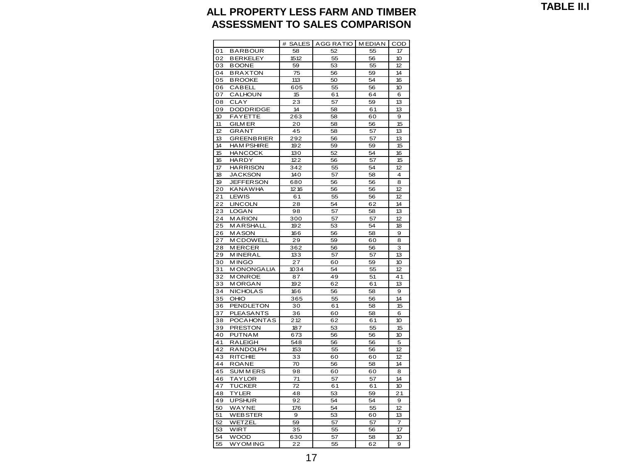**TABLE II.I**

#### **ALL PROPERTY LESS FARM AND TIMBER ASSESSMENT TO SALES COMPARISON**

|    |                   | #<br><b>SALES</b> | <b>AGG RATIO</b> | <b>MEDIAN</b> | COD             |
|----|-------------------|-------------------|------------------|---------------|-----------------|
| 01 | <b>BARBOUR</b>    | 58                | 52               | 55            | 17              |
| 02 | <b>BERKELEY</b>   | 1512              | 55               | 56            | 10              |
| 03 | <b>BOONE</b>      | 59                | 53               | 55            | 12              |
| 04 | <b>BRAXTON</b>    | 75                | 56               | 59            | 14              |
|    |                   |                   |                  |               |                 |
| 05 | <b>BROOKE</b>     | 113               | 50               | 54            | 16              |
| 06 | CABELL            | 605               | 55               | 56            | 10              |
| 07 | CALHOUN           | 15                | 61               | 64            | 6               |
| 08 | <b>CLAY</b>       | 23                | 57               | 59            | 13              |
| 09 | <b>DODDRIDGE</b>  | 14                | 58               | 61            | 13              |
| 10 | <b>FAYETTE</b>    | 263               | 58               | 60            | 9               |
| 11 | <b>GILM ER</b>    | 20                | 58               | 56            | 15              |
| 12 | <b>GRANT</b>      | 45                | 58               | 57            | 13              |
| 13 | <b>GREENBRIER</b> | 292               | 56               | 57            | 13              |
| 14 | <b>HAM PSHIRE</b> | 192               | 59               | 59            | 15              |
| 15 | <b>HANCOCK</b>    | 130               | 52               | 54            | 16              |
| 16 | <b>HARDY</b>      | 122               | 56               | 57            | 15              |
| 17 | <b>HARRISON</b>   | 342               | 55               | 54            | 12              |
| 18 | <b>JACKSON</b>    | 140               | 57               | 58            | 4               |
| 19 | <b>JEFFERSON</b>  | 680               | 56               | 56            | 8               |
| 20 | <b>KANAWHA</b>    | 1216              | 56               | 56            | 12              |
| 21 | LEWIS             | 61                | 55               | 56            | 12              |
| 22 | <b>LINCOLN</b>    | 28                | 54               | 62            | 14              |
| 23 | LOGAN             | 98                | 57               | 58            | 13              |
| 24 | <b>MARION</b>     | 300               | 57               | 57            | 12              |
| 25 | <b>MARSHALL</b>   | 192               | 53               | 54            | 18              |
| 26 | <b>MASON</b>      | 166               | 56               | 58            | 9               |
| 27 | <b>MCDOWELL</b>   | 29                | 59               | 60            | 8               |
| 28 | <b>MERCER</b>     | 362               | 56               | 56            | 3               |
| 29 | <b>MINERAL</b>    | 133               | 57               | 57            | 13              |
| 30 | <b>MINGO</b>      | 27                | 60               | 59            | 10              |
| 31 | <b>MONONGALIA</b> | 1034              | 54               | 55            | 12              |
| 32 | <b>MONROE</b>     | 87                | 49               | 51            | 41              |
| 33 | <b>MORGAN</b>     | 192               | 62               | 61            | 13              |
| 34 | <b>NICHOLAS</b>   | 166               | 56               | 58            | 9               |
| 35 | OHIO              | 365               | 55               | 56            | 14              |
| 36 | <b>PENDLETON</b>  | 30                | 61               | 58            | 15              |
| 37 | <b>PLEASANTS</b>  | 36                | 60               | 58            | 6               |
| 38 | POCAHONTAS        | 212               | 62               | 61            | 10              |
| 39 | <b>PRESTON</b>    | 187               | 53               | 55            | 15              |
| 40 | <b>PUTNAM</b>     | 673               | 56               | 56            | 10              |
| 41 | <b>RALEIGH</b>    | 548               | 56               | 56            | 5               |
| 42 | RANDOLPH          | 153               | 55               | 56            | 12              |
| 43 | <b>RITCHIE</b>    | 33                | 60               | 60            | 12              |
| 44 | ROANE             | 70                | 56               | 58            | 14              |
| 45 | <b>SUMMERS</b>    | 98                | 60               | 60            | 8               |
| 46 | TAYLOR            | 71                | 57               | 57            | 14              |
| 47 | TUCKER            | 72                | 61               | 61            | 10              |
| 48 | TYLER             | 48                | 53               | 59            | $\overline{2}1$ |
| 49 | <b>UPSHUR</b>     | 92                | 54               | 54            | 9               |
| 50 | WAYNE             | 176               | 54               | 55            | 12              |
| 51 | WEBSTER           | 9                 | 53               | 60            | 13              |
| 52 | WETZEL            | 59                | 57               | 57            | 7               |
| 53 | WIRT              | 35                | 55               | 56            | 17              |
| 54 | <b>WOOD</b>       | 630               | 57               |               | $10^{-1}$       |
|    |                   |                   |                  | 58            |                 |
| 55 | WYOM ING          | 22                | 55               | 62            | 9               |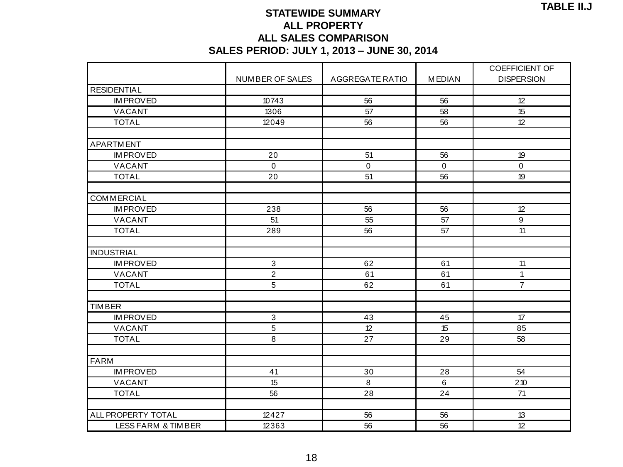### **STATEWIDE SUMMARY ALL PROPERTY ALL SALES COMPARISON**

|                               | <b>SALES PERIOD: JULY 1, 2013 - JUNE 30, 2014</b> |                 |                 |                       |
|-------------------------------|---------------------------------------------------|-----------------|-----------------|-----------------------|
|                               |                                                   |                 |                 | <b>COEFFICIENT OF</b> |
|                               | NUMBER OF SALES                                   | AGGREGATE RATIO | <b>MEDIAN</b>   | <b>DISPERSION</b>     |
| <b>RESIDENTIAL</b>            |                                                   |                 |                 |                       |
| <b>IM PROVED</b>              | 10743                                             | 56              | 56              | 12                    |
| VACANT                        | 1306                                              | 57              | 58              | 15                    |
| <b>TOTAL</b>                  | 12049                                             | 56              | 56              | 12                    |
| <b>APARTMENT</b>              |                                                   |                 |                 |                       |
| <b>IM PROVED</b>              | 20                                                | 51              | 56              | 19                    |
| VACANT                        | $\mathbf 0$                                       | 0               | $\mathbf 0$     | $\mathbf 0$           |
| <b>TOTAL</b>                  | 20                                                | $\overline{51}$ | $\overline{56}$ | $\overline{19}$       |
| <b>COMMERCIAL</b>             |                                                   |                 |                 |                       |
| <b>IM PROVED</b>              | 238                                               | 56              | 56              | 12                    |
| VACANT                        | 51                                                | 55              | 57              | $9\,$                 |
| <b>TOTAL</b>                  | 289                                               | 56              | 57              | $\overline{11}$       |
| <b>INDUSTRIAL</b>             |                                                   |                 |                 |                       |
| <b>IM PROVED</b>              | $\mathbf{3}$                                      | 62              | 61              | 11                    |
| VACANT                        | $\overline{2}$                                    | 61              | 61              | $\mathbf{1}$          |
| <b>TOTAL</b>                  | 5                                                 | 62              | 61              | $\overline{7}$        |
| <b>TIMBER</b>                 |                                                   |                 |                 |                       |
| <b>IM PROVED</b>              | 3                                                 | 43              | 45              | 17                    |
| VACANT                        | 5                                                 | 12              | 15              | 85                    |
| <b>TOTAL</b>                  | $\overline{8}$                                    | 27              | 29              | 58                    |
|                               |                                                   |                 |                 |                       |
| <b>FARM</b>                   |                                                   |                 |                 |                       |
| <b>IM PROVED</b>              | 41                                                | 30              | 28              | 54                    |
| VACANT                        | 15                                                | 8               | $6\phantom{1}$  | $210$                 |
| <b>TOTAL</b>                  | 56                                                | 28              | 24              | 71                    |
| ALL PROPERTY TOTAL            | 12427                                             | 56              | 56              | 13                    |
| <b>LESS FARM &amp; TIMBER</b> | 12363                                             | 56              | 56              | 12                    |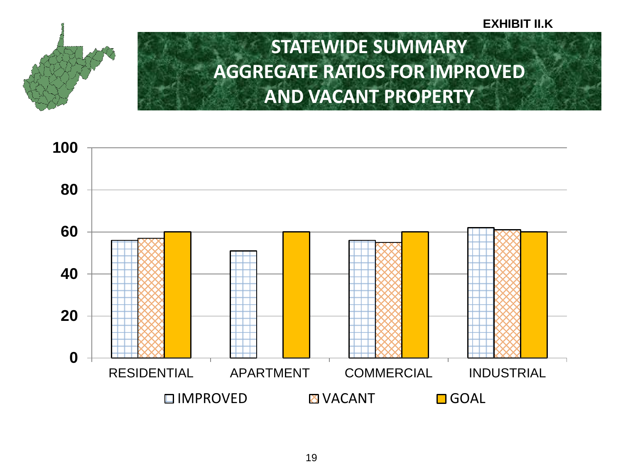#### **EXHIBIT II.K**



### **STATEWIDE SUMMARY AGGREGATE RATIOS FOR IMPROVED AND VACANT PROPERTY**

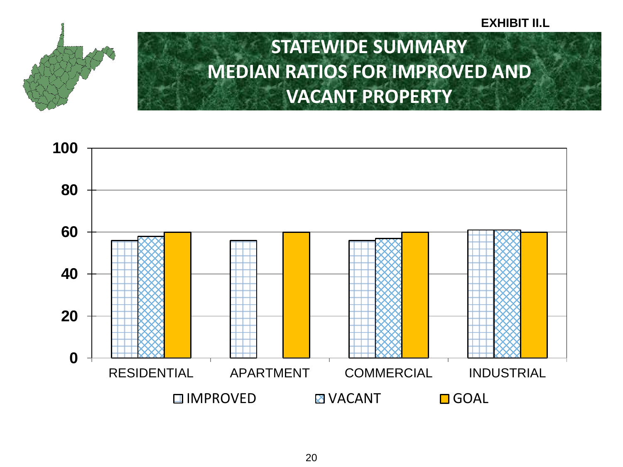#### **EXHIBIT II.L**



### **STATEWIDE SUMMARY MEDIAN RATIOS FOR IMPROVED AND VACANT PROPERTY**

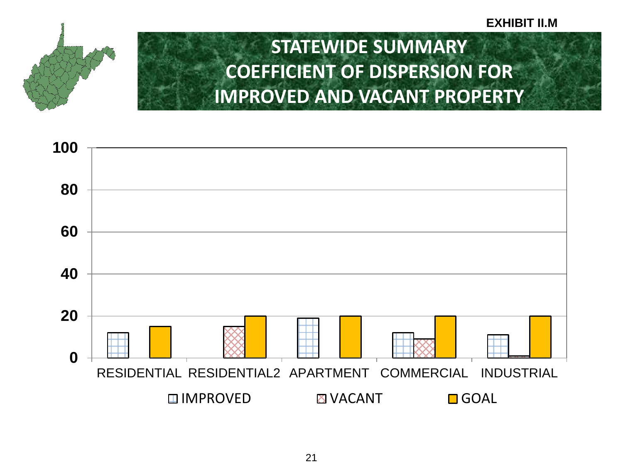#### **EXHIBIT II.M**



## **STATEWIDE SUMMARY COEFFICIENT OF DISPERSION FOR IMPROVED AND VACANT PROPERTY**

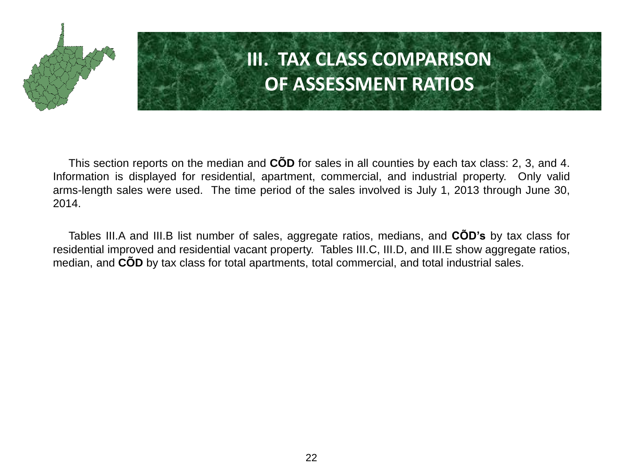

# **III. TAX CLASS COMPARISON OF ASSESSMENT RATIOS**

This section reports on the median and **CÕD** for sales in all counties by each tax class: 2, 3, and 4. Information is displayed for residential, apartment, commercial, and industrial property. Only valid arms-length sales were used. The time period of the sales involved is July 1, 2013 through June 30, 2014.

Tables III.A and III.B list number of sales, aggregate ratios, medians, and **CÕD's** by tax class for residential improved and residential vacant property. Tables III.C, III.D, and III.E show aggregate ratios, median, and **CÕD** by tax class for total apartments, total commercial, and total industrial sales.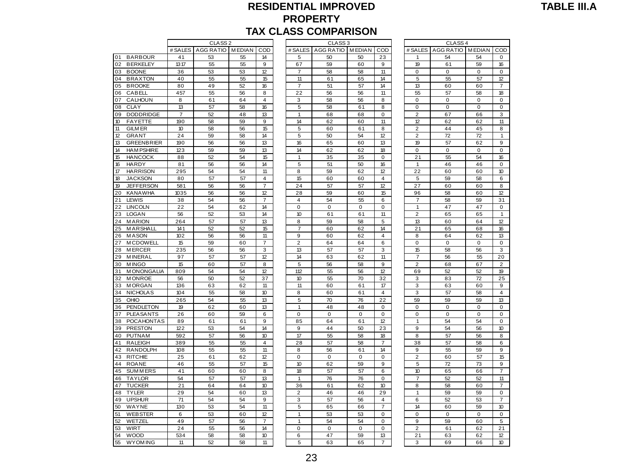### **RESIDENTIAL IMPROVED PROPERTY**

|          |                                |                |                    |          |                |                | ורטטווה וווטט טטרוש מרו |             |                         |                  |                        |          |                     |
|----------|--------------------------------|----------------|--------------------|----------|----------------|----------------|-------------------------|-------------|-------------------------|------------------|------------------------|----------|---------------------|
|          |                                |                | CLASS <sub>2</sub> |          |                |                | CLASS <sub>3</sub>      |             |                         |                  | CLASS <sub>4</sub>     |          |                     |
| 01       | <b>BARBOUR</b>                 | # SALES<br>41  | AGG RATIO MEDIAN   |          | COD<br>14      | # SALES<br>5   | AGG RATIO MEDIAN        | 50          | COD                     | # SALES<br>1     | AGG RATIO MEDIAN<br>54 | 54       | CO<br>$\mathbf 0$   |
| 02       | <b>BERKELEY</b>                | 1317           | 53<br>55           | 55<br>55 | 9              | 67             | 50<br>59                | 60          | 23<br>9                 | 19               | 61                     | 59       | 16                  |
| 03       | <b>BOONE</b>                   | 36             | 53                 | 53       | 12             | $\overline{7}$ | 58                      | 58          | 11                      | 0                | 0                      | $\Omega$ | 0                   |
| 04       | <b>BRAXTON</b>                 | 40             | 55                 | 55       | 15             | 11             | 61                      | 65          | 14                      | 5                | 55                     | 57       | 12                  |
| 05       | <b>BROOKE</b>                  | 80             | 49                 | 52       | 16             | $\overline{7}$ | 51                      | 57          | 14                      | 13               | 60                     | 60       | $\overline{7}$      |
| 06       | CABELL                         | 457            | 55                 | 56       | 8              | 22             | 56                      | 56          | 11                      | 55               | 57                     | 58       | 18                  |
| 07       | CALHOUN                        | 8              | 61                 | 64       | 4              | 3              | 58                      | 56          | 8                       | 0                | 0                      | 0        | 0                   |
| 08       | <b>CLAY</b>                    | 13             | 57                 | 58       | 16             | 5              | 58                      | 61          | 8                       | 0                | 0                      | 0        | 0                   |
| 09       | <b>DODDRIDGE</b>               | $\overline{7}$ | 52                 | 48       | 13             | 1              | 68                      | 68          | 0                       | $\overline{c}$   | 67                     | 66       | 3                   |
| 10       | <b>FAYETTE</b>                 | 190            | 58                 | 59       | 9              | 14             | 62                      | 60          | 11                      | 12               | 62                     | 62       | 11                  |
| 11       | <b>GILM ER</b>                 | 10             | 58                 | 56       | 15             | 5              | 60                      | 61          | 8                       | $\overline{2}$   | 44                     | 45       | 8                   |
| 12       | <b>GRANT</b>                   | 24             | 59                 | 58       | 14             | 5              | 50                      | 54          | 12                      | $\overline{2}$   | 72                     | 72       | $\mathbf{1}$        |
| 13       | <b>GREENBRIER</b>              | 190            | 56                 | 56       | 13             | 16             | 65                      | 60          | 13                      | 19               | 57                     | 62       | $\mathsf g$         |
| 14       | <b>HAM PSHIRE</b>              | 123            | 59                 | 59       | 13             | 14             | 62                      | 62          | 18                      | 0                | 0                      | 0        | $\pmb{0}$           |
| 15       | <b>HANCOCK</b>                 | 88             | 52                 | 54       | 15             | 1              | 35                      | 35          | 0                       | 21               | 55                     | 54       | 16                  |
| 16       | <b>HARDY</b>                   | 81             | 56                 | 56       | 14             | 5              | 51                      | 50          | 16                      | 1                | 46                     | 46       | 0                   |
| 17       | <b>HARRISON</b>                | 295            | 54                 | 54       | 11             | 8              | 59                      | 62          | 12                      | 22               | 60                     | 60       | 10                  |
| 18       | <b>JACKSON</b>                 | 80             | 57                 | 57       | $\overline{4}$ | 15             | 60                      | 60          | $\overline{4}$          | 5                | 59                     | 58       | 6                   |
| 19       | <b>JEFFERSON</b>               | 581            | 56                 | 56       | 7              | 24             | 57                      | 57          | 12                      | 27               | 60                     | 60       | 8                   |
| 20       | <b>KANAWHA</b>                 | 1035           | 56                 | 56       | 12             | 28             | 59                      | 60          | 15                      | 96               | 58                     | 60       | 12                  |
| 21       | LEWIS                          | 38             | 54                 | 56       | $\overline{7}$ | $\overline{4}$ | 54                      | 55          | 6                       | $\overline{7}$   | 58                     | 59       | 31                  |
| 22       | <b>LINCOLN</b>                 | 22             | 54                 | 62       | 14             | $\mathsf 0$    | $\mathbf 0$             | $\mathbf 0$ | 0                       | $\mathbf{1}$     | 47                     | 47       | $\pmb{0}$           |
| 23       | <b>LOGAN</b>                   | 56             | 52                 | 53       | 14             | 10             | 61                      | 61          | 11                      | 2                | 65                     | 65       | $\mathbf{1}$        |
| 24       | <b>MARION</b>                  | 264            | 57                 | 57       | 13             | 8              | 59                      | 58          | 5                       | 13               | 60                     | 64       | 12                  |
| 25       | <b>MARSHALL</b>                | 141            | 52                 | 52       | 15             | $\overline{7}$ | 60                      | 62          | 14                      | 21               | 65                     | 68       | 16                  |
| 26       | <b>MASON</b>                   | 102            | 56                 | 56       | 11             | 9              | 60                      | 62          | $\overline{4}$          | 8                | 64                     | 62       | 13                  |
| 27       | <b>MCDOWELL</b>                | 15             | 59                 | 60       | $\overline{7}$ | $\overline{2}$ | 64                      | 64          | 6                       | 0                | 0                      | 0        | $\mathbf 0$         |
| 28       | <b>MERCER</b>                  | 235            | 56                 | 56       | 3              | 13             | 57                      | 57          | 3                       | 15               | 58                     | 56       | 3                   |
| 29       | <b>MINERAL</b>                 | 97             | 57                 | 57       | 12             | 14             | 63                      | 62          | 11                      | $\overline{7}$   | 56                     | 55       | 20                  |
| 30       | <b>MINGO</b>                   | 15             | 60                 | 57       | 8              | 5              | 56                      | 58          | 9                       | 2                | 68                     | 67       | $\overline{2}$      |
| 31       | <b>MONONGALIA</b>              | 809            | 54                 | 54       | 12             | 112            | 55                      | 56          | 12                      | 69               | 52                     | 52       | 19                  |
| 32       | <b>MONROE</b><br><b>MORGAN</b> | 56             | 50                 | 52<br>62 | 37<br>11       | 10<br>11       | 55                      | 70          | 32<br>17                | 3                | 83                     | 72       | 25                  |
| 33<br>34 | <b>NICHOLAS</b>                | 136<br>104     | 63<br>55           | 58       | 10             | 8              | 60<br>60                | 61<br>61    | $\overline{4}$          | 3<br>3           | 63<br>57               | 60<br>58 | 9<br>$\overline{4}$ |
| 35       | OHIO                           | 265            | 54                 | 55       | 13             | 5              | 70                      | 76          | 22                      | 59               | 59                     | 59       | 13                  |
| 36       | PENDLETON                      | 19             | 62                 | 60       | 13             | $\mathbf{1}$   | 48                      | 48          | $\mathbf 0$             | 0                | 0                      | 0        | $\mathbf 0$         |
| 37       | <b>PLEASANTS</b>               | 26             | 60                 | 59       | 6              | $\mathbf 0$    | $\mathbf 0$             | $\mathbf 0$ | 0                       | 0                | 0                      | 0        | 0                   |
| 38       | POCAHONTAS                     | 89             | 61                 | 61       | 9              | 85             | 64                      | 61          | 12                      | $\mathbf{1}$     | 54                     | 54       | $\pmb{0}$           |
| 39       | <b>PRESTON</b>                 | 122            | 53                 | 54       | 14             | 9              | 44                      | 50          | 23                      | 9                | 54                     | 56       | 10                  |
| 40       | <b>PUTNAM</b>                  | 592            | 57                 | 56       | 10             | 17             | 55                      | 58          | 18                      | 8                | 57                     | 56       | 8                   |
| 41       | <b>RALEIGH</b>                 | 389            | 55                 | 55       | 4              | 28             | 57                      | 58          | 7                       | 38               | 57                     | 58       | 6                   |
| 42       | <b>RANDOLPH</b>                | 108            | 55                 | 55       | 11             | 8              | 56                      | 61          | 14                      | 9                | 55                     | 59       | 9                   |
| 43       | <b>RITCHIE</b>                 | 25             | 61                 | 62       | 12             | $\mathbf 0$    | 0                       | $\mathbf 0$ | 0                       | $\overline{c}$   | 60                     | 57       | 15                  |
| 44       | <b>ROANE</b>                   | 46             | 55                 | 57       | 15             | 10             | 62                      | 59          | 9                       | 5                | 72                     | 73       | 9                   |
| 45       | <b>SUMMERS</b>                 | 41             | 60                 | 60       | 8              | 18             | 57                      | 57          | 6                       | 10 <sup>10</sup> | 65                     | 66       | $\overline{7}$      |
| 46       | <b>TAYLOR</b>                  | 54             | 57                 | 57       | 13             | 1              | 76                      | 76          | $\Omega$                | $\overline{7}$   | 52                     | 52       | 11                  |
| 47       | <b>TUCKER</b>                  | 21             | 64                 | 64       | 10             | 36             | 61                      | 62          | 10                      | 8                | 58                     | 60       | $\overline{7}$      |
| 48       | <b>TYLER</b>                   | 29             | 54                 | 60       | 13             | 2              | 46                      | 46          | 29                      | 1                | 59                     | 59       | 0                   |
| 49       | <b>UPSHUR</b>                  | 71             | 54                 | 54       | 9              | 3              | 57                      | 56          | $\overline{\mathbf{4}}$ | 6                | 52                     | 53       | $\overline{7}$      |
| 50       | WAYNE                          | 130            | 53                 | 54       | 11             | 5              | 65                      | 66          | 7                       | 14               | 60                     | 59       | 10                  |
| 51       | <b>WEBSTER</b>                 | 6              | 53                 | 60       | 12             | 1              | 53                      | 53          | $\mathbf 0$             | 0                | 0                      | 0        | 0                   |
| 52       | WETZEL                         | 49             | 57                 | 56       | $\overline{7}$ | 1              | 54                      | 54          | 0                       | 9                | 59                     | 60       | 5                   |
| 53       | WIRT                           | 24             | 55                 | 56       | 14             | 0              | 0                       | $\mathbf 0$ | $\mathbf 0$             | $\overline{2}$   | 61                     | 62       | 21                  |
| 54       | <b>WOOD</b>                    | 534            | 58                 | 58       | 10             | 6              | 47                      | 59          | 13                      | 21               | 63                     | 62       | 12                  |
| 55       | <b>WYOM ING</b>                | 11             | 52                 | 58       | 11             | 5              | 63                      | 65          | 7                       | 3                | 69                     | 66       | 10                  |

|                |                    |               |                |                      | <b>TAX CLASS COMPARISON</b> |               |                         |                      |                    |                   |                         |
|----------------|--------------------|---------------|----------------|----------------------|-----------------------------|---------------|-------------------------|----------------------|--------------------|-------------------|-------------------------|
|                | CLASS <sub>2</sub> |               |                |                      | CLASS <sub>3</sub>          |               |                         |                      | CLASS <sub>4</sub> |                   |                         |
| # SALES        | AGG RATIO          | <b>MEDIAN</b> | COD            | # SALES              | AGG RATIO                   | <b>MEDIAN</b> | COD                     | # SALES              | <b>AGG RATIO</b>   | <b>MEDIAN</b>     | COD                     |
| 41             | 53                 | 55            | 14             | 5                    | 50                          | 50            | 23                      | 1                    | 54                 | 54                | 0                       |
| 1317           | 55                 | 55            | 9              | 67                   | 59                          | 60            | 9                       | 19                   | 61                 | 59                | 16                      |
| 36             | 53                 | 53            | 12             | $\overline{7}$       | 58                          | 58            | 11                      | $\mathbf 0$          | $\mathbf 0$        | $\mathbf 0$       | $\mathbf 0$             |
| 40             | 55                 | 55            | 15             | 11                   | 61                          | 65            | 14                      | 5                    | 55                 | 57                | 12                      |
| 80             | 49                 | 52            | 16             | $\overline{7}$       | 51                          | 57            | 14<br>11                | 13                   | 60                 | 60                | $\overline{7}$          |
| 457            | 55                 | 56<br>64      | 8<br>4         | 22<br>3              | 56<br>58                    | 56            | 8                       | 55<br>$\mathbf 0$    | 57<br>$\mathbf 0$  | 58<br>$\mathbf 0$ | 18<br>$\mathbf 0$       |
| 8<br>13        | 61<br>57           | 58            | 16             | 5                    | 58                          | 56<br>61      | 8                       | $\mathbf 0$          | $\mathbf 0$        | $\mathbf 0$       | $\pmb{0}$               |
| $\overline{7}$ | 52                 | 48            | 13             | 1                    | 68                          | 68            | 0                       | $\overline{2}$       | 67                 | 66                | 3                       |
| 190            | 58                 | 59            | 9              | 14                   | 62                          | 60            | 11                      | 12                   | 62                 | 62                | 11                      |
| 10             | 58                 | 56            | 15             | 5                    | 60                          | 61            | 8                       | $\overline{2}$       | 44                 | 45                | 8                       |
| 24             | 59                 | 58            | 14             | 5                    | 50                          | 54            | 12                      | $\overline{2}$       | 72                 | 72                | $\mathbf{1}$            |
| 190            | 56                 | 56            | 13             | 16                   | 65                          | 60            | 13                      | 19                   | 57                 | 62                | 9                       |
| 123            | 59                 | 59            | 13             | 14                   | 62                          | 62            | 18                      | 0                    | $\mathbf 0$        | 0                 | $\mathbf 0$             |
| 88             | 52                 | 54            | 15             | $\mathbf{1}$         | 35                          | 35            | 0                       | 21                   | 55                 | 54                | 16                      |
| 81             | 56                 | 56            | 14             | 5                    | 51                          | 50            | 16                      | $\mathbf{1}$         | 46                 | 46                | $\mathbf 0$             |
| 295            | 54                 | 54            | 11             | 8                    | 59                          | 62            | 12                      | 22                   | 60                 | 60                | 10                      |
| 80             | 57                 | 57            | $\overline{4}$ | 15                   | 60                          | 60            | $\overline{\mathbf{4}}$ | 5                    | 59                 | 58                | 6                       |
| 581            | 56                 | 56            | $\overline{7}$ | 24                   | 57                          | 57            | 12                      | 27                   | 60                 | 60                | 8                       |
| 1035           | 56                 | 56            | 12             | 28                   | 59                          | 60            | 15                      | 96                   | 58                 | 60                | 12                      |
| 38             | 54                 | 56            | 7              | 4                    | 54                          | 55            | 6                       | 7                    | 58                 | 59                | 31                      |
| 22             | 54                 | 62            | 14             | $\mathbf 0$          | 0                           | $\mathbf 0$   | $\mathsf 0$             | 1                    | 47                 | 47                | $\mathbf 0$             |
| 56             | 52                 | 53            | 14             | 10                   | 61                          | 61            | 11                      | $\overline{2}$       | 65                 | 65                | 1                       |
| 264            | 57                 | 57            | 13             | 8                    | 59                          | 58            | 5                       | 13                   | 60                 | 64                | 12                      |
| 141            | 52                 | 52            | 15             | 7                    | 60                          | 62            | 14                      | 21                   | 65                 | 68                | 16                      |
| 102            | 56                 | 56            | 11             | 9                    | 60                          | 62            | 4                       | 8                    | 64                 | 62                | 13                      |
| 15             | 59                 | 60            | 7              | $\overline{2}$       | 64                          | 64            | 6                       | 0                    | $\mathbf 0$        | 0                 | $\mathbf 0$             |
| 235            | 56                 | 56            | 3              | 13                   | 57                          | 57            | 3                       | 15                   | 58                 | 56                | 3                       |
| 97             | 57                 | 57            | 12             | 14                   | 63                          | 62            | 11                      | $\overline{7}$       | 56                 | 55                | 20                      |
| 15             | 60                 | 57            | 8              | 5                    | 56                          | 58            | 9                       | $\overline{2}$       | 68                 | 67                | $\overline{2}$          |
| 809            | 54                 | 54            | 12             | 112                  | 55                          | 56            | 12                      | 69                   | 52                 | 52                | 19                      |
| 56             | 50                 | 52            | 37             | 10                   | 55                          | 70            | 32                      | 3                    | 83                 | 72                | 25                      |
| 136            | 63                 | 62            | 11             | 11                   | 60                          | 61            | 17                      | 3                    | 63                 | 60                | 9                       |
| 104            | 55                 | 58            | 10             | 8                    | 60                          | 61            | $\overline{\mathbf{4}}$ | 3                    | 57                 | 58                | $\overline{\mathbf{4}}$ |
| 265            | 54                 | 55            | 13             | 5                    | 70                          | 76            | 22                      | 59                   | 59                 | 59                | 13                      |
| 19             | 62                 | 60            | 13             | 1                    | 48                          | 48            | 0                       | 0                    | 0                  | 0                 | $\mathbf 0$             |
| 26             | 60                 | 59            | 6              | $\mathsf 0$          | 0                           | $\mathbf 0$   | 0                       | $\mathbf 0$          | $\mathbf 0$        | $\mathbf 0$       | $\mathbf 0$             |
| 89             | 61                 | 61            | 9              | 85                   | 64                          | 61            | 12                      | 1                    | 54                 | 54                | $\mathbf 0$             |
| 122            | 53                 | 54            | 14             | 9                    | 44                          | 50            | 23                      | 9                    | 54                 | 56                | 10                      |
| 592            | 57                 | 56            | 10             | 17                   | 55                          | 58            | 18                      | 8                    | 57                 | 56                | 8                       |
| 389            | 55                 | 55            | 4              | 28                   | 57                          | 58            | $\overline{7}$          | 38                   | 57                 | 58                | 6                       |
| 108            | 55                 | 55            | 11             | 8                    | 56                          | 61            | 14                      | 9                    | 55                 | 59                | 9                       |
| 25             | 61                 | 62            | 12             | $\mathbf 0$          | $\mathbf 0$                 | 0             | 0<br>9                  | $\overline{2}$       | 60                 | 57                | 15                      |
| 46             | 55                 | 57            | 15             | 10                   | 62                          | 59            |                         | 5                    | 72                 | 73                | 9                       |
| 41             | 60                 | 60            | 8              | 18<br>$\mathbf{1}$   | 57                          | 57            | 6                       | 10<br>$\overline{7}$ | 65                 | 66                | $\overline{7}$          |
| 54             | 57                 | 57            | 13             |                      | 76                          | 76            | 0                       |                      | 52                 | 52                | 11                      |
| 21<br>29       | 64<br>54           | 64            | 10<br>13       | 36<br>$\overline{2}$ | 61<br>46                    | 62<br>46      | 10<br>29                | 8<br>1               | 58                 | 60                | 7<br>$\mathbf 0$        |
| 71             | 54                 | 60<br>54      | 9              |                      |                             |               |                         |                      | 59                 | 59                | 7                       |
| 130            |                    | 54            | 11             | 3<br>5               | 57<br>65                    | 56<br>66      | 4<br>7                  | 6<br>14              | 52<br>60           | 53                | 10                      |
| 6              | 53<br>53           | 60            | 12             | 1                    | 53                          | 53            | 0                       | $\mathbf 0$          | $\mathbf 0$        | 59<br>$\mathbf 0$ | $\mathbf 0$             |
| 49             | 57                 | 56            | $\overline{7}$ | $\overline{1}$       | 54                          | 54            | 0                       | 9                    | 59                 | 60                | 5                       |
| 24             | 55                 | 56            | 14             | 0                    | 0                           | 0             | 0                       | $\overline{2}$       | 61                 | 62                | 21                      |
| 534            | 58                 | 58            | 10             | 6                    | 47                          | 59            | 13                      | 21                   | 63                 | 62                | 12                      |
| 11             | 52                 | 58            | 11             | 5                    | 63                          | 65            | 7                       | 3                    | 69                 | 66                | 10 <sup>10</sup>        |
|                |                    |               |                |                      |                             |               |                         |                      |                    |                   |                         |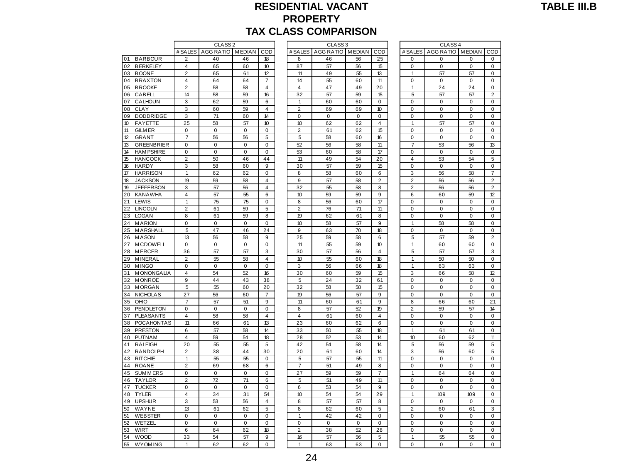### **RESIDENTIAL VACANT PROPERTY**

|  | <b>TABLE III.B</b> |
|--|--------------------|
|  |                    |

|    |                   |                         | CLASS <sub>2</sub> |             |                         |                | CLASS <sub>3</sub> |             |                | CLASS <sub>4</sub>      |                  |             |                         |  |
|----|-------------------|-------------------------|--------------------|-------------|-------------------------|----------------|--------------------|-------------|----------------|-------------------------|------------------|-------------|-------------------------|--|
|    |                   | # SALES                 | AGG RATIO MEDIAN   |             | COD                     | # SALES        | AGG RATIO MEDIAN   |             | COD            | # SALES                 | AGG RATIO MEDIAN |             | CO                      |  |
| 01 | <b>BARBOUR</b>    | $\overline{2}$          | 40                 | 46          | 18                      | 8              | 46                 | 56          | 25             | 0                       | 0                | 0           | $\mathbf 0$             |  |
| 02 | <b>BERKELEY</b>   | $\overline{4}$          | 65                 | 60          | 10 <sup>10</sup>        | 87             | 57                 | 56          | 15             | 0                       | $\Omega$         | $\Omega$    | $\mathbf 0$             |  |
| 03 | <b>BOONE</b>      | $\overline{2}$          | 65                 | 61          | 12                      | 11             | 49                 | 55          | 13             | $\mathbf{1}$            | 57               | 57          | $\mathbf 0$             |  |
| 04 | <b>BRAXTON</b>    | 4                       | 64                 | 64          | 7                       | 14             | 55                 | 60          | 11             | 0                       | 0                | 0           | 0                       |  |
| 05 | <b>BROOKE</b>     | $\overline{2}$          | 58                 | 58          | 4                       | 4              | 47                 | 49          | 20             | $\mathbf{1}$            | 24               | 24          | 0                       |  |
| 06 | CABELL            | 14                      | 58                 | 59          | 16                      | 32             | 57                 | 59          | 15             | 5                       | 57               | 57          | $\overline{2}$          |  |
| 07 | CALHOUN           | 3                       | 62                 | 59          | 6                       | 1              | 60                 | 60          | 0              | 0                       | 0                | 0           | 0                       |  |
| 08 | <b>CLAY</b>       | 3                       | 60                 | 59          | $\overline{4}$          | $\overline{2}$ | 69                 | 69          | 10             | 0                       | $\mathbf 0$      | 0           | 0                       |  |
| 09 | <b>DODDRIDGE</b>  | 3                       | 71                 | 60          | 14                      | $\Omega$       | $\Omega$           | $\Omega$    | $\Omega$       | 0                       | $\Omega$         | $\Omega$    | $\mathbf 0$             |  |
| 10 | <b>FAYETTE</b>    | 25                      | 58                 | 57          | 10                      | 10             | 62                 | 62          | 4              | $\mathbf{1}$            | 57               | 57          | $\pmb{0}$               |  |
| 11 | <b>GILM ER</b>    | $\mathbf 0$             | $\pmb{0}$          | $\mathbf 0$ | $\mathbf 0$             | $\overline{2}$ | 61                 | 62          | 15             | 0                       | $\pmb{0}$        | 0           | 0                       |  |
| 12 | <b>GRANT</b>      | $\overline{7}$          | 56                 | 56          | 5                       | 5              | 58                 | 60          | 16             | 0                       | 0                | 0           | 0                       |  |
| 13 | <b>GREENBRIER</b> | $\mathbf 0$             | $\mathbf 0$        | $\mathbf 0$ | $\mathbf 0$             | 52             | 56                 | 58          | 11             | $\overline{7}$          | 53               | 56          | 13                      |  |
| 14 | <b>HAM PSHIRE</b> | $\mathbf 0$             | $\mathbf 0$        | $\mathbf 0$ | $\mathbf 0$             | 53             | 60                 | 58          | 17             | 0                       | $\mathbf 0$      | 0           | 0                       |  |
| 15 | <b>HANCOCK</b>    | $\overline{2}$          | 50                 | 46          | 44                      | 11             | 49                 | 54          | 20             | $\overline{4}$          | 53               | 54          | 5                       |  |
| 16 | <b>HARDY</b>      | 3                       | 58                 | 60          | 9                       | 30             | 57                 | 59          | 15             | 0                       | $\mathbf 0$      | 0           | $\mathbf 0$             |  |
| 17 | <b>HARRISON</b>   | $\mathbf{1}$            | 62                 | 62          | $\mathbf 0$             | 8              | 58                 | 60          | 6              | 3                       | 56               | 58          | $\overline{7}$          |  |
| 18 | <b>JACKSON</b>    | 19                      | 59                 | 58          | 4                       | 9              | 57                 | 58          | 2              | 2                       | 56               | 56          | $\overline{2}$          |  |
| 19 | <b>JEFFERSON</b>  | 3                       | 57                 | 56          | $\overline{\mathbf{4}}$ | 32             | 55                 | 58          | 8              | $\overline{\mathbf{c}}$ | 56               | 56          | $\overline{2}$          |  |
| 20 | <b>KANAWHA</b>    | $\overline{4}$          | 57                 | 55          | 6                       | 10             | 59                 | 59          | 9              | 6                       | 60               | 59          | 12                      |  |
| 21 | LEWIS             | $\mathbf{1}$            | 75                 | 75          | $\mathbf 0$             | 8              | 56                 | 60          | 17             | $\overline{0}$          | 0                | 0           | 0                       |  |
| 22 | <b>LINCOLN</b>    | $\overline{2}$          | 61                 | 59          | 5                       | $\overline{2}$ | 76                 | 71          | 11             | 0                       | $\mathbf 0$      | $\mathbf 0$ | $\mathbf{0}$            |  |
| 23 | <b>LOGAN</b>      | 8                       | 61                 | 59          | 8                       | 19             | 62                 | 61          | 8              | 0                       | 0                | 0           | $\mathbf 0$             |  |
| 24 | <b>MARION</b>     | $\mathbf 0$             | $\Omega$           | $\Omega$    | $\mathbf 0$             | 10             | 58                 | 57          | 9              | $\mathbf{1}$            | 58               | 58          | 0                       |  |
| 25 | MARSHALL          | 5                       | 47                 | 46          | 24                      | 9              | 63                 | 70          | 18             | 0                       | $\mathbf 0$      | 0           | 0                       |  |
| 26 | <b>MASON</b>      | 13                      | 56                 | 58          | $\boldsymbol{9}$        | 25             | 59                 | 58          | 6              | 5                       | 57               | 59          | $\overline{\mathbf{c}}$ |  |
| 27 | <b>MCDOWELL</b>   | 0                       | 0                  | 0           | 0                       | 11             | 55                 | 59          | 10             | 1                       | 60               | 60          | 0                       |  |
| 28 | <b>MERCER</b>     | 36                      | 57                 | 57          | 3                       | 30             | 57                 | 56          | 4              | 5                       | 57               | 57          | 3                       |  |
| 29 | <b>MINERAL</b>    | $\overline{2}$          | 55                 | 58          | $\overline{\mathbf{4}}$ | 10             | 55                 | 60          | 18             | $\mathbf{1}$            | 50               | 50          | 0                       |  |
| 30 | <b>MINGO</b>      | $\mathbf 0$             | $\mathbf 0$        | $\mathbf 0$ | $\mathbf 0$             | 3              | 56                 | 66          | 18             | $\mathbf{1}$            | 63               | 63          | $\mathbf 0$             |  |
| 31 | <b>MONONGALIA</b> | $\overline{4}$          | 54                 | 52          | 16                      | 30             | 60                 | 59          | 15             | 3                       | 66               | 58          | 12                      |  |
| 32 | <b>MONROE</b>     | $\overline{9}$          | 44                 | 43          | 38                      | 5              | 24                 | 32          | 61             | 0                       | $\mathbf 0$      | 0           | $\mathbf 0$             |  |
| 33 | <b>MORGAN</b>     | 5                       | 55                 | 60          | 20                      | 32             | 58                 | 58          | 15             | 0                       | $\pmb{0}$        | $\pmb{0}$   | $\pmb{0}$               |  |
| 34 | <b>NICHOLAS</b>   | 27                      | 56                 | 60          | 7                       | 19             | 56                 | 57          | 9              | 0                       | 0                | 0           | 0                       |  |
| 35 | OHIO              | $\overline{7}$          | 57                 | 51          | 9                       | 11             | 60                 | 61          | 9              | 8                       | 66               | 60          | 21                      |  |
| 36 | PENDLETON         | $\mathbf 0$             | $\mathbf 0$        | $\mathbf 0$ | 0                       | 8              | 57                 | 52          | 19             | $\overline{c}$          | 59               | 57          | 14                      |  |
| 37 | <b>PLEASANTS</b>  | $\overline{4}$          | 58                 | 58          | 4                       | 4              | 61                 | 60          | 4              | 0                       | 0                | 0           | 0                       |  |
| 38 | <b>POCAHONTAS</b> | 11                      | 66                 | 61          | 13                      | 23             | 60                 | 62          | 6              | 0                       | $\mathbf 0$      | $\mathbf 0$ | 0                       |  |
| 39 | <b>PRESTON</b>    | 6                       | 57                 | 58          | 14                      | 33             | 50                 | 55          | 18             | $\mathbf{1}$            | 61               | 61          | $\mathbf 0$             |  |
| 40 | <b>PUTNAM</b>     | $\overline{\mathbf{4}}$ | 59                 | 54          | 18                      | 28             | 52                 | 53          | 14             | 10                      | 60               | 62          | 11                      |  |
| 41 | <b>RALEIGH</b>    | 20                      | 55                 | 55          | 5                       | 42             | 54                 | 58          | 14             | 5                       | 56               | 59          | 5                       |  |
| 42 | <b>RANDOLPH</b>   | $\overline{2}$          | 38                 | 44          | 30                      | 20             | 61                 | 60          | 14             | 3                       | 56               | 60          | 5                       |  |
| 43 | <b>RITCHIE</b>    | 1                       | 55                 | 55          | $\mathbf 0$             | 5              | 57                 | 55          | 11             | $\mathbf 0$             | $\mathbf 0$      | 0           | $\pmb{0}$               |  |
| 44 | <b>ROANE</b>      | $\overline{2}$          | 69                 | 68          | 6                       | $\overline{7}$ | 51                 | 49          | 8              | $\mathbf 0$             | 0                | 0           | $\mathbf 0$             |  |
| 45 | <b>SUMMERS</b>    | $\mathbf 0$             | $\mathbf 0$        | 0           | 0                       | 27             | 59                 | 59          | $\overline{7}$ | $\mathbf{1}$            | 64               | 64          | 0                       |  |
| 46 | <b>TAYLOR</b>     | $\overline{2}$          | 72                 | 71          | 6                       | 5              | 51                 | 49          | 11             | 0                       | $\Omega$         | $\Omega$    | $\mathbf 0$             |  |
| 47 | <b>TUCKER</b>     | $\pmb{0}$               | $\mathbf 0$        | $\mathbf 0$ | $\mathbf 0$             | 6              | 53                 | 54          | 9              | $\mathbf 0$             | 0                | $\mathbf 0$ | $\pmb{0}$               |  |
| 48 | <b>TYLER</b>      | $\overline{4}$          | 34                 | 31          | 54                      | 10             | 54                 | 54          | 29             | $\mathbf{1}$            | 109              | 109         | 0                       |  |
| 49 | <b>UPSHUR</b>     | 3                       | 53                 | 56          | 4                       | 8              | 57                 | 57          | 8              | 0                       | 0                | $\pmb{0}$   | 0                       |  |
| 50 | WAYNE             | 13                      | 61                 | 62          | 5                       | 8              | 62                 | 60          | 5              | $\overline{2}$          | 60               | 61          | 3                       |  |
| 51 | <b>WEBSTER</b>    | $\pmb{0}$               | 0                  | 0           | 0                       | 1              | 42                 | 42          | 0              | 0                       | 0                | $\Omega$    | 0                       |  |
| 52 | WETZEL            | $\mathbf 0$             | $\mathbf 0$        | $\mathbf 0$ | $\mathbf 0$             | $\mathbf 0$    | $\mathbf 0$        | $\mathbf 0$ | $\mathbf 0$    | 0                       | $\mathbf 0$      | 0           | 0                       |  |
| 53 | WIRT              | 6                       | 64                 | 62          | 18                      | $\overline{2}$ | 38                 | 52          | 28             | $\Omega$                | $\Omega$         | $\Omega$    | $\mathbf 0$             |  |
| 54 | <b>WOOD</b>       | 33                      | 54                 | 57          | 9                       | 16             | 57                 | 56          | 5              | $\mathbf{1}$            | 55               | 55          | $\pmb{0}$               |  |
|    |                   |                         |                    |             |                         |                |                    |             |                |                         |                  |             |                         |  |

|                      | CLASS <sub>2</sub> |                |                |                         | CLASS <sub>3</sub>           |             |                |                            | CLASS <sub>4</sub> |                          |                                      |
|----------------------|--------------------|----------------|----------------|-------------------------|------------------------------|-------------|----------------|----------------------------|--------------------|--------------------------|--------------------------------------|
| # SALES              | AGG RATIO MEDIAN   |                | COD            |                         | # SALES   AGG RATIO   MEDIAN |             | COD            | # SALES                    | AGG RATIO MEDIAN   |                          | COD                                  |
| $\overline{2}$       | 40                 | 46             | 18             | 8                       | 46                           | 56          | 25             | 0                          | 0                  | $\mathbf 0$              | 0                                    |
| 4                    | 65                 | 60             | 10             | 87                      | 57                           | 56          | 15             | $\Omega$                   | $\Omega$           | $\pmb{0}$                | $\pmb{0}$                            |
| $\overline{2}$       | 65                 | 61             | 12             | 11                      | 49                           | 55          | 13             | $\mathbf{1}$               | 57                 | 57                       | $\mathbf 0$                          |
| 4                    | 64                 | 64             | 7              | 14                      | 55                           | 60          | 11             | $\mathbf 0$                | $\mathbf 0$        | $\mathbf 0$              | $\pmb{0}$                            |
| $\overline{c}$<br>14 | 58                 | 58             | 4<br>16        | $\overline{4}$<br>32    | 47<br>57                     | 49<br>59    | 20<br>15       | $\mathbf{1}$<br>5          | 24<br>57           | 24                       | 0                                    |
| 3                    | 58<br>62           | 59<br>59       | 6              | 1                       | 60                           | 60          | 0              | $\pmb{0}$                  | 0                  | 57<br>0                  | $\overline{\mathbf{c}}$<br>$\pmb{0}$ |
| 3                    | 60                 | 59             | 4              | $\overline{2}$          | 69                           | 69          | 10             | 0                          | 0                  | 0                        | 0                                    |
| 3                    | 71                 | 60             | 14             | $\mathbf 0$             | $\mathbf 0$                  | 0           | 0              | $\mathbf 0$                | 0                  | $\mathbf 0$              | $\pmb{0}$                            |
| 25                   | 58                 | 57             | 10             | 10                      | 62                           | 62          | 4              | 1                          | 57                 | 57                       | $\mathbf 0$                          |
| 0                    | $\pmb{0}$          | $\mathbf 0$    | 0              | $\overline{2}$          | 61                           | 62          | 15             | $\mathbf 0$                | 0                  | $\mathbf 0$              | $\mathbf 0$                          |
| 7                    | 56                 | 56             | 5              | 5                       | 58                           | 60          | 16             | 0                          | 0                  | $\mathbf 0$              | 0                                    |
| 0                    | $\mathbf 0$        | 0              | 0              | 52                      | 56                           | 58          | 11             | $\overline{7}$             | 53                 | 56                       | 13                                   |
| 0                    | $\mathbf 0$        | 0              | $\mathbf 0$    | 53                      | 60                           | 58          | 17             | $\mathbf 0$                | $\mathbf 0$        | $\mathbf 0$              | 0                                    |
| 2                    | 50                 | 46             | 44             | 11                      | 49                           | 54          | 20             | $\overline{4}$             | 53                 | 54                       | 5                                    |
| 3                    | 58                 | 60             | 9              | 30                      | 57                           | 59          | 15             | $\Omega$                   | $\mathbf 0$        | $\mathbf 0$              | $\pmb{0}$                            |
| $\mathbf{1}$         | 62                 | 62             | 0              | 8                       | 58                           | 60          | 6              | 3                          | 56                 | 58                       | $\overline{7}$                       |
| 19                   | 59                 | 58             | $\overline{4}$ | 9                       | 57                           | 58          | $\overline{2}$ | $\overline{2}$             | 56                 | 56                       | $\overline{\mathbf{c}}$              |
| 3                    | 57                 | 56             | 4              | 32                      | 55                           | 58          | 8              | $\overline{\mathbf{c}}$    | 56                 | 56                       | $\overline{\mathbf{c}}$              |
| 4                    | 57                 | 55             | 6              | 10                      | 59                           | 59          | 9              | 6                          | 60                 | 59                       | 12                                   |
| 1                    | 75                 | 75             | 0              | 8                       | 56                           | 60          | 17             | 0                          | 0                  | 0                        | 0                                    |
| $\overline{c}$       | 61                 | 59             | 5              | $\overline{\mathbf{c}}$ | 76                           | 71          | 11             | 0                          | 0                  | 0                        | 0                                    |
| 8                    | 61                 | 59             | 8              | 19                      | 62                           | 61          | 8              | 0                          | $\mathbf 0$        | $\mathbf 0$              | $\mathbf 0$                          |
| 0                    | $\mathbf 0$        | $\overline{0}$ | 0              | 10                      | 58                           | 57          | 9              | $\mathbf{1}$               | 58                 | 58                       | $\mathbf 0$                          |
| 5                    | 47                 | 46             | 24             | 9                       | 63                           | 70          | 18             | $\mathbf 0$                | 0                  | $\mathbf 0$              | $\mathbf 0$                          |
| 13                   | 56                 | 58             | 9              | 25                      | 59                           | 58          | 6              | 5                          | 57                 | 59                       | $\overline{c}$                       |
| $\mathbf 0$          | $\mathbf 0$        | 0              | 0              | 11                      | 55                           | 59          | 10             | $\mathbf{1}$               | 60                 | 60                       | 0                                    |
| 36                   | 57                 | 57             | 3              | 30                      | 57                           | 56          | 4              | 5                          | 57                 | 57                       | 3                                    |
| $\overline{2}$       | 55                 | 58             | $\overline{4}$ | 10                      | 55                           | 60          | 18             | $\mathbf{1}$               | 50                 | 50                       | 0                                    |
| $\mathbf 0$          | $\mathbf 0$        | 0              | $\mathbf 0$    | 3                       | 56                           | 66          | 18             | $\mathbf{1}$               | 63                 | 63                       | $\mathbf 0$                          |
| $\overline{4}$       | 54                 | 52             | 16             | 30                      | 60                           | 59          | 15             | 3                          | 66                 | 58                       | 12                                   |
| 9<br>5               | 44<br>55           | 43<br>60       | 38<br>20       | 5<br>32                 | 24<br>58                     | 32<br>58    | 61<br>15       | $\mathbf 0$<br>$\mathbf 0$ | 0<br>$\pmb{0}$     | $\mathbf 0$<br>$\pmb{0}$ | 0<br>$\pmb{0}$                       |
| 27                   | 56                 | 60             | 7              | 19                      | 56                           | 57          | 9              | 0                          | $\pmb{0}$          | 0                        | $\pmb{0}$                            |
| $\overline{7}$       | 57                 | 51             | 9              | 11                      | 60                           | 61          | 9              | 8                          | 66                 | 60                       | 21                                   |
| 0                    | 0                  | 0              | 0              | 8                       | 57                           | 52          | 19             | $\overline{2}$             | 59                 | 57                       | 14                                   |
| 4                    | 58                 | 58             | 4              | $\overline{4}$          | 61                           | 60          | 4              | $\mathbf 0$                | $\mathbf 0$        | 0                        | $\mathbf 0$                          |
| 11                   | 66                 | 61             | 13             | 23                      | 60                           | 62          | 6              | 0                          | $\mathbf 0$        | $\mathbf 0$              | $\mathbf 0$                          |
| 6                    | 57                 | 58             | 14             | 33                      | 50                           | 55          | 18             | 1                          | 61                 | 61                       | $\mathbf 0$                          |
| 4                    | 59                 | 54             | 18             | 28                      | 52                           | 53          | 14             | 10                         | 60                 | 62                       | 11                                   |
| 20                   | 55                 | 55             | 5              | 42                      | 54                           | 58          | 14             | 5                          | 56                 | 59                       | 5                                    |
| $\overline{2}$       | 38                 | 44             | 30             | 20                      | 61                           | 60          | 14             | 3                          | 56                 | 60                       | 5                                    |
| $\mathbf{1}$         | 55                 | 55             | 0              | 5                       | 57                           | 55          | 11             | $\Omega$                   | $\Omega$           | $\Omega$                 | $\pmb{0}$                            |
| $\overline{2}$       | 69                 | 68             | 6              | $\overline{7}$          | 51                           | 49          | 8              | $\Omega$                   | $\mathbf 0$        | $\mathbf 0$              | $\mathbf 0$                          |
| 0                    | 0                  | 0              | 0              | 27                      | 59                           | 59          | 7              | $\mathbf{1}$               | 64                 | 64                       | $\pmb{0}$                            |
| $\overline{c}$       | 72                 | 71             | 6              | 5                       | 51                           | 49          | 11             | 0                          | $\mathbf 0$        | $\mathbf 0$              | 0                                    |
| 0                    | 0                  | 0              | 0              | 6                       | 53                           | 54          | 9              | $\pmb{0}$                  | $\mathbf 0$        | $\mathbf 0$              | $\mathbf 0$                          |
| 4                    | 34                 | 31             | 54             | 10                      | 54                           | 54          | 29             | $\mathbf{1}$               | 109                | 109                      | $\pmb{0}$                            |
| 3                    | 53                 | 56             | 4              | 8                       | 57                           | 57          | 8              | 0                          | 0                  | 0                        | 0                                    |
| 13                   | 61                 | 62             | 5              | 8                       | 62                           | 60          | 5              | $\overline{2}$             | 60                 | 61                       | 3                                    |
| 0                    | 0                  | 0              | 0              | 1                       | 42                           | 42          | 0              | $\mathbf 0$                | 0                  | 0                        | $\mathbf 0$                          |
| 0                    | 0                  | 0              | 0              | $\mathbf 0$             | $\mathbf 0$                  | $\mathbf 0$ | 0              | $\mathbf 0$                | 0                  | $\mathbf 0$              | $\mathbf 0$                          |
| 6                    | 64                 | 62             | 18             | $\overline{2}$          | 38                           | 52          | 28             | 0                          | 0                  | 0                        | $\mathbf 0$                          |
| 33                   | 54                 | 57             | 9              | 16                      | 57                           | 56          | 5              | 1                          | 55                 | 55                       | $\mathbf 0$                          |
| 1                    | 62                 | 62             | 0              | 1                       | 63                           | 63          | 0              | $\mathbf 0$                | 0                  | $\mathbf 0$              | $\mathbf 0$                          |

|                | CLASS <sub>4</sub> |                |                |
|----------------|--------------------|----------------|----------------|
|                | # SALES AGG RATIO  | <b>MEDIAN</b>  | COD            |
| 0              | 0                  | 0              | 0              |
| 0              | 0                  | 0              | 0              |
| $\mathbf{1}$   | 57                 | 57             | 0              |
| 0              | 0                  | 0              | 0              |
|                |                    |                |                |
| 1              | 24                 | 24             | 0              |
| 5              | 57                 | 57             | $\overline{c}$ |
| 0              | 0                  | 0              | 0              |
| 0              | 0                  | 0              | 0              |
| 0              | 0                  | 0              | 0              |
| 1              | 57                 | 57             | 0              |
| 0              | 0                  | 0              | 0              |
| 0              | 0                  | 0              | 0              |
| 7              | 53                 | 56             | 13             |
| 0              | 0                  | 0              | 0              |
| 4              | 53                 | 54             | 5              |
| $\overline{0}$ | 0                  | 0              | 0              |
| 3              | 56                 | 58             | 7              |
| 2              | 56                 | 56             | 2              |
| $\overline{c}$ | 56                 | 56             | $\overline{c}$ |
| 6              | 60                 | 59             | 12             |
| 0              | 0                  | 0              | 0              |
| 0              | 0                  | $\overline{0}$ | 0              |
| 0              | 0                  | 0              | 0              |
| 1              | 58                 | 58             | 0              |
| 0              | 0                  | 0              | 0              |
| 5              | 57                 | 59             | $\overline{c}$ |
| 1              | 60                 | 60             | 0              |
| 5              |                    |                | 3              |
|                | 57                 | 57             |                |
| 1              | 50                 | 50             | 0              |
| 1              | 63                 | 63             | 0              |
| 3              | 66                 | 58             | 12             |
| 0              | 0                  | 0              | 0              |
| 0              | 0                  | 0              | 0              |
| 0              | 0                  | 0              | 0              |
| 8              | 66                 | 60             | 21             |
| $\overline{c}$ | 59                 | 57             | 14             |
| 0              | 0                  | 0              | 0              |
| 0              | 0                  | 0              | 0              |
| 1              | 61                 | 61             | 0              |
| 10             | 60                 | 62             | 11             |
| 5              | 56                 | 59             | 5              |
| 3              | 56                 | 60             | 5              |
| 0              | 0                  | 0              | O              |
| 0              | 0                  | 0              | 0              |
| 1              | 64                 | 64             | 0              |
| 0              | 0                  | 0              | 0              |
| 0              | 0                  | 0              | 0              |
| 1              | 109                | 109            | 0              |
| 0              | 0                  | 0              | 0              |
| 2              | 60                 | 61             | 3              |
| 0              | 0                  | 0              | 0              |
| 0              | 0                  | 0              | 0              |
| $\overline{0}$ | Ō                  | Ō              | Ō              |
| 1              | 55                 | 55             | 0              |
| $\Omega$       | 0                  | 0              | $\Omega$       |
|                |                    |                |                |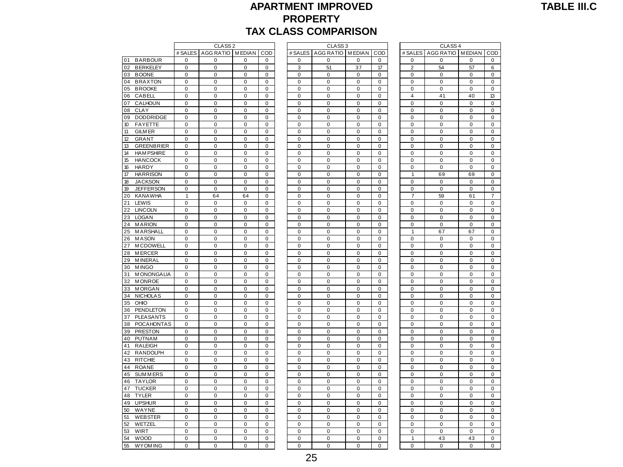#### **APARTMENT IMPROVED PROPERTY TAX CLASS COMPARISON**

| <b>TABLE III.C</b> |  |  |
|--------------------|--|--|
|--------------------|--|--|

|                         |                | CLASS <sub>2</sub> |             |             |             | CLASS <sub>3</sub> |             |             |                | CLASS <sub>4</sub>       |             |  |
|-------------------------|----------------|--------------------|-------------|-------------|-------------|--------------------|-------------|-------------|----------------|--------------------------|-------------|--|
|                         | # SALES        | AGG RATIO MEDIAN   |             | COD         | # SALES     | AGG RATIO MEDIAN   |             | COD         |                | # SALES AGG RATIO MEDIAN |             |  |
| 01<br><b>BARBOUR</b>    | 0              | $\mathbf 0$        | 0           | 0           | $\mathbf 0$ | $\mathbf 0$        | $\mathbf 0$ | $\mathbf 0$ | 0              | $\mathbf 0$              | 0           |  |
| <b>BERKELEY</b><br>02   | 0              | $\mathbf 0$        | 0           | $\mathbf 0$ | 3           | 51                 | 37          | 17          | $\overline{2}$ | 54                       | 57          |  |
| 03<br><b>BOONE</b>      | $\mathbf 0$    | $\pmb{0}$          | 0           | $\mathbf 0$ | $\mathbf 0$ | $\mathbf 0$        | $\mathbf 0$ | $\mathbf 0$ | $\mathbf 0$    | 0                        | 0           |  |
| <b>BRAXTON</b><br>04    | 0              | $\pmb{0}$          | 0           | 0           | $\pmb{0}$   | $\mathbf 0$        | $\mathbf 0$ | 0           | 0              | $\pmb{0}$                | 0           |  |
| 05<br><b>BROOKE</b>     | 0              | 0                  | 0           | 0           | 0           | 0                  | 0           | 0           | 0              | 0                        | 0           |  |
| 06<br>CABELL            | 0              | 0                  | 0           | 0           | $\mathbf 0$ | $\mathbf 0$        | $\mathbf 0$ | 0           | 4              | 41                       | 40          |  |
| 07<br>CALHOUN           | 0              | 0                  | 0           | 0           | 0           | 0                  | $\mathbf 0$ | 0           | $\mathbf 0$    | 0                        | 0           |  |
| 08<br><b>CLAY</b>       | 0              | $\mathbf 0$        | 0           | $\mathbf 0$ | $\mathbf 0$ | 0                  | $\mathbf 0$ | 0           | 0              | 0                        | 0           |  |
| <b>DODDRIDGE</b><br>09  | 0              | $\mathbf 0$        | 0           | $\mathbf 0$ | $\Omega$    | $\Omega$           | $\Omega$    | $\Omega$    | $\Omega$       | $\mathbf 0$              | 0           |  |
| 10<br><b>FAYETTE</b>    | $\mathbf 0$    | $\pmb{0}$          | $\pmb{0}$   | $\mathbf 0$ | $\mathbf 0$ | $\mathbf 0$        | $\mathbf 0$ | $\mathbf 0$ | $\mathbf 0$    | $\pmb{0}$                | 0           |  |
| 11<br><b>GILM ER</b>    | 0              | $\pmb{0}$          | 0           | $\mathbf 0$ | $\pmb{0}$   | $\mathbf 0$        | $\pmb{0}$   | $\mathbf 0$ | $\mathbf 0$    | $\pmb{0}$                | 0           |  |
| 12<br><b>GRANT</b>      | 0              | $\pmb{0}$          | 0           | 0           | $\pmb{0}$   | 0                  | $\mathbf 0$ | 0           | $\mathbf 0$    | $\pmb{0}$                | 0           |  |
| 13<br><b>GREENBRIER</b> | 0              | $\mathbf 0$        | 0           | $\mathbf 0$ | $\mathbf 0$ | $\mathbf 0$        | $\mathbf 0$ | $\mathbf 0$ | 0              | $\mathbf 0$              | 0           |  |
| 14<br><b>HAM PSHIRE</b> | 0              | $\mathbf 0$        | 0           | $\mathbf 0$ | 0           | $\mathbf 0$        | $\mathbf 0$ | $\mathbf 0$ | $\mathbf 0$    | $\pmb{0}$                | 0           |  |
| 15<br><b>HANCOCK</b>    | 0              | $\mathbf 0$        | 0           | $\mathbf 0$ | $\mathbf 0$ | $\mathbf 0$        | $\mathbf 0$ | $\mathbf 0$ | $\mathbf 0$    | $\mathbf 0$              | 0           |  |
| 16<br>HARDY             | 0              | $\mathbf 0$        | 0           | $\mathbf 0$ | $\mathbf 0$ | $\mathbf 0$        | $\mathbf 0$ | $\mathbf 0$ | 0              | $\mathbf 0$              | 0           |  |
| <b>HARRISON</b><br>17   | $\mathbf 0$    | $\mathbf 0$        | $\mathbf 0$ | $\mathbf 0$ | $\mathbf 0$ | $\mathbf 0$        | $\mathbf 0$ | $\mathbf 0$ | $\mathbf{1}$   | 69                       | 69          |  |
| 18<br><b>JACKSON</b>    | 0              | 0                  | 0           | $\Omega$    | $\pmb{0}$   | 0                  | $\pmb{0}$   | 0           | 0              | 0                        | 0           |  |
| 19<br><b>JEFFERSON</b>  | 0              | $\pmb{0}$          | 0           | $\pmb{0}$   | $\pmb{0}$   | $\mathbf 0$        | $\mathbf 0$ | $\pmb{0}$   | $\mathbf 0$    | $\pmb{0}$                | 0           |  |
| 20<br><b>KANAWHA</b>    | $\mathbf{1}$   | 64                 | 64          | 0           | 0           | $\mathbf 0$        | 0           | 0           | 7              | 59                       | 61          |  |
| 21<br>LEWIS             | 0              | $\mathbf 0$        | 0           | $\mathbf 0$ | $\mathbf 0$ | $\mathbf 0$        | $\mathbf 0$ | $\mathbf 0$ | $\mathbf 0$    | $\pmb{0}$                | 0           |  |
| 22<br><b>LINCOLN</b>    | 0              | $\mathbf 0$        | 0           | $\mathbf 0$ | $\mathbf 0$ | $\mathbf 0$        | $\mathbf 0$ | $\mathbf 0$ | $\mathbf 0$    | $\mathbf 0$              | 0           |  |
| 23<br><b>LOGAN</b>      | 0              | $\mathbf 0$        | 0           | $\mathbf 0$ | $\mathbf 0$ | 0                  | $\mathbf 0$ | $\mathbf 0$ | 0              | 0                        | 0           |  |
| <b>MARION</b><br>24     | $\mathbf 0$    | $\mathbf 0$        | $\mathbf 0$ | $\mathbf 0$ | $\mathbf 0$ | $\mathbf 0$        | $\mathbf 0$ | $\mathbf 0$ | $\mathbf 0$    | $\mathbf 0$              | $\mathbf 0$ |  |
| MARSHALL                | 0              | $\pmb{0}$          |             | $\mathbf 0$ | $\mathbf 0$ | $\mathbf 0$        | $\pmb{0}$   | $\mathbf 0$ | $\mathbf{1}$   |                          |             |  |
| 25<br><b>MASON</b>      | 0              | $\pmb{0}$          | 0<br>0      | $\pmb{0}$   | $\pmb{0}$   | $\mathbf 0$        | $\mathbf 0$ | $\pmb{0}$   | $\mathbf 0$    | 67<br>$\pmb{0}$          | 67<br>0     |  |
| 26                      |                |                    |             |             |             |                    |             |             |                |                          |             |  |
| <b>MCDOWELL</b><br>27   | 0              | 0                  | 0           | 0           | 0           | 0                  | 0           | 0           | 0              | 0                        | 0           |  |
| 28<br><b>MERCER</b>     | 0              | $\mathbf 0$        | 0           | $\mathbf 0$ | $\mathbf 0$ | $\mathbf 0$        | $\mathbf 0$ | $\mathbf 0$ | $\mathbf 0$    | 0                        | 0           |  |
| 29<br><b>MINERAL</b>    | 0              | 0                  | 0           | $\mathbf 0$ | $\mathbf 0$ | 0                  | $\mathbf 0$ | 0           | $\mathbf 0$    | 0                        | 0           |  |
| 30<br><b>MINGO</b>      | 0              | $\mathbf 0$        | 0           | $\mathbf 0$ | $\mathbf 0$ | $\mathbf 0$        | $\mathbf 0$ | $\mathbf 0$ | 0              | $\pmb{0}$                | 0           |  |
| <b>MONONGALIA</b><br>31 | 0              | $\mathbf 0$        | $\mathbf 0$ | 0           | $\mathbf 0$ | $\Omega$           | $\Omega$    | $\Omega$    | $\mathbf 0$    | $\mathbf 0$              | 0           |  |
| 32<br><b>MONROE</b>     | 0              | $\mathbf 0$        | 0           | $\mathbf 0$ | $\mathbf 0$ | $\mathbf 0$        | $\mathbf 0$ | $\Omega$    | $\mathbf 0$    | $\mathbf 0$              | 0           |  |
| 33<br><b>MORGAN</b>     | 0              | $\pmb{0}$          | 0           | $\pmb{0}$   | $\pmb{0}$   | $\mathbf 0$        | $\mathbf 0$ | $\pmb{0}$   | $\mathbf 0$    | $\pmb{0}$                | 0           |  |
| <b>NICHOLAS</b><br>34   | 0              | 0                  | 0           | 0           | 0           | 0                  | 0           | 0           | 0              | 0                        | 0           |  |
| OHIO<br>35              | 0              | $\mathbf 0$        | 0           | $\mathbf 0$ | $\mathbf 0$ | $\mathbf 0$        | $\mathbf 0$ | $\mathbf 0$ | $\mathbf 0$    | $\mathbf 0$              | 0           |  |
| 36<br>PENDLETON         | 0              | $\pmb{0}$          | 0           | $\mathbf 0$ | $\mathbf 0$ | 0                  | $\mathbf 0$ | $\mathbf 0$ | $\mathbf 0$    | $\pmb{0}$                | 0           |  |
| 37<br><b>PLEASANTS</b>  | 0              | $\mathbf 0$        | 0           | $\mathbf 0$ | $\mathbf 0$ | $\mathbf 0$        | $\mathbf 0$ | $\mathbf 0$ | $\overline{0}$ | $\mathbf 0$              | 0           |  |
| <b>POCAHONTAS</b><br>38 | 0              | 0                  | 0           | $\mathbf 0$ | $\mathbf 0$ | $\mathbf 0$        | $\mathbf 0$ | $\mathbf 0$ | 0              | 0                        | 0           |  |
| <b>PRESTON</b><br>39    | 0              | $\mathbf 0$        | 0           | $\mathbf 0$ | $\mathbf 0$ | $\mathbf 0$        | $\mathbf 0$ | $\Omega$    | $\mathbf 0$    | $\mathbf 0$              | 0           |  |
| 40<br><b>PUTNAM</b>     | 0              | 0                  | 0           | $\mathbf 0$ | $\mathbf 0$ | $\mathbf 0$        | $\mathbf 0$ | $\mathbf 0$ | $\mathbf 0$    | 0                        | 0           |  |
| 41<br><b>RALEIGH</b>    | 0              | $\pmb{0}$          | 0           | 0           | 0           | 0                  | 0           | 0           | 0              | $\pmb{0}$                | 0           |  |
| 42<br><b>RANDOLPH</b>   | 0              | $\mathbf 0$        | 0           | 0           | 0           | 0                  | $\mathbf 0$ | $\mathbf 0$ | 0              | $\mathbf 0$              | 0           |  |
| 43<br><b>RITCHIE</b>    | $\overline{0}$ | $\mathbf 0$        | 0           | 0           | $\mathbf 0$ | $\mathbf 0$        | $\mathbf 0$ | $\mathbf 0$ | $\mathbf 0$    | $\pmb{0}$                | 0           |  |
| 44<br><b>ROANE</b>      | $\overline{0}$ | $\mathbf 0$        | 0           | $\mathbf 0$ | $\mathbf 0$ | $\overline{0}$     | $\mathbf 0$ | $\mathbf 0$ | $\overline{0}$ | $\mathbf 0$              | 0           |  |
| 45<br><b>SUMMERS</b>    | 0              | 0                  | 0           | $\mathbf 0$ | $\mathbf 0$ | $\mathbf 0$        | $\mathbf 0$ | $\mathbf 0$ | 0              | 0                        | 0           |  |
| <b>TAYLOR</b><br>46     | $\Omega$       | $\mathbf 0$        | 0           | $\Omega$    | $\mathbf 0$ | $\mathbf 0$        | $\mathbf 0$ | $\Omega$    | $\Omega$       | $\mathbf 0$              | 0           |  |
| 47<br><b>TUCKER</b>     | 0              | $\pmb{0}$          | 0           | $\mathbf 0$ | $\pmb{0}$   | $\mathbf 0$        | $\mathbf 0$ | $\mathbf 0$ | $\mathbf 0$    | $\pmb{0}$                | 0           |  |
| <b>TYLER</b><br>48      | 0              | $\pmb{0}$          | 0           | $\pmb{0}$   | $\pmb{0}$   | $\mathbf 0$        | $\pmb{0}$   | 0           | $\mathbf 0$    | $\pmb{0}$                | 0           |  |
| 49<br><b>UPSHUR</b>     | 0              | 0                  | 0           | 0           | 0           | 0                  | $\mathbf 0$ | 0           | 0              | 0                        | 0           |  |
| 50<br>WAYNE             | $\overline{0}$ | $\mathbf 0$        | 0           | $\mathbf 0$ | $\mathbf 0$ | $\mathbf 0$        | $\mathbf 0$ | $\mathbf 0$ | $\mathbf 0$    | $\mathbf 0$              | 0           |  |
| 51<br><b>WEBSTER</b>    | 0              | 0                  | 0           | 0           | 0           | 0                  | $\mathbf 0$ | 0           | 0              | 0                        | 0           |  |
| 52<br>WETZEL            | 0              | 0                  | 0           | 0           | $\mathbf 0$ | $\mathbf 0$        | $\mathbf 0$ | $\mathbf 0$ | 0              | 0                        | 0           |  |
| 53<br>WIRT              | $\Omega$       | $\Omega$           | $\Omega$    | $\Omega$    | $\Omega$    | $\Omega$           | $\Omega$    | $\Omega$    | $\Omega$       | $\Omega$                 | $\Omega$    |  |
| 54<br><b>WOOD</b>       | $\overline{0}$ | $\mathbf 0$        | 0           | $\mathbf 0$ | $\mathbf 0$ | $\mathbf 0$        | $\mathbf 0$ | $\mathbf 0$ | $\mathbf{1}$   | 43                       | 43          |  |
| 55<br><b>WYOM ING</b>   | 0              | $\mathbf 0$        | 0           | $\mathbf 0$ | $\Omega$    | 0                  | 0           | 0           | 0              | $\mathbf 0$              | 0           |  |

|              |                    |                |                |                    |                  | IAX CLASS COMPARISON |                  |                  |                          |                    |                          |                          |  |  |
|--------------|--------------------|----------------|----------------|--------------------|------------------|----------------------|------------------|------------------|--------------------------|--------------------|--------------------------|--------------------------|--|--|
|              | CLASS <sub>2</sub> |                |                | CLASS <sub>3</sub> |                  |                      |                  |                  | CLASS <sub>4</sub>       |                    |                          |                          |  |  |
| # SALES      | AGG RATIO MEDIAN   |                | COD            |                    | # SALES          | AGG RATIO MEDIAN     |                  | COD              | # SALES                  | AGG RATIO   MEDIAN |                          | COD                      |  |  |
| 0            | 0                  | 0              | 0              |                    | 0                | 0                    | $\mathbf 0$      | 0                | 0                        | 0                  | $\mathbf 0$              | 0                        |  |  |
| 0            | 0                  | 0              | 0              |                    | 3                | 51                   | 37               | 17               | $\overline{2}$           | 54                 | 57                       | 6                        |  |  |
| 0            | 0                  | 0              | 0              |                    | 0                | $\mathbf 0$          | 0                | $\mathbf 0$      | $\mathbf 0$              | 0                  | $\mathbf 0$              | 0                        |  |  |
| $\pmb{0}$    | $\mathbf 0$        | 0              | $\mathbf 0$    |                    | $\mathbf 0$      | $\mathbf 0$          | $\mathbf 0$      | $\mathbf 0$      | $\mathbf 0$              | $\pmb{0}$          | $\mathbf 0$              | $\pmb{0}$                |  |  |
| $\pmb{0}$    | $\mathbf 0$        | 0              | 0              |                    | $\mathbf 0$      | $\mathbf 0$          | $\pmb{0}$        | $\mathbf 0$      | $\mathbf 0$              | $\mathbf 0$        | $\mathbf 0$              | $\mathbf 0$              |  |  |
| $\pmb{0}$    | $\pmb{0}$          | $\pmb{0}$      | $\pmb{0}$      |                    | $\mathbf 0$      | $\pmb{0}$            | $\pmb{0}$        | $\pmb{0}$        | $\overline{4}$           | 41                 | 40                       | 13                       |  |  |
| 0            | $\mathbf 0$        | 0              | 0              |                    | $\pmb{0}$        | $\pmb{0}$            | $\pmb{0}$        | $\mathbf 0$      | $\mathbf 0$              | $\mathbf 0$        | $\pmb{0}$                | $\mathbf 0$              |  |  |
| 0            | $\pmb{0}$          | 0              | $\mathbf 0$    |                    | $\mathbf 0$      | $\mathbf 0$          | $\pmb{0}$        | $\mathbf 0$      | $\pmb{0}$                | 0                  | $\mathbf 0$              | $\pmb{0}$                |  |  |
| 0            | 0                  | 0              | 0              |                    | 0                | 0                    | 0                | 0                | 0                        | 0                  | 0                        | $\mathbf 0$              |  |  |
| 0            | 0                  | 0              | 0              |                    | 0                | 0                    | 0                | 0                | $\mathbf 0$              | 0                  | 0                        | $\pmb{0}$                |  |  |
| 0            | 0                  | 0              | 0              |                    | 0                | 0                    | $\mathbf 0$      | 0                | $\mathbf 0$              | $\mathbf 0$        | $\mathbf 0$              | $\mathbf 0$              |  |  |
| 0            | $\pmb{0}$          | 0              | $\mathbf 0$    |                    | $\mathbf 0$      | $\mathbf 0$          | $\mathbf 0$      | $\mathbf 0$      | $\mathbf 0$              | $\overline{0}$     | $\mathbf 0$              | $\mathbf 0$              |  |  |
| $\pmb{0}$    | 0                  | 0              | 0              |                    | 0                | $\mathbf 0$          | $\mathbf 0$      | 0                | 0                        | $\mathbf 0$        | $\mathbf 0$              | $\pmb{0}$                |  |  |
| 0            | $\mathbf 0$        | 0              | $\mathbf 0$    |                    | $\mathbf 0$      | $\mathbf 0$          | $\mathbf 0$      | $\mathbf 0$      | $\mathbf 0$              | 0                  | $\mathbf 0$              | $\mathbf 0$              |  |  |
| 0            | $\mathbf 0$        | 0              | 0              |                    | 0                | $\mathbf 0$          | 0                | $\mathbf 0$      | 0                        | 0                  | $\mathbf 0$              | $\pmb{0}$                |  |  |
| 0            | 0                  | 0              | 0              |                    | 0                | $\mathbf 0$          | 0                | 0                | $\mathbf 0$              | $\mathbf 0$        | $\mathbf 0$              | 0                        |  |  |
| $\pmb{0}$    | $\pmb{0}$          | $\pmb{0}$      | $\mathbf 0$    |                    | $\mathbf 0$      | $\mathbf 0$          | $\mathbf 0$      | $\mathbf 0$      | $\mathbf{1}$             | 69                 | 69                       | $\pmb{0}$                |  |  |
| $\mathbf 0$  | $\pmb{0}$          | 0              | 0              |                    | $\mathbf 0$      | $\mathbf 0$          | $\mathbf 0$      | $\mathbf 0$      | $\mathbf 0$              | $\mathbf 0$        | $\mathbf 0$              | $\pmb{0}$                |  |  |
| 0            | $\pmb{0}$          | $\pmb{0}$      | $\mathbf 0$    |                    | $\mathbf 0$      | $\mathbf 0$          | $\pmb{0}$        | $\mathbf 0$      | $\mathbf 0$              | $\mathbf 0$        | $\pmb{0}$                | $\pmb{0}$                |  |  |
| $\mathbf{1}$ | 64                 | 64             | 0              |                    | $\pmb{0}$        | $\pmb{0}$            | $\mathbf 0$      | $\mathbf 0$      | $\overline{7}$           | 59                 | 61                       | $\overline{7}$           |  |  |
| $\mathbf 0$  | $\mathbf 0$        | 0              | $\pmb{0}$      |                    | $\mathbf 0$      | $\mathbf 0$          | $\pmb{0}$        | $\mathbf 0$      | $\pmb{0}$                | $\pmb{0}$          | $\mathbf 0$              | $\pmb{0}$                |  |  |
| 0            | 0                  | 0              | 0              |                    | 0                | 0                    | 0                | 0                | $\pmb{0}$<br>$\mathbf 0$ | 0                  | 0                        | $\mathbf 0$              |  |  |
| 0<br>0       | 0<br>$\pmb{0}$     | 0<br>0         | 0              |                    | 0                | 0                    | 0<br>$\mathbf 0$ | 0                | 0                        | 0<br>$\mathbf 0$   | $\pmb{0}$<br>$\mathbf 0$ | $\pmb{0}$<br>$\mathbf 0$ |  |  |
| 0            | $\pmb{0}$          | 0              | 0<br>$\pmb{0}$ |                    | 0<br>$\mathbf 0$ | 0<br>$\mathbf 0$     | $\mathbf 0$      | 0<br>$\mathbf 0$ | $\mathbf{1}$             | 67                 | 67                       | $\mathbf 0$              |  |  |
| 0            | 0                  | 0              | 0              |                    | 0                | 0                    | $\mathbf 0$      | 0                | 0                        | 0                  | $\mathbf 0$              | $\pmb{0}$                |  |  |
| 0            | $\mathbf 0$        | 0              | $\mathbf 0$    |                    | $\mathbf 0$      | $\mathbf 0$          | $\mathbf 0$      | $\mathbf 0$      | $\mathbf 0$              | 0                  | $\mathbf 0$              | $\mathbf 0$              |  |  |
| 0            | 0                  | 0              | 0              |                    | 0                | $\mathbf 0$          | 0                | 0                | 0                        | 0                  | $\mathbf 0$              | $\mathbf 0$              |  |  |
| 0            | $\mathbf 0$        | $\mathbf 0$    | $\mathbf 0$    |                    | $\mathbf 0$      | $\mathbf 0$          | 0                | $\mathbf 0$      | $\mathbf 0$              | 0                  | $\mathbf 0$              | 0                        |  |  |
| $\pmb{0}$    | $\mathbf 0$        | $\mathbf 0$    | $\mathbf 0$    |                    | $\mathbf 0$      | $\mathbf 0$          | $\pmb{0}$        | $\mathbf 0$      | $\mathbf 0$              | $\mathbf 0$        | $\mathbf 0$              | $\pmb{0}$                |  |  |
| 0            | $\pmb{0}$          | 0              | 0              |                    | $\mathbf 0$      | $\mathbf 0$          | $\mathbf 0$      | $\mathbf 0$      | $\mathbf 0$              | $\mathbf 0$        | $\mathbf 0$              | $\pmb{0}$                |  |  |
| $\mathbf 0$  | $\pmb{0}$          | $\pmb{0}$      | $\pmb{0}$      |                    | $\mathbf 0$      | $\pmb{0}$            | $\mathbf 0$      | $\pmb{0}$        | $\pmb{0}$                | $\mathbf 0$        | $\mathbf 0$              | $\mathbf 0$              |  |  |
| 0            | $\mathbf 0$        | 0              | 0              |                    | $\pmb{0}$        | $\pmb{0}$            | $\pmb{0}$        | $\mathbf 0$      | $\mathbf 0$              | $\pmb{0}$          | $\pmb{0}$                | $\mathbf 0$              |  |  |
| 0            | $\mathbf 0$        | 0              | $\mathbf 0$    |                    | $\mathbf 0$      | $\mathbf 0$          | $\pmb{0}$        | $\mathbf 0$      | $\pmb{0}$                | 0                  | $\mathbf 0$              | $\pmb{0}$                |  |  |
| 0            | 0                  | 0              | 0              |                    | 0                | 0                    | 0                | 0                | 0                        | 0                  | 0                        | $\mathbf 0$              |  |  |
| $\mathbf 0$  | $\mathbf 0$        | 0              | $\mathbf 0$    |                    | $\pmb{0}$        | $\pmb{0}$            | $\pmb{0}$        | $\pmb{0}$        | $\mathbf 0$              | $\mathbf 0$        | $\mathbf 0$              | $\pmb{0}$                |  |  |
| 0            | 0                  | 0              | 0              |                    | 0                | 0                    | $\mathbf 0$      | 0                | $\mathbf 0$              | $\mathbf 0$        | $\mathbf 0$              | $\mathbf 0$              |  |  |
| 0            | $\pmb{0}$          | 0              | 0              |                    | $\mathbf 0$      | $\mathbf 0$          | $\mathbf 0$      | $\mathbf 0$      | $\mathbf 0$              | $\overline{0}$     | $\mathbf 0$              | $\mathbf 0$              |  |  |
| $\mathbf 0$  | 0                  | 0              | 0              |                    | 0                | $\mathbf 0$          | $\mathbf 0$      | 0                | 0                        | $\mathbf 0$        | $\mathbf 0$              | $\mathbf 0$              |  |  |
| 0            | $\mathbf 0$        | 0              | $\mathbf 0$    |                    | $\mathbf 0$      | $\mathbf 0$          | $\mathbf 0$      | $\mathbf 0$      | $\mathbf 0$              | 0                  | $\mathbf 0$              | $\mathbf 0$              |  |  |
| 0            | 0                  | 0              | 0              |                    | 0                | $\mathbf 0$          | 0                | 0                | $\mathbf 0$              | 0                  | $\mathbf 0$              | $\mathbf 0$              |  |  |
| 0            | 0                  | 0              | 0              |                    | $\mathbf 0$      | $\mathbf 0$          | 0                | 0                | $\mathbf 0$              | 0                  | $\mathbf 0$              | 0                        |  |  |
| $\pmb{0}$    | $\pmb{0}$          | $\mathbf 0$    | $\pmb{0}$      |                    | $\mathbf 0$      | $\pmb{0}$            | $\pmb{0}$        | $\mathbf 0$      | $\mathbf 0$              | $\mathbf 0$        | $\mathbf 0$              | $\pmb{0}$                |  |  |
| $\mathbf 0$  | $\mathbf 0$        | 0              | 0              |                    | $\mathbf 0$      | $\mathbf 0$          | $\mathbf 0$      | $\mathbf 0$      | $\mathbf 0$              | $\mathbf 0$        | $\mathbf 0$              | $\pmb{0}$                |  |  |
| 0            | $\pmb{0}$          | 0              | $\mathbf 0$    |                    | $\mathbf 0$      | $\mathbf 0$          | $\pmb{0}$        | $\pmb{0}$        | $\mathbf 0$              | $\mathbf 0$        | $\mathbf 0$              | $\pmb{0}$                |  |  |
| 0            | $\pmb{0}$          | 0              | 0              |                    | $\pmb{0}$        | $\pmb{0}$            | $\pmb{0}$        | $\pmb{0}$        | 0                        | 0                  | $\pmb{0}$                | $\pmb{0}$                |  |  |
| $\pmb{0}$    | $\pmb{0}$          | 0              | $\pmb{0}$      |                    | $\mathbf 0$      | $\mathbf 0$          | $\pmb{0}$        | $\mathbf 0$      | $\pmb{0}$                | $\mathbf 0$        | $\mathbf 0$              | $\pmb{0}$                |  |  |
| 0            | 0                  | 0              | 0              |                    | 0                | 0                    | 0                | 0                | $\pmb{0}$                | 0                  | 0                        | $\pmb{0}$                |  |  |
| 0            | 0                  | $\pmb{0}$      | 0              |                    | 0                | 0                    | 0                | 0                | $\mathbf 0$              | $\overline{0}$     | $\overline{0}$           | $\mathbf 0$              |  |  |
| $\pmb{0}$    | $\pmb{0}$          | 0              | 0              |                    | 0                | $\mathbf 0$          | $\mathbf 0$      | 0                | $\mathbf 0$              | $\mathbf 0$        | $\mathbf 0$              | $\mathbf 0$              |  |  |
| 0            | $\pmb{0}$          | $\overline{0}$ | 0              |                    | $\mathbf 0$      | $\mathbf 0$          | $\mathbf 0$      | $\mathbf 0$      | $\mathbf 0$              | 0                  | $\mathbf 0$              | $\mathbf 0$              |  |  |
| 0            | 0                  | 0              | 0              |                    | 0                | 0                    | $\mathbf 0$      | 0                | $\mathbf 0$              | $\mathbf 0$        | 0                        | $\mathbf 0$              |  |  |
| 0            | $\mathbf 0$        | 0              | 0              |                    | $\mathbf 0$      | $\mathbf 0$          | $\mathbf 0$      | $\mathbf 0$      | $\mathbf 0$              | $\overline{0}$     | $\overline{0}$           | $\mathbf 0$              |  |  |
| 0            | 0                  | 0              | 0              |                    | 0                | $\mathbf 0$          | 0                | 0                | $\mathbf{1}$             | 43                 | 43                       | $\mathbf 0$              |  |  |
| 0            | 0                  | 0              | 0              |                    | 0                | 0                    | 0                | $\mathbf 0$      | 0                        | 0                  | 0                        | 0                        |  |  |

|                | CLASS <sub>4</sub>      |                |                |
|----------------|-------------------------|----------------|----------------|
| # SALES        | <b>AGG RATIO</b>        | <b>MEDIAN</b>  | COD            |
|                |                         |                |                |
| 0              | 0                       | 0              | 0              |
| $\overline{2}$ | 54                      | 57             | 6              |
| 0              | 0                       | 0              | 0              |
| 0              | 0                       | 0              | 0              |
| 0              | 0                       | $\overline{0}$ | O              |
| 4              | 41                      | 40             | 13             |
| 0              | 0                       | 0              | 0              |
| 0              | 0                       | $\overline{0}$ | $\overline{0}$ |
| 0              | 0                       | O              | 0              |
| 0              | 0                       | O              | 0              |
| $\overline{0}$ | 0                       | O              | 0              |
|                |                         |                |                |
| 0              | 0                       | 0              | 0              |
| 0              | 0                       | 0              | 0              |
| 0              | 0                       | 0              | 0              |
| 0              | 0                       | 0              | 0              |
| 0              | 0                       | 0              | 0              |
| 1              | 69                      | 69             | 0              |
| 0              | 0                       | 0              | 0              |
| 0              | 0                       | 0              | 0              |
| 7              | 59                      | 61             | 7              |
| 0              | 0                       | 0              | 0              |
| 0              | Ō                       | 0              | 0              |
|                |                         | 0              | 0              |
| 0              | 0                       |                |                |
| 0              | 0                       | $\overline{0}$ | O              |
| 1              | 67                      | 67             | 0              |
| 0              | 0                       | 0              | O              |
| 0              | 0                       | 0              | 0              |
| 0              | 0                       | 0              | 0              |
| 0              | 0                       | 0              | 0              |
| 0              | 0                       | 0              | 0              |
| 0              | 0                       | 0              | 0              |
| 0              | 0                       | 0              | 0              |
| 0              | 0                       | O              | O              |
| 0              | 0                       | O              | 0              |
| 0              | 0                       | 0              | 0              |
|                |                         |                |                |
| 0              | 0                       | 0              | 0              |
| 0              | 0                       | O              | O              |
| 0              | 0                       | O              | 0              |
| 0              | 0                       | O              | 0              |
| $\overline{0}$ | 0                       | O              | 0              |
| 0              | 0                       | 0              | 0              |
| 0              | 0                       | 0              | 0              |
| 0              | 0                       | 0              | 0              |
| 0              | 0                       | O              | 0              |
| 0              | 0                       | 0              | 0              |
| 0              | 0                       | O              | 0              |
| 0              | 0                       | 0              | 0              |
|                |                         |                |                |
| 0              | 0                       | 0              | 0              |
| 0              | 0                       | 0              | 0              |
| 0              | 0                       | 0              | 0              |
| 0              | 0                       | 0              | 0              |
| 0              | 0                       | 0              | 0              |
| 0              | 0                       | $\overline{0}$ | 0              |
| 1              | 43                      | 43             | 0              |
| $\overline{0}$ | $\overline{\mathbf{0}}$ | $\overline{0}$ | Ō              |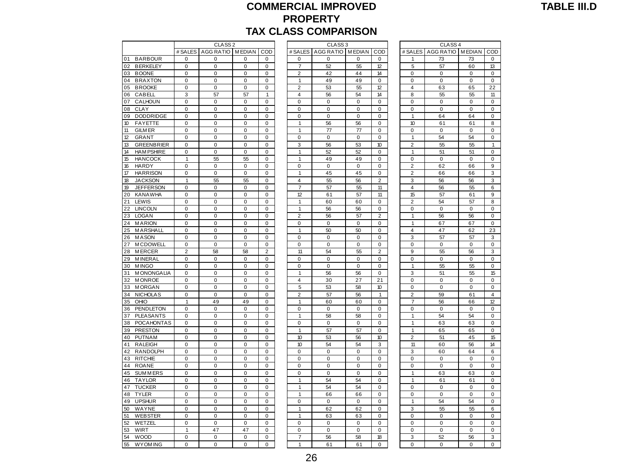#### **COMMERCIAL IMPROVED PROPERTY PARISON**

|                                              |                            |                          |                         |                            | <b>TAX CLASS COMPARISON</b> | <b>PROPERIY</b>    |             |                        |                       |                    |                   |                               |
|----------------------------------------------|----------------------------|--------------------------|-------------------------|----------------------------|-----------------------------|--------------------|-------------|------------------------|-----------------------|--------------------|-------------------|-------------------------------|
|                                              |                            | CLASS <sub>2</sub>       |                         |                            |                             | CLASS <sub>3</sub> |             |                        |                       | CLASS <sub>4</sub> |                   |                               |
|                                              | # SALES                    | AGG RATIO MEDIAN         |                         | COD                        | # SALES                     | AGG RATIO MEDIAN   |             | COD                    | # SALES               | AGG RATIO MEDIAN   |                   | COD                           |
| <b>BARBOUR</b><br>01                         | 0                          | 0                        | 0                       | 0                          | 0                           | 0                  | 0           | 0                      |                       | 73                 | 73                | 0                             |
| 02<br><b>BERKELEY</b>                        | 0                          | 0                        | $\pmb{0}$               | 0                          | $\overline{7}$              | 52                 | 55          | 12                     | 5                     | 57                 | 60                | 13                            |
| 03<br><b>BOONE</b>                           | 0                          | 0                        | 0                       | 0                          | $\overline{2}$              | 42                 | 44          | 14                     | 0                     | 0                  | 0                 | 0                             |
| <b>BRAXTON</b><br>04                         | 0                          | $\mathbf 0$              | 0                       | $\pmb{0}$                  | $\mathbf{1}$                | 49                 | 49          | 0                      | 0                     | $\mathbf 0$        | $\Omega$          | $\pmb{0}$                     |
| 05<br><b>BROOKE</b>                          | $\pmb{0}$                  | $\pmb{0}$                | $\pmb{0}$               | $\mathbf 0$                | $\overline{2}$              | 53                 | 55          | 12                     | $\overline{4}$        | 63                 | 65                | 22                            |
| 06<br>CABELL                                 | 3                          | 57                       | 57                      | $\mathbf{1}$               | $\overline{4}$              | 56                 | 54          | 14                     | 8                     | 55                 | 55                | 11                            |
| 07<br>CALHOUN                                | $\Omega$                   | $\Omega$                 | $\mathbf 0$             | $\Omega$                   | $\Omega$                    | $\Omega$           | $\Omega$    | $\Omega$               | $\Omega$              | $\Omega$           | $\Omega$          | $\Omega$                      |
| 08<br>CLAY                                   | 0                          | $\pmb{0}$                | $\mathbf 0$             | $\mathbf 0$                | $\mathbf 0$                 | $\pmb{0}$          | $\pmb{0}$   | $\mathbf 0$            | $\pmb{0}$             | $\mathbf 0$        | $\mathbf 0$       | $\pmb{0}$                     |
| 09<br><b>DODDRIDGE</b>                       | $\mathbf 0$                | $\mathbf 0$              | 0                       | $\mathbf 0$                | 0                           | $\mathbf 0$        | 0           | 0                      | 1                     | 64                 | 64                | $\mathbf 0$                   |
| 10 <sup>°</sup><br><b>FAYETTE</b>            | $\mathbf 0$                | $\mathbf 0$              | $\mathbf 0$             | $\mathbf 0$                | $\mathbf{1}$                | 56                 | 56          | $\mathbf 0$            | 10                    | 61                 | 61                | 8                             |
| 11<br><b>GILM ER</b>                         | 0                          | 0                        | 0                       | 0                          | 1                           | 77                 | 77          | 0                      | 0                     | $\mathbf 0$        | 0                 | $\mathbf 0$                   |
| 12<br><b>GRANT</b>                           | $\mathbf 0$                | 0                        | 0                       | 0                          | 0                           | $\pmb{0}$          | 0           | 0                      | 1                     | 54                 | 54                | $\pmb{0}$                     |
| 13<br><b>GREENBRIER</b>                      | 0                          | $\mathbf 0$              | $\mathbf 0$             | $\mathbf 0$                | 3                           | 56                 | 53          | 10                     | $\overline{2}$        | 55                 | 55                | $\mathbf{1}$                  |
| 14<br><b>HAM PSHIRE</b>                      | $\mathbf 0$                | $\mathbf 0$              | $\mathbf 0$             | $\mathbf 0$                | 1                           | 52                 | 52          | $\mathbf 0$            | 1                     | 51                 | 51                | $\mathbf 0$                   |
| 15<br><b>HANCOCK</b>                         | $\mathbf{1}$               | 55                       | 55                      | 0                          | 1                           | 49                 | 49          | $\pmb{0}$              | $\pmb{0}$             | $\mathbf 0$        | $\mathbf 0$       | $\pmb{0}$                     |
| 16<br>HARDY                                  | 0                          | 0                        | 0                       | 0                          | 0                           | 0                  | 0           | 0                      | $\overline{2}$        | 62                 | 66                | 9                             |
| <b>HARRISON</b><br>17                        | 0                          | $\mathbf 0$              | $\mathbf 0$             | $\mathbf 0$                | 1                           | 45                 | 45          | $\mathbf 0$            | $\overline{2}$        | 66                 | 66                | 3                             |
| 18<br><b>JACKSON</b>                         | 1                          | 55                       | 55                      | $\mathbf 0$                | $\overline{4}$              | 55                 | 56          | $\overline{2}$         | 3                     | 56                 | 56                | 3                             |
| 19<br><b>JEFFERSON</b>                       | 0                          | $\mathbf 0$              | $\mathbf 0$             | $\mathbf 0$                | $\overline{7}$              | 57                 | 55          | 11                     | $\overline{4}$        | 56                 | 55                | 6                             |
| 20<br><b>KANAWHA</b>                         | $\mathbf 0$                | $\mathbf 0$              | $\mathbf 0$             | $\mathbf 0$                | 12                          | 61                 | 57          | 11                     | 15                    | 57                 | 61                | 9                             |
| 21<br>LEWIS                                  | $\pmb{0}$                  | $\Omega$                 | $\mathbf 0$             | $\mathbf 0$                | $\mathbf{1}$                | 60                 | 60          | $\Omega$               | $\overline{2}$        | 54                 | 57                | 8                             |
| 22<br><b>LINCOLN</b>                         | $\mathbf 0$                | $\mathbf 0$              | $\mathbf 0$             | $\mathbf 0$                | 1                           | 56                 | 56          | 0                      | 0                     | $\mathbf 0$        | 0                 | $\pmb{0}$                     |
| 23 LOGAN                                     | $\mathbf 0$                | $\mathbf 0$              | $\mathbf 0$             | $\mathbf 0$                | $\overline{2}$              | 56                 | 57          | $\overline{2}$         | $\mathbf{1}$          | 56                 | 56                | $\mathbf 0$                   |
| 24 MARION                                    | $\mathbf 0$                | $\mathbf 0$              | $\mathbf 0$             | $\mathbf 0$                | $\mathbf 0$                 | $\mathbf 0$        | $\mathbf 0$ | $\mathbf 0$            | $\mathbf{1}$          | 67                 | 67                | $\mathbf 0$                   |
| 25<br>MARSHALL                               | 0                          | 0                        | 0                       | 0                          | $\mathbf{1}$                | 50                 | 50          | 0                      | $\overline{4}$        | 47                 | 62                | 23                            |
| 26<br><b>MASON</b>                           | 0                          | $\mathbf 0$              | $\mathbf 0$             | 0                          | $\mathbf 0$                 | $\mathbf 0$        | $\mathbf 0$ | $\mathbf 0$            | 3                     | 57                 | 57                | 3                             |
| 27<br><b>MCDOWELL</b>                        | $\mathbf 0$                | $\mathbf 0$              | $\mathbf 0$             | 0                          | 0                           | $\mathbf 0$        | $\mathbf 0$ | $\mathbf 0$            | $\mathbf 0$           | $\mathbf 0$        | $\mathbf 0$       | $\mathbf 0$                   |
| 28<br><b>MERCER</b>                          | $\overline{2}$             | 58                       | 58                      | $\overline{2}$             | 11                          | 54                 | 55          | $\overline{2}$         | 9                     | 55                 | 56                | $\ensuremath{\mathsf{3}}$     |
| 29<br><b>MINERAL</b>                         | 0                          | 0                        | 0                       | 0                          | 0                           | 0                  | 0           | 0                      | 0                     | 0                  | 0                 | $\mathbf 0$                   |
| 30<br><b>MINGO</b>                           | 0                          | 0                        | 0                       | 0                          | 0<br>$\mathbf{1}$           | $\mathbf 0$        | 0           | 0<br>$\Omega$          | 1                     | 55                 | 55                | $\mathbf 0$                   |
| <b>MONONGALIA</b><br>31                      | $\pmb{0}$                  | $\pmb{0}$<br>$\mathbf 0$ | $\pmb{0}$               | $\mathbf 0$                | $\overline{4}$              | 56                 | 56          |                        | 3                     | 51<br>$\mathbf 0$  | 55<br>$\mathbf 0$ | 15                            |
| 32<br><b>MONROE</b>                          | $\mathbf 0$<br>$\mathbf 0$ | $\mathbf 0$              | $\pmb{0}$               | $\mathbf 0$                |                             | 30                 | 27          | 21<br>10 <sup>10</sup> | $\pmb{0}$<br>$\Omega$ | $\mathbf 0$        | $\mathbf 0$       | $\pmb{0}$                     |
| 33<br><b>MORGAN</b><br><b>NICHOLAS</b><br>34 | $\mathbf 0$                | $\Omega$                 | $\mathbf 0$<br>$\Omega$ | $\mathbf 0$<br>$\mathbf 0$ | 5<br>$\overline{2}$         | 53<br>57           | 58<br>56    | $\mathbf{1}$           | $\overline{2}$        | 59                 | 61                | $\mathbf 0$<br>$\overline{4}$ |
| OHIO                                         | $\mathbf{1}$               | 49                       | 49                      | $\mathbf 0$                | 1                           | 60                 | 60          | $\mathbf 0$            | $\overline{7}$        | 56                 |                   | 12                            |
| 35                                           | $\mathbf 0$                | $\mathbf 0$              | $\mathbf 0$             | $\mathbf 0$                | $\mathbf 0$                 | $\mathbf 0$        |             | $\mathbf 0$            | $\mathbf 0$           | $\mathbf 0$        | 66<br>$\mathbf 0$ |                               |
| 36<br>PENDLETON<br>37 PLEASANTS              | $\mathbf 0$                | $\mathbf 0$              | $\mathbf 0$             | $\mathbf 0$                | $\mathbf{1}$                | 58                 | 0<br>58     | $\mathbf 0$            | $\mathbf{1}$          | 54                 | 54                | $\mathbf 0$<br>$\mathbf 0$    |
| 38<br><b>POCAHONTAS</b>                      | 0                          | 0                        | 0                       | 0                          | 0                           | 0                  | 0           | 0                      | $\mathbf{1}$          | 63                 | 63                | $\mathbf 0$                   |
| 39<br><b>PRESTON</b>                         | 0                          | $\mathbf 0$              | $\pmb{0}$               | $\mathbf 0$                | 1                           | 57                 | 57          | $\mathbf 0$            | $\mathbf{1}$          | 65                 | 65                | $\mathbf 0$                   |
| 40<br><b>PUTNAM</b>                          | $\mathbf 0$                | $\mathbf 0$              | $\mathbf 0$             | 0                          | 10                          | 53                 | 56          | 10                     | $\overline{2}$        | 51                 | 45                | 15                            |
| 41<br><b>RALEIGH</b>                         | 0                          | $\mathbf 0$              | $\pmb{0}$               | $\mathbf 0$                | 10                          | 54                 | 54          | 3                      | 11                    | 60                 | 56                | 14                            |
| 42<br><b>RANDOLPH</b>                        | 0                          | 0                        | 0                       | 0                          | 0                           | $\pmb{0}$          | 0           | 0                      | 3                     | 60                 | 64                | 6                             |
| 43<br><b>RITCHIE</b>                         | 0                          | 0                        | 0                       | 0                          | 0                           | $\mathbf 0$        | 0           | 0                      | 0                     | $\mathbf 0$        | 0                 | $\mathbf 0$                   |
| 44<br><b>ROANE</b>                           | 0                          | 0                        | $\pmb{0}$               | $\mathbf 0$                | $\mathbf 0$                 | $\mathbf 0$        | 0           | $\Omega$               | $\mathbf 0$           | $\mathbf 0$        | 0                 | $\mathbf 0$                   |
| 45<br><b>SUMMERS</b>                         | $\pmb{0}$                  | $\mathbf 0$              | $\pmb{0}$               | $\pmb{0}$                  | $\pmb{0}$                   | $\pmb{0}$          | $\pmb{0}$   | $\mathbf 0$            | $\mathbf{1}$          | 63                 | 63                | $\pmb{0}$                     |
| 46<br><b>TAYLOR</b>                          | $\mathbf 0$                | $\mathbf 0$              | 0                       | $\mathbf 0$                | $\mathbf{1}$                | 54                 | 54          | $\mathbf 0$            | $\mathbf{1}$          | 61                 | 61                | $\mathbf 0$                   |
| 47<br><b>TUCKER</b>                          | $\mathbf 0$                | $\mathbf 0$              | $\mathbf 0$             | $\mathbf 0$                | $\mathbf{1}$                | 54                 | 54          | $\Omega$               | $\mathbf 0$           | $\mathbf 0$        | $\mathbf 0$       | $\mathbf 0$                   |
| 48<br><b>TYLER</b>                           | $\mathbf 0$                | $\mathbf 0$              | $\mathbf 0$             | $\mathbf 0$                | 1                           | 66                 | 66          | $\mathbf 0$            | $\mathbf 0$           | $\mathbf 0$        | $\mathbf 0$       | $\mathbf 0$                   |
| 49 UPSHUR                                    | $\pmb{0}$                  | $\mathbf 0$              | $\pmb{0}$               | $\mathbf 0$                | $\pmb{0}$                   | 0                  | 0           | $\mathbf 0$            | $\mathbf{1}$          | 54                 | 54                | $\pmb{0}$                     |
| 50<br>WAYNE                                  | $\mathbf 0$                | $\mathbf 0$              | $\mathbf 0$             | $\mathbf 0$                | $\mathbf{1}$                | 62                 | 62          | $\mathbf 0$            | 3                     | 55                 | 55                | 6                             |
| 51<br><b>WEBSTER</b>                         | 0                          | 0                        | 0                       | 0                          | $\mathbf{1}$                | 63                 | 63          | 0                      | 0                     | $\mathbf 0$        | 0                 | $\mathbf 0$                   |
| 52<br>WETZEL                                 | 0                          | $\mathbf 0$              | $\pmb{0}$               | $\mathbf 0$                | $\mathbf 0$                 |                    | $\mathbf 0$ | $\mathbf 0$            |                       | $\mathbf 0$        |                   | $\pmb{0}$                     |
| 53<br>WIRT                                   | 1                          | 47                       | 47                      | 0                          | 0                           | 0<br>$\mathbf 0$   | $\mathbf 0$ | $\mathbf 0$            | 0<br>$\mathbf 0$      | $\mathbf 0$        | 0<br>0            | $\mathbf 0$                   |
| 54<br><b>WOOD</b>                            | 0                          | $\mathbf 0$              | $\mathbf 0$             | $\mathbf 0$                | $\overline{7}$              | 56                 |             | 18                     | 3                     | 52                 |                   | 3                             |
| 55<br><b>WYOM ING</b>                        |                            | 0                        | 0                       | 0                          | 1                           | 61                 | 58<br>61    | 0                      | 0                     | $\mathbf 0$        | 56<br>0           | 0                             |
|                                              | 0                          |                          |                         |                            |                             |                    |             |                        |                       |                    |                   |                               |

|                | CLASS <sub>4</sub> |               |     |
|----------------|--------------------|---------------|-----|
| # SALES        | AGG RATIO          | <b>MEDIAN</b> | COD |
| 1              | 73                 | 73            | 0   |
| 5              | 57                 | 60            | 13  |
| 0              | 0                  | 0             | 0   |
| 0              | 0                  | 0             | 0   |
| 4              | 63                 | 65            | 22  |
| 8              | 55                 | 55            | 11  |
| 0              | 0                  | 0             | 0   |
| 0              | 0                  | 0             | 0   |
| 1              | 64                 | 64            | 0   |
| 10             | 61                 | 61            | 8   |
| 0              | 0                  | 0             | 0   |
| 1              | 54                 | 54            | 0   |
| 2              | 55                 | 55            | 1   |
| 1              | 51                 | 51            | 0   |
| 0              | 0                  | 0             | 0   |
| $\overline{c}$ | 62                 | 66            | 9   |
| $\overline{c}$ | 66                 | 66            | 3   |
| 3              | 56                 | 56            | 3   |
| 4              | 56                 | 55            | 6   |
| 15             | 57                 | 61            | 9   |
| $\overline{c}$ | 54                 | 57            | 8   |
| 0              | $\mathbf 0$        | 0             | 0   |
| 1              | 56                 | 56            | 0   |
| 1              | 67                 | 67            | 0   |
| 4              | 47                 | 62            | 23  |
| 3              | 57                 | 57            | 3   |
| 0              | 0                  | 0             | 0   |
| 9              | 55                 | 56            | 3   |
| 0              | 0                  | 0             | 0   |
| 1              | 55                 | 55            | 0   |
| 3              | 51                 | 55            | 15  |
| 0              | 0                  | 0             | 0   |
| 0              | 0                  | 0             | 0   |
| $\overline{c}$ | 59                 | 61            | 4   |
| 7              | 56                 | 66            | 12  |
| 0              | 0                  | 0             | 0   |
| 1              | 54                 | 54            | 0   |
| 1              | 63                 | 63            | 0   |
| 1              | 65                 | 65            | 0   |
| $\overline{c}$ | 51                 | 45            | 15  |
| 11             | 60                 | 56            | 14  |
| 3              | 60                 | 64            | 6   |
| 0              | 0                  | 0             | 0   |
| 0              | 0                  | 0             | 0   |
| 1              | 63                 | 63            | 0   |
| 1              | 61                 | 61            | 0   |
| 0              | 0                  | 0             | 0   |
| 0              | 0                  | 0             | 0   |
| 1              | 54                 | 54            | 0   |
| 3              | 55                 | 55            | 6   |
| 0              | 0                  | 0             | 0   |
| 0              | 0                  | 0             | 0   |
| 0              | 0                  | 0             | 0   |
| 3              | 52                 | 56            | 3   |
| 0              | 0                  | 0             | 0   |
|                |                    |               |     |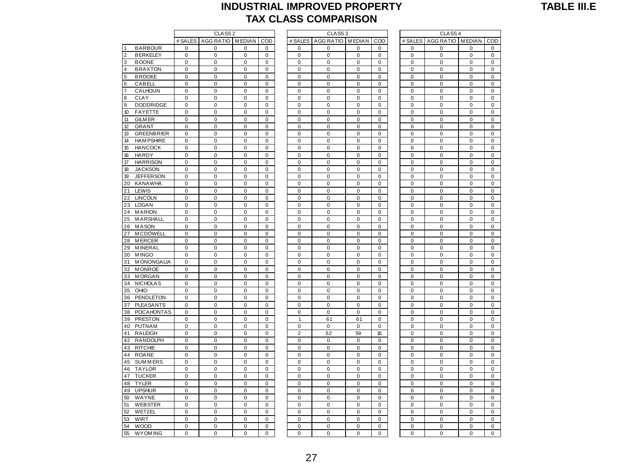#### **TABLE III.E**

#### **INDUSTRIAL IMPROVED PROPERTY TAX CLASS COMPARISON**

|                 |                   | CLASS <sub>2</sub> |                              |             |              |  | CLASS <sub>3</sub> |                  |             |             |  | CLASS <sub>4</sub> |                                   |             |              |  |
|-----------------|-------------------|--------------------|------------------------------|-------------|--------------|--|--------------------|------------------|-------------|-------------|--|--------------------|-----------------------------------|-------------|--------------|--|
|                 |                   |                    | # SALES   AGG RATIO   MEDIAN |             | COD          |  | # SALES            | AGG RATIO MEDIAN |             | COD         |  |                    | # SALES   AGG RATIO   MEDIAN   CO |             |              |  |
| <b>1</b>        | <b>BARBOUR</b>    | 0                  | 0                            | 0           | 0            |  | $\mathbf 0$        | $\mathbf 0$      | 0           | $\mathbf 0$ |  | 0                  | $\mathbf 0$                       | $\mathbf 0$ | $\mathbf 0$  |  |
| $\overline{2}$  | <b>BERKELEY</b>   | $\mathbf 0$        | $\mathbf 0$                  | $\mathbf 0$ | $\mathbf{0}$ |  | $\mathbf 0$        | $\mathbf 0$      | $\mathbf 0$ | $\mathbf 0$ |  | 0                  | $\mathbf 0$                       | $\mathbf 0$ | $\mathbf 0$  |  |
| 3               | <b>BOONE</b>      | $\pmb{0}$          | $\pmb{0}$                    | $\mathsf 0$ | $\pmb{0}$    |  | $\pmb{0}$          | $\mathbf 0$      | $\mathbf 0$ | $\pmb{0}$   |  | $\pmb{0}$          | $\pmb{0}$                         | $\pmb{0}$   | $\mathbf 0$  |  |
| $\overline{4}$  | <b>BRAXTON</b>    | 0                  | $\mathbf 0$                  | 0           | $\mathbf 0$  |  | 0                  | $\mathbf 0$      | 0           | $\mathbf 0$ |  | 0                  | 0                                 | 0           | 0            |  |
| $5\overline{5}$ | <b>BROOKE</b>     | $\mathbf 0$        | 0                            | 0           | $\mathbf 0$  |  | $\mathbf 0$        | $\mathbf 0$      | $\mathbf 0$ | $\mathbf 0$ |  | 0                  | $\mathbf 0$                       | $\mathbf 0$ | $\mathbf 0$  |  |
| 6               | CABELL            | 0                  | $\mathbf 0$                  | $\mathbf 0$ | 0            |  | $\mathbf 0$        | $\mathbf 0$      | $\mathbf 0$ | 0           |  | 0                  | $\mathbf 0$                       | 0           | $\mathbf 0$  |  |
| $\overline{7}$  | CALHOUN           | $\mathbf 0$        | $\mathbf 0$                  | $\mathbf 0$ | $\mathbf 0$  |  | $\mathbf 0$        | $\mathbf 0$      | $\mathbf 0$ | $\mathbf 0$ |  | 0                  | $\mathbf 0$                       | $\mathbf 0$ | $\mathbf 0$  |  |
| $\bf8$          | CLAY              | $\pmb{0}$          | $\pmb{0}$                    | $\pmb{0}$   | $\pmb{0}$    |  | $\mathbf 0$        | $\mathbf 0$      | $\mathbf 0$ | $\pmb{0}$   |  | 0                  | $\pmb{0}$                         | $\pmb{0}$   | 0            |  |
| $\overline{9}$  | <b>DODDRIDGE</b>  | $\mathbf 0$        | $\mathbf 0$                  | 0           | $\mathbf 0$  |  | $\mathbf 0$        | $\mathbf 0$      | $\mathbf 0$ | $\mathbf 0$ |  | 0                  | $\pmb{0}$                         | $\mathbf 0$ | $\mathbf 0$  |  |
| 10              | <b>FAYETTE</b>    | $\mathbf 0$        | $\mathbf 0$                  | 0           | $\mathbf 0$  |  | $\mathbf 0$        | $\mathbf 0$      | $\mathbf 0$ | $\mathbf 0$ |  | 0                  | $\mathbf 0$                       | $\mathbf 0$ | 0            |  |
| 11              | <b>GILM ER</b>    | $\Omega$           | $\Omega$                     | $\mathbf 0$ | $\mathbf 0$  |  | $\mathbf 0$        | $\Omega$         | $\mathbf 0$ | $\mathbf 0$ |  | $\mathbf 0$        | $\mathbf 0$                       | $\mathbf 0$ | $\Omega$     |  |
| 12              | <b>GRANT</b>      | $\pmb{0}$          | $\pmb{0}$                    | 0           | $\pmb{0}$    |  | $\mathbf 0$        | $\mathbf 0$      | $\mathbf 0$ | 0           |  | 0                  | $\pmb{0}$                         | $\pmb{0}$   | 0            |  |
| 13              | <b>GREENBRIER</b> | $\pmb{0}$          | $\pmb{0}$                    | $\pmb{0}$   | $\pmb{0}$    |  | 0                  | $\mathbf 0$      | $\mathbf 0$ | $\pmb{0}$   |  | 0                  | $\pmb{0}$                         | $\pmb{0}$   | $\mathbf 0$  |  |
| 14              | <b>HAM PSHIRE</b> | $\pmb{0}$          | $\mathbf 0$                  | 0           | $\pmb{0}$    |  | 0                  | $\mathbf 0$      | $\mathbf 0$ | $\mathbf 0$ |  | 0                  | $\mathbf 0$                       | $\pmb{0}$   | 0            |  |
| 15              | <b>HANCOCK</b>    | $\mathbf 0$        | $\mathbf 0$                  | 0           | $\mathbf 0$  |  | $\mathbf 0$        | $\mathbf 0$      | $\mathbf 0$ | $\mathbf 0$ |  | 0                  | $\mathbf 0$                       | $\mathbf 0$ | 0            |  |
| 16              | HARDY             | $\mathbf 0$        | $\Omega$                     | $\mathbf 0$ | $\mathbf 0$  |  | $\mathbf 0$        | $\Omega$         | $\Omega$    | $\mathbf 0$ |  | 0                  | $\mathbf 0$                       | $\mathbf 0$ | $\mathbf 0$  |  |
| 17              | <b>HARRISON</b>   | $\mathbf 0$        | $\mathbf 0$                  | $\mathbf 0$ | $\mathbf 0$  |  | $\mathbf 0$        | $\mathbf 0$      | $\mathbf 0$ | $\mathbf 0$ |  | 0                  | $\mathbf 0$                       | $\mathbf 0$ | $\mathbf 0$  |  |
| 18              | <b>JACKSON</b>    | $\pmb{0}$          | $\pmb{0}$                    | 0           | $\pmb{0}$    |  | $\mathbf 0$        | $\mathbf 0$      | $\mathbf 0$ | $\pmb{0}$   |  | 0                  | $\pmb{0}$                         | 0           | 0            |  |
| 19              | <b>JEFFERSON</b>  | $\pmb{0}$          | $\pmb{0}$                    | 0           | $\pmb{0}$    |  | $\pmb{0}$          | $\mathbf 0$      | $\mathbf 0$ | 0           |  | 0                  | $\mathbf 0$                       | $\pmb{0}$   | 0            |  |
| 20              | <b>KANAWHA</b>    | $\mathbf 0$        | $\mathbf 0$                  | 0           | $\mathbf 0$  |  | $\mathbf 0$        | $\mathbf 0$      | $\mathbf 0$ | $\mathbf 0$ |  | 0                  | $\mathbf 0$                       | $\mathbf 0$ | $\mathbf 0$  |  |
| 21              | LEWIS             | $\mathbf 0$        | $\mathbf 0$                  | $\mathbf 0$ | $\mathbf 0$  |  | $\mathbf 0$        | $\mathbf 0$      | $\mathbf 0$ | $\mathbf 0$ |  | $\mathbf 0$        | $\mathbf 0$                       | $\mathbf 0$ | $\mathbf 0$  |  |
| 22              | <b>LINCOLN</b>    | $\pmb{0}$          | $\pmb{0}$                    | 0           | $\pmb{0}$    |  | $\pmb{0}$          | $\mathbf 0$      | $\mathbf 0$ | $\pmb{0}$   |  | 0                  | $\pmb{0}$                         | $\pmb{0}$   | 0            |  |
| 23              | <b>LOGAN</b>      | $\mathbf 0$        | $\mathbf 0$                  | $\mathbf 0$ | $\mathbf 0$  |  | $\mathbf 0$        | $\mathbf 0$      | $\mathbf 0$ | $\mathbf 0$ |  | 0                  | $\mathbf 0$                       | $\mathbf 0$ | $\mathbf 0$  |  |
| 24              | <b>MARION</b>     | $\pmb{0}$          | $\pmb{0}$                    | $\pmb{0}$   | $\pmb{0}$    |  | 0                  | $\mathbf 0$      | $\mathbf 0$ | $\pmb{0}$   |  | 0                  | $\mathbf 0$                       | $\mathbf 0$ | 0            |  |
|                 | 25 MARSHALL       | $\mathbf 0$        | $\mathbf 0$                  | 0           | $\mathbf 0$  |  | $\mathbf 0$        | $\mathbf 0$      | $\mathbf 0$ | $\mathbf 0$ |  | 0                  | $\mathbf 0$                       | $\mathbf 0$ | $\mathbf 0$  |  |
| 26              | <b>MASON</b>      | $\mathbf 0$        | $\mathbf 0$                  | $\mathbf 0$ | $\mathbf 0$  |  | $\mathbf 0$        | $\mathbf 0$      | $\mathbf 0$ | $\mathbf 0$ |  | $\mathbf 0$        | $\pmb{0}$                         | $\pmb{0}$   | $\mathbf 0$  |  |
| 27              | <b>MCDOWELL</b>   | $\pmb{0}$          | $\pmb{0}$                    | $\pmb{0}$   | $\pmb{0}$    |  | 0                  | $\mathbf 0$      | $\mathbf 0$ | $\pmb{0}$   |  | 0                  | $\pmb{0}$                         | $\pmb{0}$   | 0            |  |
| 28              | <b>MERCER</b>     | $\mathbf 0$        | $\mathbf 0$                  | $\mathbf 0$ | $\mathbf 0$  |  | $\mathbf 0$        | $\mathbf 0$      | $\mathbf 0$ | $\mathbf 0$ |  | 0                  | $\pmb{0}$                         | $\pmb{0}$   | 0            |  |
| 29              | M INERAL          | $\mathbf 0$        | $\mathbf 0$                  | $\mathbf 0$ | $\mathbf 0$  |  | $\mathbf 0$        | $\mathbf 0$      | $\mathbf 0$ | $\mathbf 0$ |  | $\mathbf 0$        | $\mathbf 0$                       | $\mathbf 0$ | $\mathbf 0$  |  |
|                 | 30 MINGO          | $\Omega$           | $\Omega$                     | $\Omega$    | $\Omega$     |  | 0                  | $\Omega$         | $\mathbf 0$ | $\Omega$    |  | $\Omega$           | $\Omega$                          | 0           | $\Omega$     |  |
| 31              | <b>MONONGALIA</b> | $\pmb{0}$          | $\pmb{0}$                    | $\pmb{0}$   | $\pmb{0}$    |  | $\mathbf 0$        | $\mathbf 0$      | $\mathbf 0$ | $\pmb{0}$   |  | 0                  | $\pmb{0}$                         | $\pmb{0}$   | $\mathbf 0$  |  |
| 32              | <b>MONROE</b>     | $\pmb{0}$          | $\pmb{0}$                    | 0           | $\pmb{0}$    |  | $\pmb{0}$          | $\mathbf 0$      | $\mathbf 0$ | 0           |  | 0                  | $\pmb{0}$                         | $\pmb{0}$   | 0            |  |
| 33              | <b>MORGAN</b>     | $\mathbf 0$        | $\mathbf 0$                  | $\mathbf 0$ | $\mathbf 0$  |  | 0                  | $\mathbf 0$      | $\mathbf 0$ | $\mathbf 0$ |  | 0                  | $\pmb{0}$                         | $\pmb{0}$   | $\mathbf{0}$ |  |
|                 | 34 NICHOLAS       | $\mathbf 0$        | $\mathbf 0$                  | $\mathbf 0$ | $\mathbf 0$  |  | $\mathbf 0$        | $\mathbf 0$      | $\mathbf 0$ | $\mathbf 0$ |  | 0                  | $\mathbf 0$                       | $\mathbf 0$ | $\mathbf 0$  |  |
|                 | 35 OHIO           | $\mathbf 0$        | $\Omega$                     | $\Omega$    | $\mathbf 0$  |  | $\Omega$           | $\mathbf 0$      | $\mathbf 0$ | $\Omega$    |  | 0                  | $\mathbf 0$                       | $\mathbf 0$ | $\mathbf 0$  |  |
|                 | 36 PENDLETON      | $\mathbf 0$        | $\mathbf 0$                  | $\mathbf 0$ | $\mathbf 0$  |  | $\mathbf 0$        | $\mathbf 0$      | $\mathbf 0$ | $\mathbf 0$ |  | $\mathbf 0$        | $\pmb{0}$                         | $\pmb{0}$   | $\mathbf 0$  |  |
| 37              | <b>PLEASANTS</b>  | 0                  | 0                            | 0           | 0            |  | 0                  | 0                | 0           | 0           |  | 0                  | 0                                 | 0           | 0            |  |
| 38              | <b>POCAHONTAS</b> | $\pmb{0}$          | $\mathbf 0$                  | 0           | $\pmb{0}$    |  | $\mathbf 0$        | $\mathbf 0$      | $\mathbf 0$ | $\mathbf 0$ |  | 0                  | $\pmb{0}$                         | $\pmb{0}$   | $\mathbf 0$  |  |
|                 | 39 PRESTON        | $\pmb{0}$          | $\mathbf 0$                  | $\mathbf 0$ | $\pmb{0}$    |  | $\mathbf{1}$       | 61               | 61          | $\pmb{0}$   |  | 0                  | $\pmb{0}$                         | $\pmb{0}$   | 0            |  |
|                 | 40 PUTNAM         | $\mathbf 0$        | $\mathbf 0$                  | $\mathbf 0$ | $\mathbf 0$  |  | $\mathbf 0$        | $\mathbf 0$      | $\mathbf 0$ | $\Omega$    |  | 0                  | $\mathbf 0$                       | $\mathbf 0$ | $\mathbf 0$  |  |
| 41              | <b>RALEIGH</b>    | 0                  | $\mathbf 0$                  | $\mathbf 0$ | 0            |  | $\overline{2}$     | 62               | 59          | 16          |  | 0                  | $\pmb{0}$                         | 0           | $\mathbf 0$  |  |
| 42              | <b>RANDOLPH</b>   | 0                  | $\mathbf 0$                  | 0           | $\mathbf 0$  |  | $\mathbf 0$        | $\mathbf 0$      | $\mathbf 0$ | $\mathbf 0$ |  | 0                  | $\mathbf 0$                       | $\mathbf 0$ | 0            |  |
| 43              | <b>RITCHIE</b>    | $\pmb{0}$          | $\pmb{0}$                    | $\pmb{0}$   | $\mathbf 0$  |  | $\mathbf 0$        | $\mathbf 0$      | $\mathbf 0$ | $\pmb{0}$   |  | 0                  | $\pmb{0}$                         | $\pmb{0}$   | $\mathbf{0}$ |  |
|                 | 44 ROANE          | $\mathbf 0$        | $\mathbf 0$                  | $\mathbf 0$ | $\mathbf 0$  |  | $\mathbf 0$        | $\mathbf 0$      | $\mathbf 0$ | $\mathbf 0$ |  | 0                  | $\mathbf 0$                       | $\mathbf 0$ | $\mathbf 0$  |  |
| 45              | <b>SUMMERS</b>    | $\mathbf 0$        | $\mathbf 0$                  | 0           | $\mathbf{0}$ |  | $\mathbf 0$        | $\mathbf 0$      | $\mathbf 0$ | $\mathbf 0$ |  | 0                  | $\mathbf 0$                       | $\mathbf 0$ | $\mathbf 0$  |  |
|                 | 46 TAYLOR         | $\pmb{0}$          | $\pmb{0}$                    | $\mathsf 0$ | $\pmb{0}$    |  | $\pmb{0}$          | $\mathbf 0$      | $\mathbf 0$ | $\pmb{0}$   |  | $\pmb{0}$          | $\pmb{0}$                         | $\pmb{0}$   | $\mathbf 0$  |  |
| 47              | <b>TUCKER</b>     | $\mathbf 0$        | $\mathbf 0$                  | 0           | $\mathbf 0$  |  | 0                  | $\mathbf 0$      | $\mathbf 0$ | $\mathbf 0$ |  | 0                  | $\mathbf 0$                       | 0           | 0            |  |
| 48              | <b>TYLER</b>      | $\mathbf 0$        | $\mathbf 0$                  | 0           | $\mathbf 0$  |  | $\mathbf 0$        | $\mathbf 0$      | $\mathbf 0$ | $\mathbf 0$ |  | 0                  | $\mathbf 0$                       | $\mathbf 0$ | 0            |  |
|                 | 49 UPSHUR         | 0                  | $\mathbf 0$                  | $\mathbf 0$ | 0            |  | $\mathbf 0$        | $\mathbf 0$      | $\mathbf 0$ | 0           |  | 0                  | $\mathbf 0$                       | $\mathbf 0$ | $\mathbf 0$  |  |
| 50              | WAYNE             | $\mathbf 0$        | $\mathbf 0$                  | $\mathbf 0$ | $\mathbf 0$  |  | $\mathbf 0$        | $\mathbf 0$      | $\mathbf 0$ | $\mathbf 0$ |  | 0                  | $\mathbf 0$                       | $\mathbf 0$ | $\mathbf 0$  |  |
| 51              | <b>WEBSTER</b>    | $\pmb{0}$          | $\pmb{0}$                    | $\pmb{0}$   | $\pmb{0}$    |  | $\mathbf 0$        | $\mathbf 0$      | $\mathbf 0$ | $\pmb{0}$   |  | 0                  | $\pmb{0}$                         | $\pmb{0}$   | $\mathbf{0}$ |  |
| 52              | WETZEL            | $\mathbf 0$        | $\mathbf 0$                  | $\mathbf 0$ | $\mathbf 0$  |  | $\mathbf 0$        | $\mathbf 0$      | $\mathbf 0$ | $\mathbf 0$ |  | 0                  | $\pmb{0}$                         | $\mathbf 0$ | $\mathbf 0$  |  |
| 53              | <b>WIRT</b>       | $\mathbf 0$        | $\mathbf 0$                  | 0           | $\mathbf 0$  |  | 0                  | $\mathbf 0$      | $\mathbf 0$ | $\mathbf 0$ |  | 0                  | $\mathbf 0$                       | $\mathbf 0$ | 0            |  |
| 54              | <b>WOOD</b>       | $\mathbf 0$        | $\Omega$                     | $\mathbf 0$ | $\mathbf 0$  |  | $\mathbf 0$        | $\mathbf 0$      | $\mathbf 0$ | $\mathbf 0$ |  | $\Omega$           | $\mathbf 0$                       | $\mathbf 0$ | $\mathbf 0$  |  |
| 55              | <b>WYOM ING</b>   | $\mathbf 0$        | 0                            | 0           | 0            |  | 0                  | $\mathbf 0$      | 0           | 0           |  | 0                  | $\mathbf 0$                       | $\pmb{0}$   | 0            |  |
|                 |                   |                    |                              |             |              |  |                    |                  |             |             |  |                    |                                   |             |              |  |

|             |                        |                |                |                    |                         | IAX CLASS COMPARISON         |                        |                        |                            |                        |                            |                          |
|-------------|------------------------|----------------|----------------|--------------------|-------------------------|------------------------------|------------------------|------------------------|----------------------------|------------------------|----------------------------|--------------------------|
|             | CLASS <sub>2</sub>     |                |                | CLASS <sub>3</sub> |                         |                              |                        |                        |                            | CLASS <sub>4</sub>     |                            |                          |
| # SALES     | AGG RATIO              | <b>MEDIAN</b>  | COD            |                    |                         | # SALES   AGG RATIO   MEDIAN |                        | COD                    | # SALES                    | AGG RATIO MEDIAN       |                            | COD                      |
| 0           | 0                      | 0              | 0              |                    | 0                       | 0                            | 0                      | 0                      | $\mathbf 0$                | 0                      | 0                          | 0                        |
| 0           | 0                      | 0              | 0              |                    | 0                       | $\mathbf 0$                  | 0                      | 0                      | 0                          | 0                      | $\mathbf 0$                | 0                        |
| $\mathbf 0$ | $\mathbf 0$            | 0              | $\mathbf 0$    |                    | $\mathbf 0$             | $\mathbf 0$                  | $\mathbf 0$            | $\mathbf 0$            | $\Omega$                   | $\mathbf 0$            | $\mathbf 0$                | $\pmb{0}$                |
| $\pmb{0}$   | $\pmb{0}$              | 0              | $\mathbf 0$    |                    | $\mathbf 0$             | $\mathbf 0$                  | $\mathbf 0$            | $\mathbf 0$            | $\mathbf 0$                | $\mathbf 0$            | $\mathbf 0$                | $\mathbf 0$              |
| 0           | $\pmb{0}$              | 0              | 0              |                    | $\mathbf 0$             | $\pmb{0}$                    | $\pmb{0}$              | $\pmb{0}$              | 0                          | $\pmb{0}$              | $\pmb{0}$                  | $\pmb{0}$                |
| $\pmb{0}$   | $\pmb{0}$              | 0              | $\pmb{0}$      |                    | $\mathbf 0$             | $\mathbf 0$                  | $\mathbf 0$            | $\mathbf 0$            | $\pmb{0}$                  | $\pmb{0}$              | $\mathbf 0$                | $\mathbf 0$              |
| 0           | 0                      | 0              | 0              |                    | 0                       | 0                            | 0                      | 0                      | 0                          | 0                      | 0                          | $\pmb{0}$                |
| 0           | 0                      | 0              | 0              |                    | 0                       | 0                            | 0                      | 0                      | $\mathbf 0$                | 0                      | $\pmb{0}$                  | $\pmb{0}$                |
| 0           | $\pmb{0}$              | 0              | 0              |                    | 0                       | 0                            | $\mathbf 0$            | 0                      | $\mathbf 0$                | $\mathbf 0$            | $\mathbf 0$                | $\mathbf 0$              |
| 0           | $\pmb{0}$              | 0              | 0              |                    | $\mathbf 0$             | $\mathbf 0$                  | $\mathbf 0$            | $\mathbf 0$            | $\mathbf 0$                | $\mathbf 0$            | $\mathbf 0$                | $\mathbf 0$              |
| 0           | 0                      | 0              | 0              |                    | 0                       | 0                            | $\mathbf 0$            | 0                      | $\mathbf 0$                | $\mathbf 0$            | $\mathbf 0$                | $\pmb{0}$                |
| 0           | $\mathbf 0$            | 0              | 0              |                    | $\mathbf 0$             | $\pmb{0}$                    | $\pmb{0}$              | $\mathbf 0$            | $\mathbf 0$                | 0                      | $\mathbf 0$                | $\mathbf 0$              |
| 0           | 0                      | 0              | 0              |                    | 0                       | $\mathbf 0$                  | 0                      | 0                      | 0                          | 0                      | $\mathbf 0$                | 0                        |
| $\pmb{0}$   | $\pmb{0}$              | 0              | $\pmb{0}$      |                    | $\mathbf 0$             | $\mathbf 0$                  | $\pmb{0}$              | $\Omega$               | $\Omega$                   | $\mathbf 0$            | $\mathbf 0$                | $\pmb{0}$                |
| $\pmb{0}$   | $\mathbf 0$            | 0              | $\mathbf 0$    |                    | $\mathbf 0$             | $\mathbf 0$                  | $\mathbf 0$            | $\mathbf 0$            | $\mathbf 0$                | $\mathbf 0$            | $\mathbf 0$                | $\mathbf 0$              |
| 0           | $\pmb{0}$              | 0              | 0              |                    | $\mathbf 0$             | $\mathbf 0$                  | $\pmb{0}$              | $\pmb{0}$              | 0                          | $\pmb{0}$              | $\mathbf 0$                | $\pmb{0}$                |
| $\pmb{0}$   | $\pmb{0}$              | 0              | $\pmb{0}$      |                    | $\pmb{0}$               | $\pmb{0}$                    | $\pmb{0}$              | $\pmb{0}$              | $\mathbf 0$                | $\pmb{0}$              | $\pmb{0}$                  | $\mathbf 0$              |
| 0           | 0                      | 0              | 0              |                    | $\mathbf 0$             | $\mathbf 0$                  | 0                      | 0                      | 0                          | $\pmb{0}$              | 0                          | $\pmb{0}$                |
| 0           | 0                      | 0              | 0              |                    | 0                       | 0                            | $\pmb{0}$              | 0                      | $\mathbf 0$                | 0                      | $\pmb{0}$                  | $\pmb{0}$                |
| 0           | $\pmb{0}$              | 0              | 0              |                    | 0                       | $\mathbf 0$                  | $\mathbf 0$            | 0                      | $\overline{0}$             | $\pmb{0}$              | $\mathbf 0$                | $\mathbf 0$              |
| 0           | $\pmb{0}$              | 0              | 0              |                    | $\mathbf 0$             | $\mathbf 0$                  | $\mathbf 0$            | $\mathbf 0$            | $\mathbf 0$                | $\mathbf 0$            | $\mathbf 0$                | $\mathbf 0$              |
| 0           | 0                      | 0              | $\pmb{0}$      |                    | 0                       | 0                            | $\mathbf 0$            | $\mathbf 0$            | $\mathbf 0$                | $\mathbf 0$            | $\mathbf 0$                | $\pmb{0}$                |
| 0           | $\mathbf 0$            | 0              | 0              |                    | $\mathbf 0$             | $\mathbf 0$                  | $\mathbf 0$            | $\mathbf 0$            | $\mathbf 0$                | 0                      | $\mathbf 0$                | $\mathbf 0$              |
| 0           | 0                      | 0              | 0              |                    | 0                       | $\mathbf 0$                  | 0                      | 0                      | 0                          | 0                      | $\mathbf 0$                | 0                        |
| 0           | 0                      | 0              | 0              |                    | $\mathbf 0$             | $\mathbf 0$                  | 0                      | $\mathbf 0$            | $\mathbf 0$                | 0                      | $\mathbf 0$                | 0                        |
| $\pmb{0}$   | $\mathbf 0$            | 0              | $\mathbf 0$    |                    | $\mathbf 0$             | $\mathbf 0$                  | $\mathbf 0$            | $\mathbf 0$            | $\mathbf 0$                | $\mathbf 0$            | $\mathbf 0$                | $\mathbf 0$              |
| 0           | $\pmb{0}$              | 0              | 0              |                    | $\mathbf 0$             | $\mathbf 0$                  | $\pmb{0}$              | $\pmb{0}$              | $\overline{0}$             | $\mathbf 0$            | $\mathbf 0$                | $\pmb{0}$                |
| $\mathbf 0$ | $\mathbf 0$            | 0              | 0              |                    | $\pmb{0}$               | $\pmb{0}$                    | $\pmb{0}$              | 0                      | $\mathbf 0$                | $\pmb{0}$              | $\pmb{0}$                  | $\mathbf 0$              |
| 0           | $\pmb{0}$              | 0              | 0              |                    | $\mathbf 0$             | $\mathbf 0$                  | $\mathbf 0$            | $\mathbf 0$            | $\mathbf 0$<br>$\mathbf 0$ | $\pmb{0}$              | $\mathbf 0$<br>$\mathbf 0$ | $\mathbf 0$              |
| 0<br>0      | $\pmb{0}$<br>$\pmb{0}$ | 0<br>0         | 0              |                    | $\pmb{0}$<br>$\pmb{0}$  | $\pmb{0}$<br>$\pmb{0}$       | $\pmb{0}$<br>$\pmb{0}$ | $\pmb{0}$<br>$\pmb{0}$ | 0                          | $\pmb{0}$<br>$\pmb{0}$ | $\pmb{0}$                  | $\pmb{0}$<br>$\mathbf 0$ |
| $\pmb{0}$   | $\pmb{0}$              | $\mathbf 0$    | 0<br>$\pmb{0}$ |                    | $\mathbf 0$             | $\mathbf 0$                  | $\mathbf 0$            | $\mathbf 0$            | $\mathbf 0$                | $\mathbf 0$            | $\mathbf 0$                | $\mathbf 0$              |
| 0           | 0                      | 0              | $\pmb{0}$      |                    | $\mathbf 0$             | 0                            | $\mathbf 0$            | $\mathbf 0$            | $\mathbf 0$                | $\mathbf 0$            | $\mathbf 0$                | $\mathbf 0$              |
| 0           | $\mathbf 0$            | $\overline{0}$ | $\overline{0}$ |                    | $\mathbf 0$             | $\mathbf 0$                  | $\mathbf 0$            | $\mathbf 0$            | $\overline{0}$             | $\overline{0}$         | $\mathbf 0$                | $\mathbf 0$              |
| 0           | 0                      | 0              | 0              |                    | 0                       | $\mathbf 0$                  | 0                      | 0                      | $\mathbf 0$                | $\pmb{0}$              | $\mathbf 0$                | $\pmb{0}$                |
| 0           | 0                      | 0              | 0              |                    | $\mathbf 0$             | $\mathbf 0$                  | 0                      | $\mathbf 0$            | $\mathbf 0$                | 0                      | $\mathbf 0$                | 0                        |
| $\pmb{0}$   | $\mathbf 0$            | 0              | $\mathbf 0$    |                    | $\mathbf 0$             | $\mathbf 0$                  | $\mathbf 0$            | $\mathbf 0$            | $\mathbf 0$                | $\mathbf 0$            | $\mathbf 0$                | $\mathbf 0$              |
| 0           | $\pmb{0}$              | 0              | 0              |                    | $\mathbf 0$             | $\mathbf 0$                  | $\pmb{0}$              | $\mathbf 0$            | $\mathbf 0$                | $\mathbf 0$            | $\mathbf 0$                | $\pmb{0}$                |
| $\pmb{0}$   | $\pmb{0}$              | $\mathbf 0$    | $\pmb{0}$      |                    | 1                       | 61                           | 61                     | 0                      | $\mathbf 0$                | $\pmb{0}$              | $\pmb{0}$                  | $\pmb{0}$                |
| 0           | $\pmb{0}$              | 0              | 0              |                    | $\mathbf 0$             | $\pmb{0}$                    | $\pmb{0}$              | $\mathbf 0$            | 0                          | $\pmb{0}$              | $\mathbf 0$                | $\mathbf 0$              |
| 0           | $\mathbf 0$            | 0              | 0              |                    | $\overline{\mathbf{c}}$ | 62                           | 59                     | 16                     | $\pmb{0}$                  | 0                      | $\pmb{0}$                  | $\mathbf 0$              |
| 0           | 0                      | 0              | 0              |                    | 0                       | 0                            | 0                      | 0                      | 0                          | 0                      | 0                          | $\mathbf 0$              |
| $\pmb{0}$   | $\pmb{0}$              | 0              | $\pmb{0}$      |                    | $\mathbf 0$             | 0                            | $\mathbf 0$            | $\mathbf 0$            | $\mathbf 0$                | $\mathbf 0$            | $\mathbf 0$                | $\mathbf 0$              |
| 0           | $\pmb{0}$              | 0              | $\pmb{0}$      |                    | $\mathbf 0$             | 0                            | $\mathbf 0$            | $\mathbf 0$            | $\mathbf 0$                | $\mathbf 0$            | $\mathbf 0$                | $\mathbf 0$              |
| 0           | $\pmb{0}$              | $\overline{0}$ | $\pmb{0}$      |                    | $\mathbf 0$             | $\pmb{0}$                    | $\overline{0}$         | $\pmb{0}$              | $\mathbf 0$                | $\overline{0}$         | $\overline{0}$             | $\overline{0}$           |
| $\pmb{0}$   | $\mathbf 0$            | 0              | 0              |                    | $\mathbf 0$             | $\mathbf 0$                  | $\mathbf 0$            | $\mathbf 0$            | $\mathbf 0$                | $\mathbf 0$            | $\mathbf 0$                | $\pmb{0}$                |
| 0           | 0                      | 0              | 0              |                    | $\mathbf 0$             | $\mathbf 0$                  | 0                      | $\mathbf 0$            | $\mathbf 0$                | 0                      | $\mathbf 0$                | 0                        |
| $\pmb{0}$   | $\mathbf 0$            | 0              | $\pmb{0}$      |                    | $\mathbf 0$             | $\mathbf 0$                  | $\mathbf 0$            | $\mathbf 0$            | $\mathbf 0$                | $\pmb{0}$              | $\mathbf 0$                | $\pmb{0}$                |
| $\pmb{0}$   | $\pmb{0}$              | 0              | 0              |                    | $\mathbf 0$             | $\mathbf 0$                  | $\mathbf 0$            | $\mathbf 0$            | $\mathbf 0$                | $\mathbf 0$            | $\mathbf 0$                | $\pmb{0}$                |
| $\mathbf 0$ | $\mathbf 0$            | $\pmb{0}$      | $\pmb{0}$      |                    | $\mathbf 0$             | $\pmb{0}$                    | $\mathbf 0$            | $\mathbf 0$            | $\pmb{0}$                  | $\pmb{0}$              | $\mathbf 0$                | $\mathbf 0$              |
| 0           | $\pmb{0}$              | 0              | 0              |                    | $\mathbf 0$             | $\mathbf 0$                  | $\mathbf 0$            | $\mathbf 0$            | $\mathbf 0$                | $\pmb{0}$              | $\mathbf 0$                | $\mathbf 0$              |
| 0           | $\mathbf 0$            | 0              | 0              |                    | $\pmb{0}$               | $\pmb{0}$                    | $\pmb{0}$              | $\pmb{0}$              | $\mathbf 0$                | 0                      | $\mathbf 0$                | $\pmb{0}$                |
| 0           | 0                      | 0              | 0              |                    | 0                       | 0                            | 0                      | 0                      | 0                          | 0                      | 0                          | 0                        |
| 0           | $\pmb{0}$              | 0              | 0              |                    | $\mathbf 0$             | $\mathbf 0$                  | 0                      | 0                      | $\mathbf 0$                | 0                      | $\mathbf 0$                | $\mathbf 0$              |
| 0           | $\pmb{0}$              | $\mathbf 0$    | 0              |                    | $\mathbf 0$             | $\mathbf 0$                  | $\mathbf 0$            | $\mathbf 0$            | $\mathbf 0$                | $\overline{0}$         | $\mathbf 0$                | $\mathbf 0$              |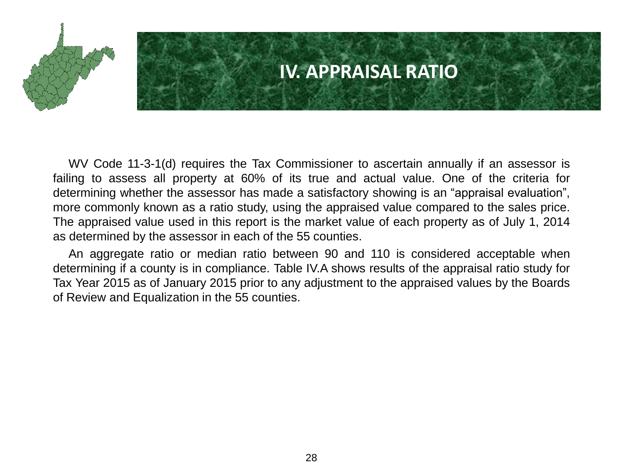

### **IV. APPRAISAL RATIO**

WV Code 11-3-1(d) requires the Tax Commissioner to ascertain annually if an assessor is failing to assess all property at 60% of its true and actual value. One of the criteria for determining whether the assessor has made a satisfactory showing is an "appraisal evaluation", more commonly known as a ratio study, using the appraised value compared to the sales price. The appraised value used in this report is the market value of each property as of July 1, 2014 as determined by the assessor in each of the 55 counties.

An aggregate ratio or median ratio between 90 and 110 is considered acceptable when determining if a county is in compliance. Table IV.A shows results of the appraisal ratio study for Tax Year 2015 as of January 2015 prior to any adjustment to the appraised values by the Boards of Review and Equalization in the 55 counties.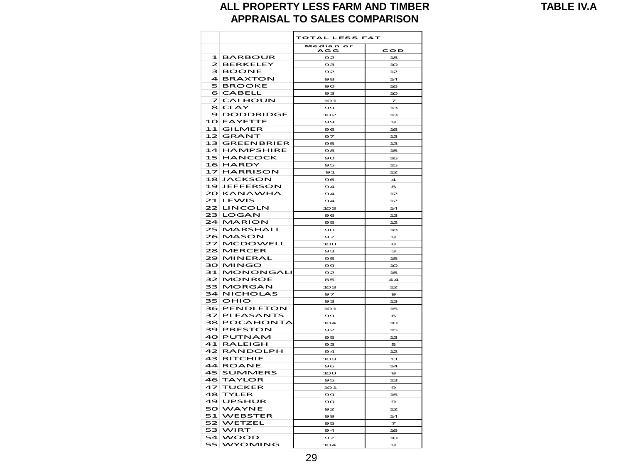**TABLE IV.A**

#### **ALL PROPERTY LESS FARM AND TIMBER APPRAISAL TO SALES COMPARISON**

|              |                          | TOTAL LESS F&T          |                         |  |  |  |  |  |
|--------------|--------------------------|-------------------------|-------------------------|--|--|--|--|--|
|              |                          | Median<br>$\mathbf{or}$ | <b>COD</b>              |  |  |  |  |  |
| $\mathbf{1}$ | <b>BARBOUR</b>           | <b>AGG</b>              | 18                      |  |  |  |  |  |
| $\mathbf{z}$ | <b>BERKELEY</b>          | 92                      |                         |  |  |  |  |  |
| 3            | <b>BOONE</b>             | 93                      | 10                      |  |  |  |  |  |
| 4            |                          | 92                      | 12                      |  |  |  |  |  |
| 5            | <b>BRAXTON</b>           | 98                      | 14                      |  |  |  |  |  |
|              | <b>BROOKE</b>            | 90                      | 16                      |  |  |  |  |  |
| 6<br>7       | <b>CABELL</b>            | 93                      | 10 <sup>2</sup>         |  |  |  |  |  |
|              | <b>CALHOUN</b>           | 10 <sub>1</sub>         | 7                       |  |  |  |  |  |
| 8<br>9       | CLAY<br><b>DODDRIDGE</b> | 99                      | 13                      |  |  |  |  |  |
| 10           |                          | 102                     | 13                      |  |  |  |  |  |
| 11           | <b>FAYETTE</b>           | 99                      | $\bullet$               |  |  |  |  |  |
|              | <b>GILMER</b>            | 96                      | 16                      |  |  |  |  |  |
| 12           | <b>GRANT</b>             | 97                      | 13                      |  |  |  |  |  |
| 13           | <b>GREENBRIER</b>        | 95                      | 13                      |  |  |  |  |  |
| 14           | <b>HAMPSHIRE</b>         | 98                      | 15                      |  |  |  |  |  |
| 15           | <b>HANCOCK</b>           | 90                      | 16                      |  |  |  |  |  |
| 16           | <b>HARDY</b>             | 95                      | 15                      |  |  |  |  |  |
| 17           | <b>HARRISON</b>          | 91                      | 12                      |  |  |  |  |  |
| 18           | <b>JACKSON</b>           | 96                      | $\overline{\mathbf{A}}$ |  |  |  |  |  |
| 19           | <b>JEFFERSON</b>         | 94                      | 8                       |  |  |  |  |  |
| 20           | <b>KANAWHA</b>           | 94                      | 12                      |  |  |  |  |  |
| 21           | <b>LEWIS</b>             | 94                      | 12                      |  |  |  |  |  |
| 22           | LINCOLN                  | 103                     | 14                      |  |  |  |  |  |
| 23           | <b>LOGAN</b>             | 96                      | 13                      |  |  |  |  |  |
| 24           | <b>MARION</b>            | 95                      | 12                      |  |  |  |  |  |
| 25           | <b>MARSHALL</b>          | 90                      | 18                      |  |  |  |  |  |
| 26           | <b>MASON</b>             | 97                      | 9                       |  |  |  |  |  |
| 27           | <b>MCDOWELL</b>          | 100                     | 8                       |  |  |  |  |  |
| 28           | <b>MERCER</b>            | 93                      | з                       |  |  |  |  |  |
| 29           | MINERAL                  | 95                      | 15                      |  |  |  |  |  |
| 30           | <b>MINGO</b>             | 99                      | 10                      |  |  |  |  |  |
| 31           | <b>MONONGALI</b>         | 92                      | 15                      |  |  |  |  |  |
| 32           | <b>MONROE</b>            | 85                      | 44                      |  |  |  |  |  |
| 33           | <b>MORGAN</b>            | 10З                     | 12                      |  |  |  |  |  |
| 34           | <b>NICHOLAS</b>          | 97                      | $\mathbf{9}$            |  |  |  |  |  |
| 35           | OHIO                     | 93                      | 13 <sub>3</sub>         |  |  |  |  |  |
| 36           | <b>PENDLETON</b>         | 101                     | 15                      |  |  |  |  |  |
| 37           | <b>PLEASANTS</b>         | 99                      | 6                       |  |  |  |  |  |
| 38           | POCAHONTA                | 104                     | 10                      |  |  |  |  |  |
| 39           | <b>PRESTON</b>           | 92                      | 15                      |  |  |  |  |  |
| 40           | PUTNAM                   | 95                      | 13                      |  |  |  |  |  |
| 41           | <b>RALEIGH</b>           | 93                      | 5                       |  |  |  |  |  |
| 42           | <b>RANDOLPH</b>          | 94                      | 12                      |  |  |  |  |  |
| 43           | RITCHIE                  | 103                     | 11                      |  |  |  |  |  |
| 44           | <b>ROANE</b>             | 96                      | 14                      |  |  |  |  |  |
| 45           | <b>SUMMERS</b>           | 100                     | 9                       |  |  |  |  |  |
| 46           | TAYLOR                   | 95                      | 13                      |  |  |  |  |  |
| 47           | <b>TUCKER</b>            | 101                     | 9                       |  |  |  |  |  |
| 48           | <b>TYLER</b>             | 99                      | 15                      |  |  |  |  |  |
| 49           | <b>UPSHUR</b>            | 90                      | $\bullet$               |  |  |  |  |  |
| 50           | WAYNE                    | 92                      | 12                      |  |  |  |  |  |
| 51           | <b>WEBSTER</b>           | 99                      | 14                      |  |  |  |  |  |
| 52           | WETZEL                   | 95                      | 7                       |  |  |  |  |  |
| 53.          | WIRT                     | 94                      | 16                      |  |  |  |  |  |
| 54           | <b>WOOD</b>              | 97                      |                         |  |  |  |  |  |
| 55           |                          |                         | 10                      |  |  |  |  |  |
|              | WYOMING                  | 104                     | $\bullet$               |  |  |  |  |  |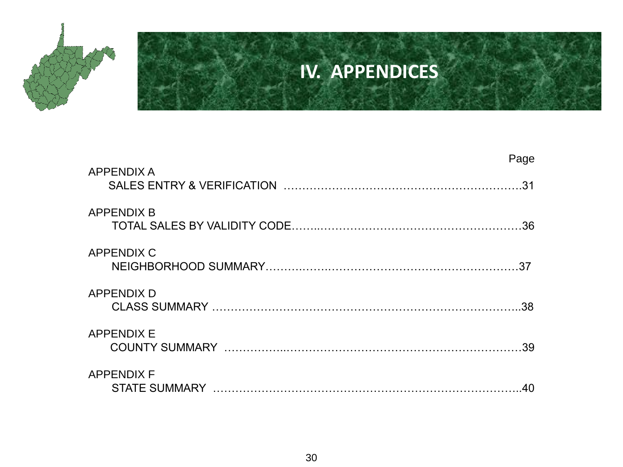

## **IV. APPENDICES**

| <b>APPENDIX A</b> | Page |
|-------------------|------|
|                   | 31   |
| <b>APPENDIX B</b> | .36  |
| <b>APPENDIX C</b> | 37   |
| <b>APPENDIX D</b> | .38  |
| <b>APPENDIX E</b> | 39   |
| <b>APPENDIX F</b> | 40   |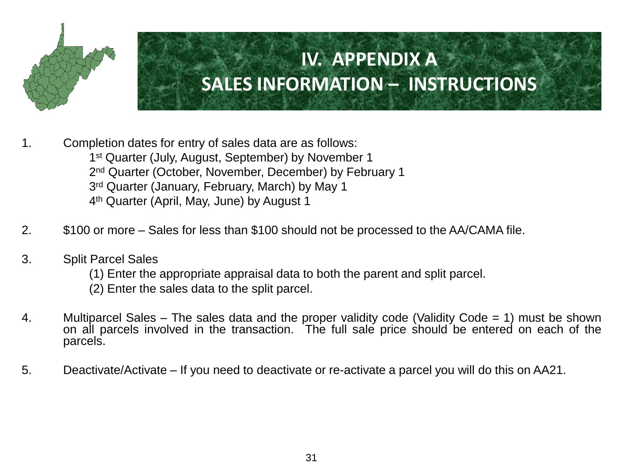

- 1. Completion dates for entry of sales data are as follows: 1<sup>st</sup> Quarter (July, August, September) by November 1 2<sup>nd</sup> Quarter (October, November, December) by February 1 3<sup>rd</sup> Quarter (January, February, March) by May 1 4 th Quarter (April, May, June) by August 1
- 2. \$100 or more Sales for less than \$100 should not be processed to the AA/CAMA file.
- 3. Split Parcel Sales
	- (1) Enter the appropriate appraisal data to both the parent and split parcel.
	- (2) Enter the sales data to the split parcel.
- 4. Multiparcel Sales The sales data and the proper validity code (Validity Code = 1) must be shown on all parcels involved in the transaction. The full sale price should be entered on each of the parcels.
- 5. Deactivate/Activate If you need to deactivate or re-activate a parcel you will do this on AA21.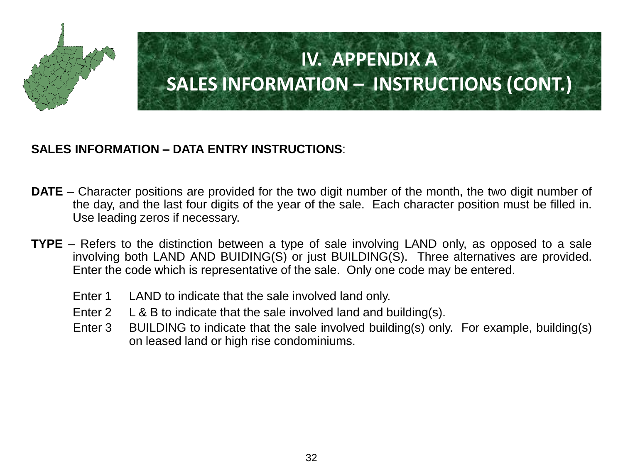

#### **SALES INFORMATION – DATA ENTRY INSTRUCTIONS**:

- **DATE** Character positions are provided for the two digit number of the month, the two digit number of the day, and the last four digits of the year of the sale. Each character position must be filled in. Use leading zeros if necessary.
- **TYPE** Refers to the distinction between a type of sale involving LAND only, as opposed to a sale involving both LAND AND BUIDING(S) or just BUILDING(S). Three alternatives are provided. Enter the code which is representative of the sale. Only one code may be entered.
	- Enter 1 LAND to indicate that the sale involved land only.
	- Enter 2 L & B to indicate that the sale involved land and building(s).
	- Enter 3 BUILDING to indicate that the sale involved building(s) only. For example, building(s) on leased land or high rise condominiums.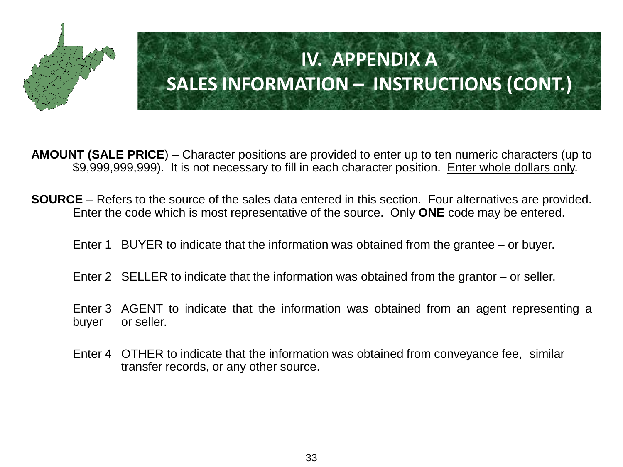

**AMOUNT (SALE PRICE**) – Character positions are provided to enter up to ten numeric characters (up to \$9,999,999,999). It is not necessary to fill in each character position. Enter whole dollars only.

- **SOURCE** Refers to the source of the sales data entered in this section. Four alternatives are provided. Enter the code which is most representative of the source. Only **ONE** code may be entered.
	- Enter 1 BUYER to indicate that the information was obtained from the grantee or buyer.
	- Enter 2 SELLER to indicate that the information was obtained from the grantor or seller.
	- Enter 3 AGENT to indicate that the information was obtained from an agent representing a buyer or seller.
	- Enter 4 OTHER to indicate that the information was obtained from conveyance fee, similar transfer records, or any other source.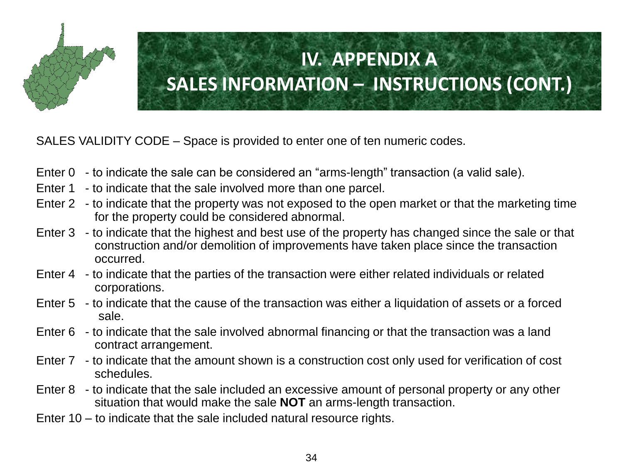

SALES VALIDITY CODE – Space is provided to enter one of ten numeric codes.

- Enter 0 to indicate the sale can be considered an "arms-length" transaction (a valid sale).
- Enter 1 to indicate that the sale involved more than one parcel.
- Enter 2 to indicate that the property was not exposed to the open market or that the marketing time for the property could be considered abnormal.
- Enter 3 to indicate that the highest and best use of the property has changed since the sale or that construction and/or demolition of improvements have taken place since the transaction occurred.
- Enter 4 to indicate that the parties of the transaction were either related individuals or related corporations.
- Enter 5 to indicate that the cause of the transaction was either a liquidation of assets or a forced sale.
- Enter 6 to indicate that the sale involved abnormal financing or that the transaction was a land contract arrangement.
- Enter 7 to indicate that the amount shown is a construction cost only used for verification of cost schedules.
- Enter 8 to indicate that the sale included an excessive amount of personal property or any other situation that would make the sale **NOT** an arms-length transaction.
- Enter 10 to indicate that the sale included natural resource rights.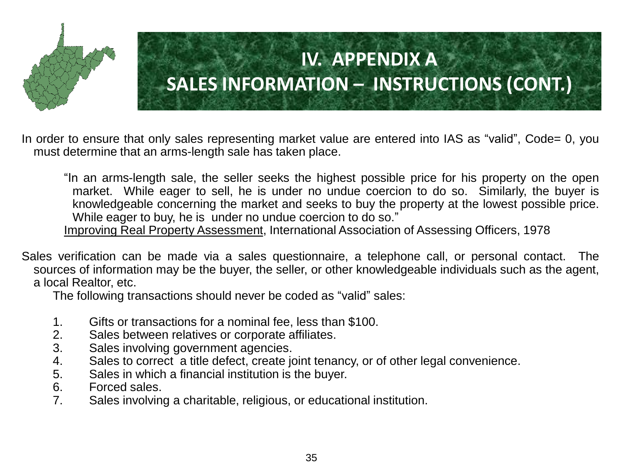

In order to ensure that only sales representing market value are entered into IAS as "valid", Code= 0, you must determine that an arms-length sale has taken place.

"In an arms-length sale, the seller seeks the highest possible price for his property on the open market. While eager to sell, he is under no undue coercion to do so. Similarly, the buyer is knowledgeable concerning the market and seeks to buy the property at the lowest possible price. While eager to buy, he is under no undue coercion to do so."

Improving Real Property Assessment, International Association of Assessing Officers, 1978

Sales verification can be made via a sales questionnaire, a telephone call, or personal contact. The sources of information may be the buyer, the seller, or other knowledgeable individuals such as the agent, a local Realtor, etc.

The following transactions should never be coded as "valid" sales:

- 1. Gifts or transactions for a nominal fee, less than \$100.
- 2. Sales between relatives or corporate affiliates.
- 3. Sales involving government agencies.
- 4. Sales to correct a title defect, create joint tenancy, or of other legal convenience.
- 5. Sales in which a financial institution is the buyer.
- 6. Forced sales.
- 7. Sales involving a charitable, religious, or educational institution.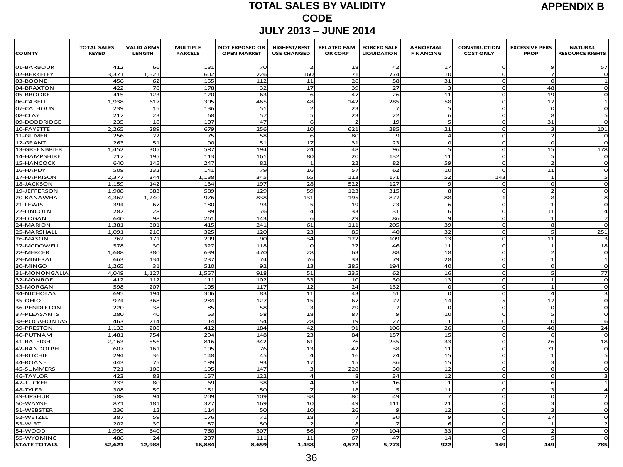#### **TOTAL SALES BY VALIDITY CODE JULY 2013 – JUNE 2014**

| <b>COUNTY</b>             | <b>TOTAL SALES</b><br><b>KEYED</b> | <b>VALID ARMS</b><br>LENGTH | <b>MULTIPLE</b><br><b>PARCELS</b> | <b>NOT EXPOSED OR</b><br><b>OPEN MARKET</b> | HIGHEST/BEST<br><b>USE CHANGED</b> | <b>RELATED FAM</b><br>OR CORP | <b>FORCED SALE</b><br><b>LIQUIDATION</b> | <b>ABNORMAL</b><br><b>FINANCING</b> | <b>CONSTRUCTION</b><br><b>COST ONLY</b> | <b>EXCESSIVE PERS</b><br><b>PROP</b> | <b>NATURAL</b><br><b>RESOURCE RIGHTS</b> |
|---------------------------|------------------------------------|-----------------------------|-----------------------------------|---------------------------------------------|------------------------------------|-------------------------------|------------------------------------------|-------------------------------------|-----------------------------------------|--------------------------------------|------------------------------------------|
| 01-BARBOUR                | 412                                | 66                          | 131                               | 70                                          |                                    | 18                            | 42                                       | 17                                  | $\Omega$                                | 9                                    | 57                                       |
| 02-BERKELEY               | 3,371                              | 1,521                       | 602                               | 226                                         | 160                                | 71                            | 774                                      | 10                                  | $\Omega$                                | $\overline{ }$                       | $\mathbf 0$                              |
| 03-BOONE                  | 456                                | 62                          | 155                               | 112                                         | 11                                 | 26                            | 58                                       | 31                                  | $\Omega$                                | $\epsilon$                           | $\mathbf{1}$                             |
| 04-BRAXTON                | 422                                | 78                          | 178                               | 32                                          | 17                                 | 39                            | 27                                       |                                     | $\Omega$                                | 48                                   | $\mathbf 0$                              |
| 05-BROOKE                 | 415                                | 123                         | 120                               | 63                                          | 6                                  | 47                            | 26                                       | 11                                  | $\circ$                                 | 19                                   | $\mathbf 0$                              |
| 06-CABELL                 | 1,938                              | 617                         | 305                               | 465                                         | 48                                 | 142                           | 285                                      | 58                                  | $\Omega$                                | 17                                   | $\mathbf{1}$                             |
| 07-CALHOUN                | 239                                | 15                          | 136                               | 51                                          | $\overline{2}$                     | 23                            |                                          |                                     | $\Omega$                                | $\Omega$                             | $\mathbf 0$                              |
| 08-CLAY                   | 217                                | 23                          | 68                                | 57                                          | 5                                  | 23                            | 22                                       |                                     | $\Omega$                                | 8                                    | 5                                        |
| 09-DODDRIDGE              | 235                                | 18                          | 107                               | 47                                          | 6                                  | $\overline{2}$                | 19                                       |                                     | $\Omega$                                | 31                                   | $\mathbf 0$                              |
| 10-FAYETTE                | 2,265                              | 289                         | 679                               | 256                                         | 10                                 | 621                           | 285                                      | 21                                  | $\Omega$                                | $\overline{a}$                       | 101                                      |
| 11-GILMER                 | 256                                | 22                          | 75                                | 58                                          | 6                                  | 80                            | $\Omega$                                 | $\overline{ }$                      | $\Omega$                                | -2                                   | o                                        |
| 12-GRANT                  | 263                                | 51                          | 90                                | 51                                          | 17                                 | 31                            | 23                                       | $\Omega$                            | $\Omega$                                | $\Gamma$                             | $\mathbf{o}$                             |
| 13-GREENBRIER             | 1,452                              | 305                         | 587                               | 194                                         | 24                                 | 48                            | 96                                       |                                     | $\Omega$                                | 15                                   | 178                                      |
| 14-HAMPSHIRE              | 717                                | 195                         | 113                               | 161                                         | 80                                 | 20                            | 132                                      | 11                                  | $\Omega$                                | 5                                    | $\mathbf 0$                              |
| 15-HANCOCK                | 640                                | 145                         | 247                               | 82                                          | $\mathbf{1}$                       | 22                            | 82                                       | 59                                  | $\Omega$                                | $\overline{z}$                       | $\Omega$                                 |
| 16-HARDY                  | 508                                | 132                         | 141                               | 79                                          | 16                                 | 57                            | 62                                       | 10                                  | $\Omega$                                | 11                                   | $\mathbf 0$                              |
| 17-HARRISON               | 2,377                              | 344                         | 1,138                             | 345                                         | 65                                 | 113                           | 171                                      | 52                                  | 143                                     | $\overline{1}$                       | 5                                        |
| 18-JACKSON                | 1,159                              | 142                         | 134                               | 197                                         | 28                                 | 522                           | 127                                      | $\mathbf{q}$                        | $\mathbf{o}$                            | $\Omega$                             | $\mathbf 0$                              |
| 19-JEFFERSON              | 1,908                              | 683                         | 589                               | 129                                         | 59                                 | 123                           | 315                                      | 8                                   | $\Omega$                                | $\overline{2}$                       | $\Omega$                                 |
| 20-KANAWHA                | 4,362                              | 1,240                       | 976                               | 838                                         | 131                                | 195                           | 877                                      | 88                                  | $\mathbf{1}$                            | 8                                    | 8                                        |
| 21-LEWIS                  | 394                                | 67                          | 180                               | 93                                          | 5                                  | 19                            | 23                                       | 6                                   | $\mathbf 0$                             | $\mathbf{1}$                         | $\Omega$                                 |
| 22-LINCOLN                | 282                                | 28                          | 89                                | 76                                          | $\overline{\mathbf{4}}$            | 33                            | 31                                       | 6                                   | $\mathbf{o}$                            | 11                                   | $\overline{\mathbf{4}}$                  |
| 23-LOGAN                  | 64C                                | 98                          | 261                               | 143                                         | 6                                  | 29                            | 86                                       | $\Omega$                            | $\Omega$                                | $\overline{1}$                       | $\overline{7}$                           |
| 24-MARION                 | 1,381                              | 301                         | 415                               | 241                                         | 61                                 | 111                           | 205                                      | 39                                  | $\Omega$                                | 8                                    | $\Omega$                                 |
| 25-MARSHALL               | 1,091                              | 210                         | 325                               | 120                                         | 23                                 | 85                            | 40                                       | 32                                  | $\mathbf 0$                             | 5                                    | 251                                      |
| 26-MASON                  | 762                                | 171                         | 209                               | 90                                          | 34                                 | 122                           | 109                                      | 13                                  | $\mathbf{o}$                            | 11                                   | 3                                        |
| 27-MCDOWELL               | 578                                | 30                          | 327                               | 118                                         | $\Omega$                           | 27                            | 46                                       | 11                                  | $\mathbf{o}$                            | $\mathbf{1}$                         | 18                                       |
| 28-MERCER                 | 1,688                              | 380                         | 639                               | 470                                         | 28                                 | 63                            | 88                                       | 18                                  | $\Omega$                                | $\overline{2}$                       | $\Omega$                                 |
| 29-MINERAI                | 663                                | 134                         | 237                               | 74                                          | 76                                 | 33                            | 79                                       | 28                                  | $\mathbf{o}$                            | $\overline{1}$                       | $\mathbf{1}$                             |
| 30-MINGO                  | 1,265                              | 31                          | 510                               | 92                                          | 13                                 | 385                           | 194                                      | 40                                  | $\mathbf{o}$                            | $\Omega$                             | $\mathbf 0$                              |
| 31-MONONGALIA             | 4.048                              | 1.127                       | 1,557                             | 918                                         | 51                                 | 235                           | 62                                       | 16                                  | $\mathbf 0$                             | 5                                    | 77                                       |
| 32-MONROE                 | 412                                | 112                         | 111                               | 102                                         | 33                                 | 10                            | 30                                       | 13                                  | $\Omega$                                | $\overline{1}$                       | $\Omega$                                 |
| 33-MORGAN                 | 598                                | 207                         | 105                               | 117                                         | 12                                 | 24                            | 132                                      | $\Omega$                            | $\Omega$                                | $\overline{1}$                       | $\mathbf 0$                              |
| 34-NICHOLAS               | 695                                | 194                         | 306                               | 83                                          | 11                                 | 43                            | 51                                       | $\mathsf{C}$                        | $\circ$                                 | $\overline{4}$                       | з                                        |
| 35-OHIO                   | 974                                | 368                         | 284                               | 127                                         | 15                                 | 67                            | 77                                       | 14                                  | 5                                       | 17                                   | $\mathbf{o}$                             |
| 36-PENDLETON              | 220                                | 38                          | 85                                | 58                                          | $\overline{\mathbf{3}}$            | 29                            | $\overline{z}$                           | $\Omega$                            | $\Omega$                                | $\mathbf{o}$                         | $\mathbf{o}$                             |
| 37-PLEASANTS              | <b>280</b>                         | 40                          | 53                                | 58                                          | 18                                 | 87                            | $\mathbf{q}$                             | 10                                  | $\Omega$                                | 5                                    | $\Omega$                                 |
| 38-POCAHONTAS             | 463                                | 214                         | 114                               | 54                                          | 28<br>42                           | 19<br>91                      | 27                                       |                                     | $\Omega$<br>$\Omega$                    | $\Omega$                             | 6                                        |
| 39-PRESTON<br>40-PUTNAM   | 1,133<br>1,481                     | 208<br>754                  | 412<br>294                        | 184<br>148                                  | 23                                 | 84                            | 106<br>157                               | 26<br>15                            | $\Omega$                                | 40<br>6                              | 24<br>$\mathbf 0$                        |
|                           |                                    | 556                         | 816                               | 342                                         | 61                                 | 76                            | 235                                      | 33                                  | $\Omega$                                | 26                                   | 18                                       |
| 41-RALEIGH                | 2,163<br>607                       |                             |                                   | 76                                          | 13                                 | 42                            |                                          | 11                                  | $\circ$                                 | 71                                   |                                          |
| 42-RANDOLPH<br>43-RITCHIE | 294                                | 161<br>36                   | 195<br>148                        | 45                                          | $\overline{4}$                     | 16                            | 38<br>24                                 | 15                                  | $\mathbf 0$                             | $\overline{1}$                       | $\mathbf 0$<br>5                         |
| 44-ROANE                  | 443                                | 75                          | 189                               | 93                                          | 17                                 | 15                            | 36                                       | 15                                  | $\Omega$                                | $\mathbf{B}$                         | $\mathbf{o}$                             |
| 45-SUMMERS                | 721                                | 106                         | 195                               | 147                                         | 3                                  | 228                           | 30                                       | 12                                  | $\Omega$                                | $\Omega$                             | $\Omega$                                 |
| 46-TAYLOR                 | 423                                | 83                          | 157                               | 122                                         | $\overline{4}$                     | 8                             | 34                                       | 12                                  | $\Omega$                                | $\Gamma$                             | з                                        |
| 47-TUCKER                 | 233                                | 80                          | 69                                | 38                                          | 4                                  | 18                            | 16                                       | -1                                  | $\mathbf 0$                             | 6                                    | $\mathbf{1}$                             |
| 48-TYLER                  | 308                                | 59                          | 151                               | 50                                          | $\overline{z}$                     | 18                            |                                          | 11                                  | $\circ$                                 | $\overline{3}$                       | $\ensuremath{\mathbf{4}}$                |
| 49-UPSHUR                 | 588                                | 94                          | 209                               | 109                                         | 38                                 | 80                            | 49                                       |                                     | $\Omega$                                | $\Omega$                             | $\overline{2}$                           |
| 50-WAYNE                  | 871                                | 181                         | 327                               | 169                                         | 10                                 | 49                            | 111                                      | 21                                  | $\Omega$                                | З                                    | $\mathbf 0$                              |
| 51-WEBSTER                | 236                                | 12                          | 114                               | 50                                          | 10                                 | 26                            | $\alpha$                                 | 12                                  | $\mathbf 0$                             | В                                    | $\mathbf 0$                              |
| 52-WETZEL                 | 387                                | 59                          | 176                               | 71                                          | 18                                 | $\overline{z}$                | 30                                       | $\epsilon$                          | $\circ$                                 | 17                                   | $\mathbf 0$                              |
| 53-WIR1                   | 202                                | 39                          | 87                                | 50                                          | $\overline{2}$                     | 8                             |                                          |                                     | $\Omega$                                | $\mathbf{1}$                         | $\overline{2}$                           |
| 54-WOOD                   | 1,999                              | 640                         | 760                               | 307                                         | 56                                 | 97                            | 104                                      | 33                                  | $\Omega$                                |                                      | O                                        |
| 55-WYOMING                | 486                                | 24                          | 207                               | 111                                         | 11                                 | 67                            | 47                                       | 14                                  | $\Omega$                                |                                      | $\mathbf 0$                              |
| <b>STATE TOTALS</b>       | 52,621                             | 12,988                      | 16,884                            | 8,659                                       | 1,438                              | 4,574                         | 5,773                                    | 922                                 | 149                                     | 449                                  | 785                                      |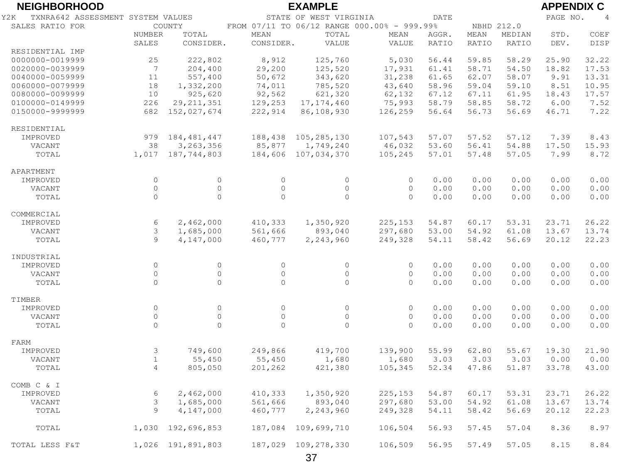| <b>NEIGHBORHOOD</b>                      |                    |                                |                    | <b>EXAMPLE</b>         |                                             |              |              |              | <b>APPENDIX C</b> |                |
|------------------------------------------|--------------------|--------------------------------|--------------------|------------------------|---------------------------------------------|--------------|--------------|--------------|-------------------|----------------|
| TXNRA642 ASSESSMENT SYSTEM VALUES<br>Y2K |                    |                                |                    | STATE OF WEST VIRGINIA |                                             | <b>DATE</b>  |              |              | PAGE NO.          | $\overline{4}$ |
| SALES RATIO FOR                          |                    | COUNTY                         |                    |                        | FROM 07/11 TO 06/12 RANGE 000.00% - 999.99% |              | NBHD 212.0   |              |                   |                |
|                                          | NUMBER             | TOTAL                          | <b>MEAN</b>        | TOTAL                  | MEAN                                        | AGGR.        | MEAN         | MEDIAN       | STD.              | COEF           |
|                                          | SALES              | CONSIDER.                      | CONSIDER.          | VALUE                  | VALUE                                       | RATIO        | RATIO        | RATIO        | DEV.              | DISP           |
| RESIDENTIAL IMP                          |                    |                                |                    |                        |                                             |              |              |              |                   |                |
| 0000000-0019999                          | 25                 | 222,802                        | 8,912              | 125,760                | 5,030                                       | 56.44        | 59.85        | 58.29        | 25.90             | 32.22          |
| 0020000-0039999                          | 7                  | 204,400                        | 29,200             | 125,520                | 17,931                                      | 61.41        | 58.71        | 54.50        | 18.82             | 17.53          |
| 0040000-0059999                          | 11                 | 557,400                        | 50,672             | 343,620                | 31,238                                      | 61.65        | 62.07        | 58.07        | 9.91              | 13.31          |
| 0060000-0079999                          | 18                 | 1,332,200                      | 74,011             | 785,520                | 43,640                                      | 58.96        | 59.04        | 59.10        | 8.51              | 10.95          |
| 0080000-0099999                          | 10                 | 925,620                        | 92,562             | 621,320                | 62,132                                      | 67.12        | 67.11        | 61.95        | 18.43             | 17.57          |
| 0100000-0149999                          | 226                | 29, 211, 351                   | 129,253            | 17, 174, 460           | 75,993                                      | 58.79        | 58.85        | 58.72        | 6.00              | 7.52           |
| 0150000-9999999                          | 682                | 152,027,674                    | 222,914            | 86,108,930             | 126,259                                     | 56.64        | 56.73        | 56.69        | 46.71             | 7.22           |
| RESIDENTIAL                              |                    |                                |                    |                        |                                             |              |              |              |                   |                |
| IMPROVED                                 | 979                | 184, 481, 447                  | 188,438            | 105,285,130            | 107,543                                     | 57.07        | 57.52        | 57.12        | 7.39              | 8.43           |
| VACANT                                   | 38                 | 3,263,356                      | 85,877             | 1,749,240              | 46,032                                      | 53.60        | 56.41        | 54.88        | 17.50             | 15.93          |
| TOTAL                                    |                    | 1,017 187,744,803              | 184,606            | 107,034,370            | 105,245                                     | 57.01        | 57.48        | 57.05        | 7.99              | 8.72           |
|                                          |                    |                                |                    |                        |                                             |              |              |              |                   |                |
| APARTMENT                                |                    |                                |                    |                        |                                             |              |              |              |                   |                |
| IMPROVED                                 | $\circ$<br>$\circ$ | $\circ$<br>$\mathsf{O}\xspace$ | $\circ$<br>$\circ$ | $\circ$<br>$\circ$     | $\circ$<br>$\circ$                          | 0.00         | 0.00         | 0.00         | 0.00              | 0.00           |
| VACANT<br>TOTAL                          | $\Omega$           | $\Omega$                       | $\circ$            | $\Omega$               | $\Omega$                                    | 0.00<br>0.00 | 0.00<br>0.00 | 0.00<br>0.00 | 0.00<br>0.00      | 0.00<br>0.00   |
|                                          |                    |                                |                    |                        |                                             |              |              |              |                   |                |
| COMMERCIAL                               |                    |                                |                    |                        |                                             |              |              |              |                   |                |
| IMPROVED                                 | 6                  | 2,462,000                      | 410,333            | 1,350,920              | 225,153                                     | 54.87        | 60.17        | 53.31        | 23.71             | 26.22          |
| VACANT                                   | 3                  | 1,685,000                      | 561,666            | 893,040                | 297,680                                     | 53.00        | 54.92        | 61.08        | 13.67             | 13.74          |
| TOTAL                                    | $\mathcal{Q}$      | 4,147,000                      | 460,777            | 2,243,960              | 249,328                                     | 54.11        | 58.42        | 56.69        | 20.12             | 22.23          |
| INDUSTRIAL                               |                    |                                |                    |                        |                                             |              |              |              |                   |                |
| IMPROVED                                 | $\circ$            | $\circ$                        | $\circ$            | $\circ$                | $\circ$                                     | 0.00         | 0.00         | 0.00         | 0.00              | 0.00           |
| VACANT                                   | $\circ$            | $\mathsf{O}\xspace$            | $\circ$            | $\circ$                | $\circ$                                     | 0.00         | 0.00         | 0.00         | 0.00              | 0.00           |
| TOTAL                                    | $\Omega$           | $\Omega$                       | $\Omega$           | $\Omega$               | $\Omega$                                    | 0.00         | 0.00         | 0.00         | 0.00              | 0.00           |
|                                          |                    |                                |                    |                        |                                             |              |              |              |                   |                |
| TIMBER<br>IMPROVED                       | $\circ$            | $\circ$                        | $\circ$            | $\circ$                | $\circ$                                     | 0.00         | 0.00         | 0.00         | 0.00              | 0.00           |
| VACANT                                   | $\circ$            | $\circ$                        | $\circ$            | $\circ$                | $\circ$                                     | 0.00         | 0.00         | 0.00         | 0.00              | 0.00           |
| TOTAL                                    | $\Omega$           | $\Omega$                       | $\Omega$           | $\Omega$               | $\Omega$                                    | 0.00         | 0.00         | 0.00         | 0.00              | 0.00           |
|                                          |                    |                                |                    |                        |                                             |              |              |              |                   |                |
| FARM                                     |                    |                                |                    |                        |                                             |              |              |              |                   |                |
| IMPROVED                                 | 3                  | 749,600                        | 249,866            | 419,700                | 139,900                                     | 55.99        | 62.80        | 55.67        | 19.30             | 21.90          |
| VACANT                                   | $\mathbf{1}$       | 55,450                         | 55,450             | 1,680                  | 1,680                                       | 3.03         | 3.03         | 3.03         | 0.00              | 0.00           |
| TOTAL                                    | $\overline{4}$     | 805,050                        | 201,262            | 421,380                | 105,345                                     | 52.34        | 47.86        | 51.87        | 33.78             | 43.00          |
| COMB C & I                               |                    |                                |                    |                        |                                             |              |              |              |                   |                |
| IMPROVED                                 | 6                  | 2,462,000                      | 410,333            | 1,350,920              | 225, 153                                    | 54.87        | 60.17        | 53.31        | 23.71             | 26.22          |
| VACANT                                   | 3                  | 1,685,000                      | 561,666            | 893,040                | 297,680                                     | 53.00        | 54.92        | 61.08        | 13.67             | 13.74          |
| TOTAL                                    | 9                  | 4,147,000                      | 460,777            | 2,243,960              | 249,328                                     | 54.11        | 58.42        | 56.69        | 20.12             | 22.23          |
| TOTAL                                    | 1,030              | 192,696,853                    | 187,084            | 109,699,710            | 106,504                                     | 56.93        | 57.45        | 57.04        | 8.36              | 8.97           |
| TOTAL LESS F&T                           | 1,026              | 191,891,803                    | 187,029            | 109,278,330            | 106,509                                     | 56.95        | 57.49        | 57.05        | 8.15              | 8.84           |
|                                          |                    |                                |                    |                        |                                             |              |              |              |                   |                |

37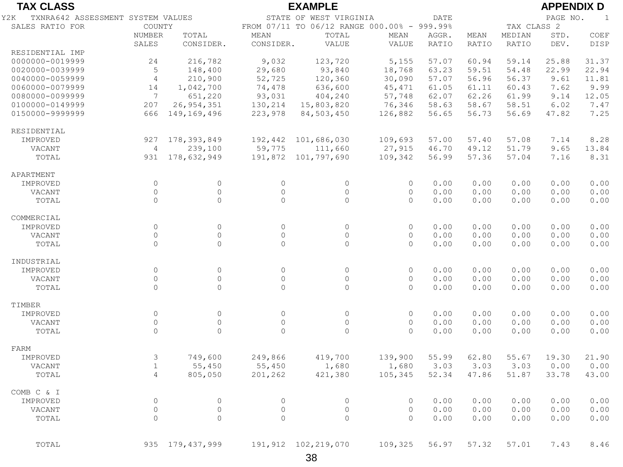| <b>TAX CLASS</b>                         |                |                   |                     | <b>EXAMPLE</b>                              |          |              |              |             | <b>APPENDIX D</b> |              |
|------------------------------------------|----------------|-------------------|---------------------|---------------------------------------------|----------|--------------|--------------|-------------|-------------------|--------------|
| TXNRA642 ASSESSMENT SYSTEM VALUES<br>Y2K |                |                   |                     | STATE OF WEST VIRGINIA                      |          | <b>DATE</b>  |              |             | PAGE NO.          | $\mathbf{1}$ |
| SALES RATIO FOR                          | COUNTY         |                   |                     | FROM 07/11 TO 06/12 RANGE 000.00% - 999.99% |          |              |              | TAX CLASS 2 |                   |              |
|                                          | <b>NUMBER</b>  | TOTAL             | <b>MEAN</b>         | TOTAL                                       | MEAN     | AGGR.        | MEAN         | MEDIAN      | STD.              | COEF         |
|                                          | SALES          | CONSIDER.         | CONSIDER.           | VALUE                                       | VALUE    | <b>RATIO</b> | <b>RATIO</b> | RATIO       | DEV.              | DISP         |
| RESIDENTIAL IMP                          |                |                   |                     |                                             |          |              |              |             |                   |              |
| 0000000-0019999                          | 24             | 216,782           | 9,032               | 123,720                                     | 5,155    | 57.07        | 60.94        | 59.14       | 25.88             | 31.37        |
| 0020000-0039999                          | 5              | 148,400           | 29,680              | 93,840                                      | 18,768   | 63.23        | 59.51        | 54.48       | 22.99             | 22.94        |
| 0040000-0059999                          | $\overline{4}$ | 210,900           | 52,725              | 120,360                                     | 30,090   | 57.07        | 56.96        | 56.37       | 9.61              | 11.81        |
| 0060000-0079999                          | 14             | 1,042,700         | 74,478              | 636,600                                     | 45, 471  | 61.05        | 61.11        | 60.43       | 7.62              | 9.99         |
| 0080000-0099999                          | $\overline{7}$ | 651,220           | 93,031              | 404,240                                     | 57,748   | 62.07        | 62.26        | 61.99       | 9.14              | 12.05        |
| 0100000-0149999                          | 207            | 26, 954, 351      | 130,214             | 15,803,820                                  | 76,346   | 58.63        | 58.67        | 58.51       | 6.02              | 7.47         |
| 0150000-9999999                          | 666            | 149,169,496       | 223,978             | 84,503,450                                  | 126,882  | 56.65        | 56.73        | 56.69       | 47.82             | 7.25         |
| RESIDENTIAL                              |                |                   |                     |                                             |          |              |              |             |                   |              |
| IMPROVED                                 | 927            | 178, 393, 849     | 192,442             | 101,686,030                                 | 109,693  | 57.00        | 57.40        | 57.08       | 7.14              | 8.28         |
| VACANT                                   | $\overline{4}$ | 239,100           | 59,775              | 111,660                                     | 27,915   | 46.70        | 49.12        | 51.79       | 9.65              | 13.84        |
| TOTAL                                    | 931            | 178,632,949       | 191,872             | 101,797,690                                 | 109,342  | 56.99        | 57.36        | 57.04       | 7.16              | 8.31         |
| APARTMENT                                |                |                   |                     |                                             |          |              |              |             |                   |              |
| IMPROVED                                 | $\circ$        | $\circ$           | $\circ$             | $\circ$                                     | $\circ$  | 0.00         | 0.00         | 0.00        | 0.00              | 0.00         |
| VACANT                                   | $\circ$        | $\overline{0}$    | $\mathsf{O}\xspace$ | $\Omega$                                    | $\circ$  | 0.00         | 0.00         | 0.00        | 0.00              | 0.00         |
| TOTAL                                    | $\circ$        | $\overline{0}$    | $\circ$             | $\Omega$                                    | $\Omega$ | 0.00         | 0.00         | 0.00        | 0.00              | 0.00         |
| COMMERCIAL                               |                |                   |                     |                                             |          |              |              |             |                   |              |
| IMPROVED                                 | $\circ$        | $\overline{0}$    | $\circ$             | $\circ$                                     | $\circ$  | 0.00         | 0.00         | 0.00        | 0.00              | 0.00         |
| VACANT                                   | $\circ$        | $\Omega$          | 0                   | $\Omega$                                    | $\circ$  | 0.00         | 0.00         | 0.00        | 0.00              | 0.00         |
| TOTAL                                    | $\Omega$       | $\Omega$          | $\circ$             | $\Omega$                                    | $\Omega$ | 0.00         | 0.00         | 0.00        | 0.00              | 0.00         |
| INDUSTRIAL                               |                |                   |                     |                                             |          |              |              |             |                   |              |
| IMPROVED                                 | $\circ$        | $\circ$           | $\circ$             | $\Omega$                                    | $\circ$  | 0.00         | 0.00         | 0.00        | 0.00              | 0.00         |
| VACANT                                   | $\circ$        | $\overline{0}$    | $\mathsf{O}\xspace$ | $\circ$                                     | $\circ$  | 0.00         | 0.00         | 0.00        | 0.00              | 0.00         |
| TOTAL                                    | $\Omega$       | $\Omega$          | $\Omega$            | $\Omega$                                    | $\Omega$ | 0.00         | 0.00         | 0.00        | 0.00              | 0.00         |
| TIMBER                                   |                |                   |                     |                                             |          |              |              |             |                   |              |
| IMPROVED                                 | $\circ$        | $\circ$           | $\circ$             | $\circ$                                     | $\circ$  | 0.00         | 0.00         | 0.00        | 0.00              | 0.00         |
| VACANT                                   | $\circ$        | $\mathbb O$       | $\mathsf{O}\xspace$ | $\circ$                                     | $\circ$  | 0.00         | 0.00         | 0.00        | 0.00              | 0.00         |
| TOTAL                                    | $\Omega$       | $\Omega$          | $\Omega$            | $\Omega$                                    | $\Omega$ | 0.00         | 0.00         | 0.00        | 0.00              | 0.00         |
| FARM                                     |                |                   |                     |                                             |          |              |              |             |                   |              |
| IMPROVED                                 | $\mathsf 3$    | 749,600           | 249,866             | 419,700                                     | 139,900  | 55.99        | 62.80        | 55.67       | 19.30             | 21.90        |
| VACANT                                   | $\mathbf{1}$   | 55,450            | 55,450              | 1,680                                       | 1,680    | 3.03         | 3.03         | 3.03        | 0.00              | 0.00         |
| TOTAL                                    | $\overline{4}$ | 805,050           | 201,262             | 421,380                                     | 105,345  | 52.34        | 47.86        | 51.87       | 33.78             | 43.00        |
| COMB C & I                               |                |                   |                     |                                             |          |              |              |             |                   |              |
| IMPROVED                                 | $\circ$        | $\circ$           | $\circ$             | $\circ$                                     | $\circ$  | 0.00         | 0.00         | 0.00        | 0.00              | 0.00         |
| VACANT                                   | $\circ$        | $\overline{0}$    | $\circ$             | $\circ$                                     | $\circ$  | 0.00         | 0.00         | 0.00        | 0.00              | 0.00         |
| TOTAL                                    | $\circ$        | $\Omega$          | $\circ$             | $\Omega$                                    | $\Omega$ | 0.00         | 0.00         | 0.00        | 0.00              | 0.00         |
|                                          |                |                   |                     |                                             |          |              |              |             |                   |              |
| TOTAL                                    |                | 935 179, 437, 999 |                     | 191,912 102,219,070                         | 109,325  | 56.97        | 57.32        | 57.01       | 7.43              | 8.46         |
|                                          |                |                   |                     |                                             |          |              |              |             |                   |              |

38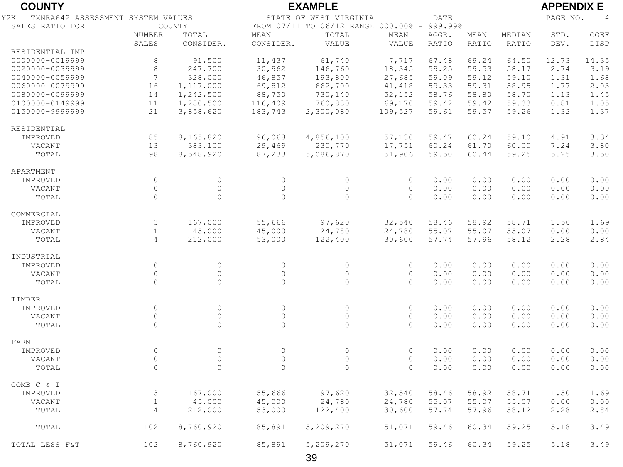| <b>COUNTY</b>                            |                     | <b>APPENDIX E</b> |                |                                             |          |              |              |        |          |                |
|------------------------------------------|---------------------|-------------------|----------------|---------------------------------------------|----------|--------------|--------------|--------|----------|----------------|
| TXNRA642 ASSESSMENT SYSTEM VALUES<br>Y2K |                     |                   |                | STATE OF WEST VIRGINIA                      |          | <b>DATE</b>  |              |        | PAGE NO. | $\overline{4}$ |
| SALES RATIO FOR                          |                     | COUNTY            |                | FROM 07/11 TO 06/12 RANGE 000.00% - 999.99% |          |              |              |        |          |                |
|                                          | <b>NUMBER</b>       | TOTAL             | MEAN           | TOTAL                                       | MEAN     | AGGR.        | MEAN         | MEDIAN | STD.     | COEF           |
|                                          | <b>SALES</b>        | CONSIDER.         | CONSIDER.      | VALUE                                       | VALUE    | <b>RATIO</b> | <b>RATIO</b> | RATIO  | DEV.     | DISP           |
| RESIDENTIAL IMP                          |                     |                   |                |                                             |          |              |              |        |          |                |
| 0000000-0019999                          | 8                   | 91,500            | 11,437         | 61,740                                      | 7,717    | 67.48        | 69.24        | 64.50  | 12.73    | 14.35          |
| 0020000-0039999                          | 8                   | 247,700           | 30,962         | 146,760                                     | 18,345   | 59.25        | 59.53        | 58.17  | 2.74     | 3.19           |
| 0040000-0059999                          | $7\phantom{.0}$     | 328,000           | 46,857         | 193,800                                     | 27,685   | 59.09        | 59.12        | 59.10  | 1.31     | 1.68           |
| 0060000-0079999                          | 16                  | 1,117,000         | 69,812         | 662,700                                     | 41, 418  | 59.33        | 59.31        | 58.95  | 1.77     | 2.03           |
| 0080000-0099999                          | 14                  | 1,242,500         | 88,750         | 730,140                                     | 52,152   | 58.76        | 58.80        | 58.70  | 1.13     | 1.45           |
| 0100000-0149999                          | 11                  | 1,280,500         | 116,409        | 760,880                                     | 69,170   | 59.42        | 59.42        | 59.33  | 0.81     | 1.05           |
| 0150000-9999999                          | 21                  | 3,858,620         | 183,743        | 2,300,080                                   | 109,527  | 59.61        | 59.57        | 59.26  | 1.32     | 1.37           |
| RESIDENTIAL                              |                     |                   |                |                                             |          |              |              |        |          |                |
| IMPROVED                                 | 85                  | 8,165,820         | 96,068         | 4,856,100                                   | 57,130   | 59.47        | 60.24        | 59.10  | 4.91     | 3.34           |
| VACANT                                   | 13                  | 383,100           | 29,469         | 230,770                                     | 17,751   | 60.24        | 61.70        | 60.00  | 7.24     | 3.80           |
| TOTAL                                    | 98                  | 8,548,920         | 87,233         | 5,086,870                                   | 51,906   | 59.50        | 60.44        | 59.25  | 5.25     | 3.50           |
| APARTMENT                                |                     |                   |                |                                             |          |              |              |        |          |                |
| IMPROVED                                 | $\circ$             | $\mathbb O$       | $\circ$        | $\circ$                                     | $\circ$  | 0.00         | 0.00         | 0.00   | 0.00     | 0.00           |
| VACANT                                   | $\Omega$            | $\circ$           | $\circ$        | $\circ$                                     | $\circ$  | 0.00         | 0.00         | 0.00   | 0.00     | 0.00           |
| TOTAL                                    | $\Omega$            | $\Omega$          | $\Omega$       | $\circ$                                     | $\Omega$ | 0.00         | 0.00         | 0.00   | 0.00     | 0.00           |
| COMMERCIAL                               |                     |                   |                |                                             |          |              |              |        |          |                |
| IMPROVED                                 | 3                   | 167,000           | 55,666         | 97,620                                      | 32,540   | 58.46        | 58.92        | 58.71  | 1.50     | 1.69           |
| VACANT                                   | $\mathbf{1}$        | 45,000            | 45,000         | 24,780                                      | 24,780   | 55.07        | 55.07        | 55.07  | 0.00     | 0.00           |
| TOTAL                                    | $\overline{4}$      | 212,000           | 53,000         | 122,400                                     | 30,600   | 57.74        | 57.96        | 58.12  | 2.28     | 2.84           |
|                                          |                     |                   |                |                                             |          |              |              |        |          |                |
| INDUSTRIAL                               |                     |                   |                |                                             |          |              |              |        |          |                |
| IMPROVED                                 | $\circ$             | $\circ$           | $\circ$        | $\circ$                                     | $\circ$  | 0.00         | 0.00         | 0.00   | 0.00     | 0.00           |
| VACANT                                   | $\mathsf{O}\xspace$ | $\circ$           | $\circ$        | $\circ$                                     | $\circ$  | 0.00         | 0.00         | 0.00   | 0.00     | 0.00           |
| TOTAL                                    | $\circ$             | $\circ$           | $\overline{0}$ | $\circ$                                     | $\Omega$ | 0.00         | 0.00         | 0.00   | 0.00     | 0.00           |
|                                          |                     |                   |                |                                             |          |              |              |        |          |                |
| TIMBER                                   |                     |                   |                |                                             |          |              |              |        |          |                |
| IMPROVED                                 | $\Omega$            | $\circ$           | $\circ$        | $\circ$                                     | $\circ$  | 0.00         | 0.00         | 0.00   | 0.00     | 0.00           |
| VACANT                                   | $\circ$             | $\circ$           | $\mathbb O$    | $\circ$                                     | $\circ$  | 0.00         | 0.00         | 0.00   | 0.00     | 0.00           |
| TOTAL                                    | $\Omega$            | $\Omega$          | $\Omega$       | 0                                           | $\Omega$ | 0.00         | 0.00         | 0.00   | 0.00     | 0.00           |
| FARM                                     |                     |                   |                |                                             |          |              |              |        |          |                |
| IMPROVED                                 | $\circ$             | $\circ$           | $\circ$        | $\circ$                                     | $\circ$  | 0.00         | 0.00         | 0.00   | 0.00     | 0.00           |
| VACANT                                   | $\circ$             | $\circ$           | $\circ$        | $\circ$                                     | $\circ$  | 0.00         | 0.00         | 0.00   | 0.00     | 0.00           |
| TOTAL                                    | $\Omega$            | $\Omega$          | $\Omega$       | $\Omega$                                    | $\Omega$ | 0.00         | 0.00         | 0.00   | 0.00     | 0.00           |
| COMB C & I                               |                     |                   |                |                                             |          |              |              |        |          |                |
| IMPROVED                                 | 3                   | 167,000           | 55,666         | 97,620                                      | 32,540   | 58.46        | 58.92        | 58.71  | 1.50     | 1.69           |
| VACANT                                   | $\mathbf{1}$        | 45,000            | 45,000         | 24,780                                      | 24,780   | 55.07        | 55.07        | 55.07  | 0.00     | 0.00           |
| TOTAL                                    | $\overline{4}$      | 212,000           | 53,000         | 122,400                                     | 30,600   | 57.74        | 57.96        | 58.12  | 2.28     | 2.84           |
| TOTAL                                    | 102                 | 8,760,920         | 85,891         | 5,209,270                                   | 51,071   | 59.46        | 60.34        | 59.25  | 5.18     | 3.49           |
|                                          |                     |                   |                |                                             |          |              |              |        |          |                |

39 TOTAL LESS F&T 102 8,760,920 85,891 5,209,270 51,071 59.46 60.34 59.25 5.18 3.49